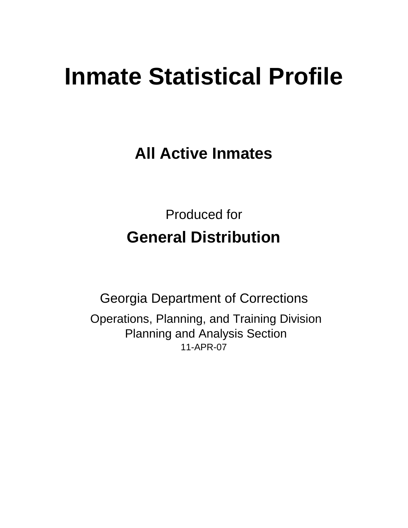# **Inmate Statistical Profile**

**All Active Inmates**

Produced for **General Distribution**

11-APR-07 Georgia Department of Corrections Operations, Planning, and Training Division Planning and Analysis Section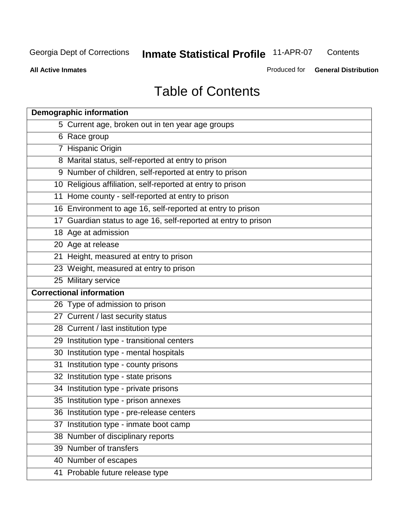**Contents** 

**All Active Inmates**

Produced for **General Distribution**

# Table of Contents

|    | <b>Demographic information</b>                                 |
|----|----------------------------------------------------------------|
|    | 5 Current age, broken out in ten year age groups               |
|    | 6 Race group                                                   |
|    | 7 Hispanic Origin                                              |
|    | 8 Marital status, self-reported at entry to prison             |
|    | 9 Number of children, self-reported at entry to prison         |
|    | 10 Religious affiliation, self-reported at entry to prison     |
|    | 11 Home county - self-reported at entry to prison              |
|    | 16 Environment to age 16, self-reported at entry to prison     |
|    | 17 Guardian status to age 16, self-reported at entry to prison |
|    | 18 Age at admission                                            |
|    | 20 Age at release                                              |
|    | 21 Height, measured at entry to prison                         |
|    | 23 Weight, measured at entry to prison                         |
|    | 25 Military service                                            |
|    | <b>Correctional information</b>                                |
|    | 26 Type of admission to prison                                 |
|    | 27 Current / last security status                              |
|    | 28 Current / last institution type                             |
|    | 29 Institution type - transitional centers                     |
|    | 30 Institution type - mental hospitals                         |
| 31 | Institution type - county prisons                              |
|    | 32 Institution type - state prisons                            |
|    | 34 Institution type - private prisons                          |
|    | 35 Institution type - prison annexes                           |
|    | 36 Institution type - pre-release centers                      |
| 37 | Institution type - inmate boot camp                            |
|    | 38 Number of disciplinary reports                              |
|    | 39 Number of transfers                                         |
|    | 40 Number of escapes                                           |
|    | 41 Probable future release type                                |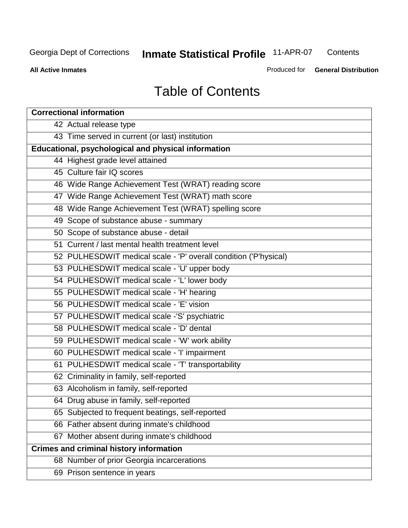**Contents** 

**All Active Inmates**

Produced for **General Distribution**

# Table of Contents

| <b>Correctional information</b>                                  |  |  |  |  |  |  |
|------------------------------------------------------------------|--|--|--|--|--|--|
| 42 Actual release type                                           |  |  |  |  |  |  |
| 43 Time served in current (or last) institution                  |  |  |  |  |  |  |
| Educational, psychological and physical information              |  |  |  |  |  |  |
| 44 Highest grade level attained                                  |  |  |  |  |  |  |
| 45 Culture fair IQ scores                                        |  |  |  |  |  |  |
| 46 Wide Range Achievement Test (WRAT) reading score              |  |  |  |  |  |  |
| 47 Wide Range Achievement Test (WRAT) math score                 |  |  |  |  |  |  |
| 48 Wide Range Achievement Test (WRAT) spelling score             |  |  |  |  |  |  |
| 49 Scope of substance abuse - summary                            |  |  |  |  |  |  |
| 50 Scope of substance abuse - detail                             |  |  |  |  |  |  |
| 51 Current / last mental health treatment level                  |  |  |  |  |  |  |
| 52 PULHESDWIT medical scale - 'P' overall condition ('P'hysical) |  |  |  |  |  |  |
| 53 PULHESDWIT medical scale - 'U' upper body                     |  |  |  |  |  |  |
| 54 PULHESDWIT medical scale - 'L' lower body                     |  |  |  |  |  |  |
| 55 PULHESDWIT medical scale - 'H' hearing                        |  |  |  |  |  |  |
| 56 PULHESDWIT medical scale - 'E' vision                         |  |  |  |  |  |  |
| 57 PULHESDWIT medical scale -'S' psychiatric                     |  |  |  |  |  |  |
| 58 PULHESDWIT medical scale - 'D' dental                         |  |  |  |  |  |  |
| 59 PULHESDWIT medical scale - 'W' work ability                   |  |  |  |  |  |  |
| 60 PULHESDWIT medical scale - 'I' impairment                     |  |  |  |  |  |  |
| 61 PULHESDWIT medical scale - 'T' transportability               |  |  |  |  |  |  |
| 62 Criminality in family, self-reported                          |  |  |  |  |  |  |
| 63 Alcoholism in family, self-reported                           |  |  |  |  |  |  |
| 64 Drug abuse in family, self-reported                           |  |  |  |  |  |  |
| 65 Subjected to frequent beatings, self-reported                 |  |  |  |  |  |  |
| 66 Father absent during inmate's childhood                       |  |  |  |  |  |  |
| 67 Mother absent during inmate's childhood                       |  |  |  |  |  |  |
| <b>Crimes and criminal history information</b>                   |  |  |  |  |  |  |
| 68 Number of prior Georgia incarcerations                        |  |  |  |  |  |  |
| 69 Prison sentence in years                                      |  |  |  |  |  |  |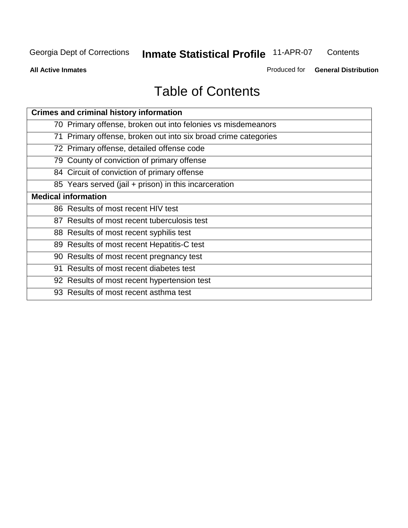**Contents** 

**All Active Inmates**

Produced for **General Distribution**

# Table of Contents

| <b>Crimes and criminal history information</b>                 |
|----------------------------------------------------------------|
| 70 Primary offense, broken out into felonies vs misdemeanors   |
| 71 Primary offense, broken out into six broad crime categories |
| 72 Primary offense, detailed offense code                      |
| 79 County of conviction of primary offense                     |
| 84 Circuit of conviction of primary offense                    |
| 85 Years served (jail + prison) in this incarceration          |
| <b>Medical information</b>                                     |
| 86 Results of most recent HIV test                             |
| 87 Results of most recent tuberculosis test                    |
| 88 Results of most recent syphilis test                        |
| 89 Results of most recent Hepatitis-C test                     |
| 90 Results of most recent pregnancy test                       |
| 91 Results of most recent diabetes test                        |
| 92 Results of most recent hypertension test                    |
| 93 Results of most recent asthma test                          |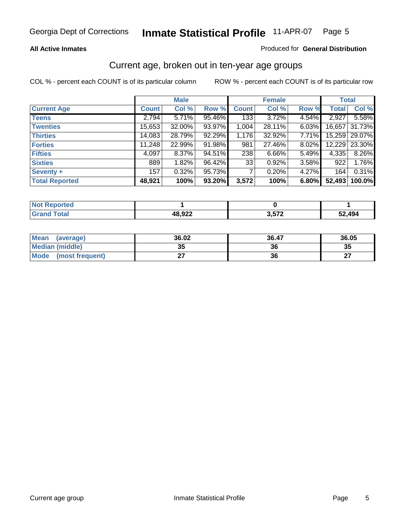#### **All Active Inmates**

#### Produced for **General Distribution**

### Current age, broken out in ten-year age groups

|                       |              | <b>Male</b> |        |              | <b>Female</b> |       |              | <b>Total</b>  |
|-----------------------|--------------|-------------|--------|--------------|---------------|-------|--------------|---------------|
| <b>Current Age</b>    | <b>Count</b> | Col %       | Row %  | <b>Count</b> | Col %         | Row % | <b>Total</b> | Col %         |
| <b>Teens</b>          | 2,794        | 5.71%       | 95.46% | 133          | $3.72\%$      | 4.54% | 2,927        | 5.58%         |
| <b>Twenties</b>       | 15,653       | 32.00%      | 93.97% | 1,004        | 28.11%        | 6.03% | 16,657       | 31.73%        |
| <b>Thirties</b>       | 14,083       | 28.79%      | 92.29% | 1,176        | 32.92%        | 7.71% |              | 15,259 29.07% |
| <b>Forties</b>        | 11,248       | 22.99%      | 91.98% | 981          | 27.46%        | 8.02% | 12,229       | 23.30%        |
| <b>Fifties</b>        | 4,097        | 8.37%       | 94.51% | 238          | $6.66\%$      | 5.49% | 4,335        | 8.26%         |
| <b>Sixties</b>        | 889          | 1.82%       | 96.42% | 33           | 0.92%         | 3.58% | 922          | 1.76%         |
| Seventy +             | 157          | 0.32%       | 95.73% | 7            | 0.20%         | 4.27% | 164          | 0.31%         |
| <b>Total Reported</b> | 48,921       | 100%        | 93.20% | 3,572        | 100%          | 6.80% | 52,493       | 100.0%        |

| <b>Not Reported</b><br><b>Construction and I</b> |        |       |        |
|--------------------------------------------------|--------|-------|--------|
| <b>Total</b>                                     | 48,922 | ・ トフク | 494,∠ر |

| <b>Mean</b><br>(average) | 36.02     | 36.47 | 36.05     |
|--------------------------|-----------|-------|-----------|
| Median (middle)          | 25<br>JJ. | 36    | 35        |
| Mode<br>(most frequent)  |           | 36    | ^7<br>. . |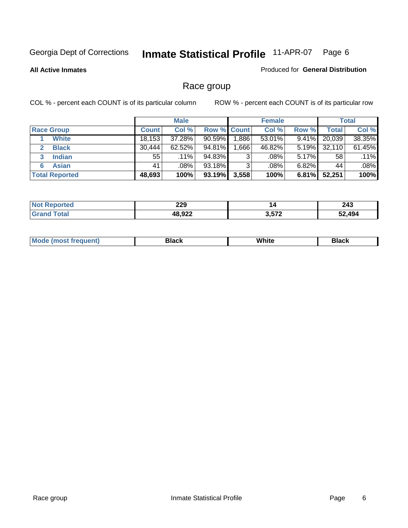#### **All Active Inmates**

#### Produced for **General Distribution**

### Race group

|                       |              | <b>Male</b> |             |       | <b>Female</b> |          |              | <b>Total</b> |
|-----------------------|--------------|-------------|-------------|-------|---------------|----------|--------------|--------------|
| <b>Race Group</b>     | <b>Count</b> | Col %       | Row % Count |       | Col %         | Row %    | <b>Total</b> | Col %        |
| <b>White</b>          | 18,153       | 37.28%      | $90.59\%$   | .886  | 53.01%        | 9.41%    | 20,039       | 38.35%       |
| <b>Black</b>          | 30,444       | $62.52\%$   | 94.81%      | .666  | 46.82%        | 5.19%    | 32,110       | 61.45%       |
| <b>Indian</b><br>3    | 55           | $.11\%$     | 94.83%      | 3     | $.08\%$       | $5.17\%$ | 58           | .11%         |
| <b>Asian</b>          | 41           | .08%        | 93.18%      | 3     | .08%          | $6.82\%$ | 44           | .08%         |
| <b>Total Reported</b> | 48,693       | 100%        | 93.19%      | 3,558 | 100%          | 6.81%    | 52,251       | 100%         |

| າາດ<br>LLJ    | 14    | 243 |
|---------------|-------|-----|
| AR 022<br>JLL | מדה מ | AA  |

|  | $Mc$ | Black | White<br>$ -$ | 21904<br>DIACK |
|--|------|-------|---------------|----------------|
|--|------|-------|---------------|----------------|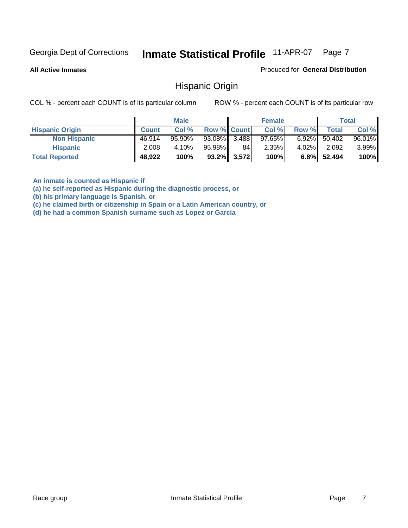**All Active Inmates**

Produced for **General Distribution**

### Hispanic Origin

COL % - percent each COUNT is of its particular column ROW % - percent each COUNT is of its particular row

|                        |              | <b>Male</b> |                    |                | <b>Female</b> |          |              | <b>Total</b> |
|------------------------|--------------|-------------|--------------------|----------------|---------------|----------|--------------|--------------|
| <b>Hispanic Origin</b> | <b>Count</b> | Col %       | <b>Row % Count</b> |                | Col %         | Row %    | <b>Total</b> | Col %        |
| <b>Non Hispanic</b>    | 46.914       | 95.90%      | $93.08\%$ 3,488    |                | $97.65\%$     | $6.92\%$ | 50,402       | 96.01%       |
| <b>Hispanic</b>        | 2,008        | 4.10%       | 95.98%             | 84             | 2.35%         | $4.02\%$ | 2,092        | 3.99%        |
| <b>Total Reported</b>  | 48,922       | 100%        |                    | $93.2\%$ 3,572 | 100%          | $6.8\%$  | 52,494       | 100%         |

**An inmate is counted as Hispanic if** 

**(a) he self-reported as Hispanic during the diagnostic process, or** 

**(b) his primary language is Spanish, or** 

**(c) he claimed birth or citizenship in Spain or a Latin American country, or** 

**(d) he had a common Spanish surname such as Lopez or Garcia**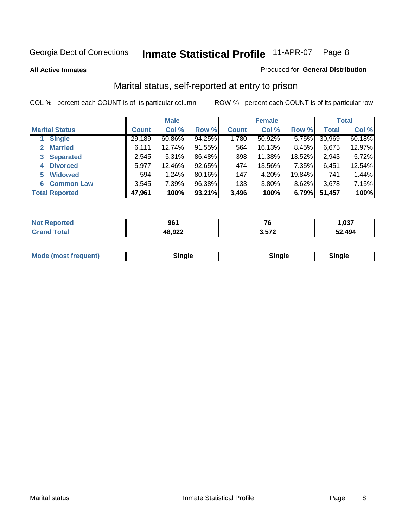**All Active Inmates**

#### Produced for **General Distribution**

### Marital status, self-reported at entry to prison

|                                  | <b>Male</b>  |           |        | <b>Female</b> |           |          | <b>Total</b> |        |
|----------------------------------|--------------|-----------|--------|---------------|-----------|----------|--------------|--------|
| <b>Marital Status</b>            | <b>Count</b> | Col %     | Row %  | <b>Count</b>  | Col %     | Row %    | <b>Total</b> | Col %  |
| <b>Single</b>                    | 29,189       | $60.86\%$ | 94.25% | 1,780         | $50.92\%$ | $5.75\%$ | 30,969       | 60.18% |
| <b>Married</b><br>$\mathbf{2}^-$ | 6,111        | 12.74%    | 91.55% | 564           | 16.13%    | 8.45%    | 6,675        | 12.97% |
| <b>Separated</b><br>3            | 2,545        | 5.31%     | 86.48% | 398           | 11.38%    | 13.52%   | 2,943        | 5.72%  |
| <b>Divorced</b><br>4             | 5,977        | 12.46%    | 92.65% | 474           | 13.56%    | 7.35%    | 6,451        | 12.54% |
| <b>Widowed</b><br>5              | 594          | 1.24%     | 80.16% | 147           | 4.20%     | 19.84%   | 741          | 1.44%  |
| <b>Common Law</b><br>6.          | 3,545        | 7.39%     | 96.38% | 133           | 3.80%     | 3.62%    | 3,678        | 7.15%  |
| <b>Total Reported</b>            | 47,961       | 100%      | 93.21% | 3,496         | 100%      | 6.79%    | 51,457       | 100%   |

| ∘ءه<br>50. | --<br>u<br>$-$                    | 027<br>ו טע. |
|------------|-----------------------------------|--------------|
| רמה הו     | 2 572<br>$\overline{\phantom{a}}$ | 52.494       |

| <b>Mode (most frequent)</b><br>Sinale<br>≒ınale |
|-------------------------------------------------|
|-------------------------------------------------|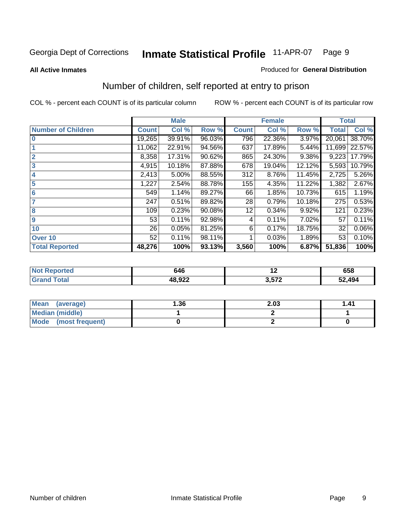#### **All Active Inmates**

#### Produced for **General Distribution**

### Number of children, self reported at entry to prison

|                           |              | <b>Male</b> |        |              | <b>Female</b> |        | <b>Total</b> |        |
|---------------------------|--------------|-------------|--------|--------------|---------------|--------|--------------|--------|
| <b>Number of Children</b> | <b>Count</b> | Col %       | Row %  | <b>Count</b> | Col %         | Row %  | <b>Total</b> | Col %  |
| $\bf{0}$                  | 19,265       | 39.91%      | 96.03% | 796          | 22.36%        | 3.97%  | 20,061       | 38.70% |
|                           | 11,062       | 22.91%      | 94.56% | 637          | 17.89%        | 5.44%  | 11,699       | 22.57% |
| $\overline{2}$            | 8,358        | 17.31%      | 90.62% | 865          | 24.30%        | 9.38%  | 9,223        | 17.79% |
| 3                         | 4,915        | 10.18%      | 87.88% | 678          | 19.04%        | 12.12% | 5,593        | 10.79% |
| 4                         | 2,413        | 5.00%       | 88.55% | 312          | 8.76%         | 11.45% | 2,725        | 5.26%  |
| 5                         | 1,227        | 2.54%       | 88.78% | 155          | 4.35%         | 11.22% | 1,382        | 2.67%  |
| $6\phantom{a}$            | 549          | 1.14%       | 89.27% | 66           | 1.85%         | 10.73% | 615          | 1.19%  |
| 7                         | 247          | 0.51%       | 89.82% | 28           | 0.79%         | 10.18% | 275          | 0.53%  |
| 8                         | 109          | 0.23%       | 90.08% | 12           | 0.34%         | 9.92%  | 121          | 0.23%  |
| 9                         | 53           | 0.11%       | 92.98% | 4            | 0.11%         | 7.02%  | 57           | 0.11%  |
| 10                        | 26           | 0.05%       | 81.25% | 6            | 0.17%         | 18.75% | 32           | 0.06%  |
| Over 10                   | 52           | 0.11%       | 98.11% |              | 0.03%         | 1.89%  | 53           | 0.10%  |
| <b>Total Reported</b>     | 48,276       | 100%        | 93.13% | 3,560        | 100%          | 6.87%  | 51,836       | 100%   |

| 646    | . . | 658 |
|--------|-----|-----|
| 10.022 | --- | 494 |

| <b>Mean</b><br>(average) | 1.36 | 2.03 | 1.41 |
|--------------------------|------|------|------|
| <b>Median (middle)</b>   |      |      |      |
| Mode<br>(most frequent)  |      |      |      |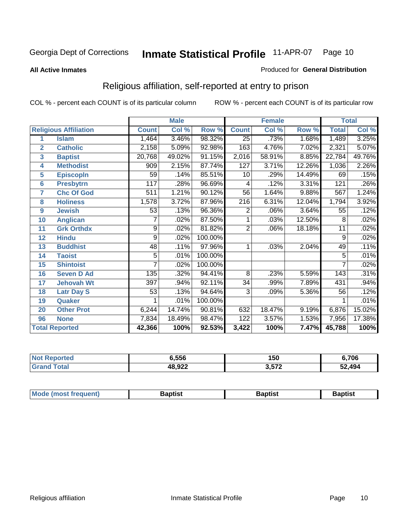#### **All Active Inmates**

#### Produced for **General Distribution**

### Religious affiliation, self-reported at entry to prison

|                  |                              |                | <b>Male</b> |         |                    | <b>Female</b> |        |              | <b>Total</b> |
|------------------|------------------------------|----------------|-------------|---------|--------------------|---------------|--------|--------------|--------------|
|                  | <b>Religious Affiliation</b> | <b>Count</b>   | Col %       | Row %   | <b>Count</b>       | Col %         | Row %  | <b>Total</b> | Col %        |
| 1                | <b>Islam</b>                 | 1,464          | 3.46%       | 98.32%  | $\overline{25}$    | .73%          | 1.68%  | 1,489        | 3.25%        |
| $\overline{2}$   | <b>Catholic</b>              | 2,158          | 5.09%       | 92.98%  | 163                | 4.76%         | 7.02%  | 2,321        | 5.07%        |
| 3                | <b>Baptist</b>               | 20,768         | 49.02%      | 91.15%  | $\overline{2,016}$ | 58.91%        | 8.85%  | 22,784       | 49.76%       |
| 4                | <b>Methodist</b>             | 909            | 2.15%       | 87.74%  | 127                | 3.71%         | 12.26% | 1,036        | 2.26%        |
| 5                | <b>EpiscopIn</b>             | 59             | .14%        | 85.51%  | 10                 | .29%          | 14.49% | 69           | .15%         |
| 6                | <b>Presbytrn</b>             | 117            | .28%        | 96.69%  | 4                  | .12%          | 3.31%  | 121          | .26%         |
| 7                | <b>Chc Of God</b>            | 511            | 1.21%       | 90.12%  | 56                 | 1.64%         | 9.88%  | 567          | 1.24%        |
| 8                | <b>Holiness</b>              | 1,578          | 3.72%       | 87.96%  | $\overline{216}$   | 6.31%         | 12.04% | 1,794        | 3.92%        |
| $\boldsymbol{9}$ | <b>Jewish</b>                | 53             | .13%        | 96.36%  | $\overline{2}$     | .06%          | 3.64%  | 55           | .12%         |
| 10               | <b>Anglican</b>              | 7              | .02%        | 87.50%  |                    | .03%          | 12.50% | 8            | .02%         |
| 11               | <b>Grk Orthdx</b>            | $\overline{9}$ | .02%        | 81.82%  | $\overline{2}$     | .06%          | 18.18% | 11           | .02%         |
| 12               | <b>Hindu</b>                 | 9              | .02%        | 100.00% |                    |               |        | 9            | .02%         |
| 13               | <b>Buddhist</b>              | 48             | .11%        | 97.96%  | 1                  | .03%          | 2.04%  | 49           | .11%         |
| 14               | <b>Taoist</b>                | 5              | .01%        | 100.00% |                    |               |        | 5            | .01%         |
| 15               | <b>Shintoist</b>             | 7              | .02%        | 100.00% |                    |               |        | 7            | .02%         |
| 16               | <b>Seven D Ad</b>            | 135            | .32%        | 94.41%  | 8                  | .23%          | 5.59%  | 143          | .31%         |
| 17               | <b>Jehovah Wt</b>            | 397            | .94%        | 92.11%  | 34                 | .99%          | 7.89%  | 431          | .94%         |
| 18               | <b>Latr Day S</b>            | 53             | .13%        | 94.64%  | 3                  | .09%          | 5.36%  | 56           | .12%         |
| 19               | Quaker                       |                | .01%        | 100.00% |                    |               |        |              | .01%         |
| 20               | <b>Other Prot</b>            | 6,244          | 14.74%      | 90.81%  | 632                | 18.47%        | 9.19%  | 6,876        | 15.02%       |
| 96               | <b>None</b>                  | 7,834          | 18.49%      | 98.47%  | 122                | 3.57%         | 1.53%  | 7,956        | 17.38%       |
|                  | <b>Total Reported</b>        | 42,366         | 100%        | 92.53%  | 3,422              | 100%          | 7.47%  | 45,788       | 100%         |

| Reported<br>∵N∩t      | 556,ز  | 150   | 6,706  |
|-----------------------|--------|-------|--------|
| <b>otal</b><br>"Grand | 48,922 | 3,572 | 52,494 |

| $  -$ | Mode (most frequent)<br>Baptist<br>3aptist<br>Baptist |
|-------|-------------------------------------------------------|
|-------|-------------------------------------------------------|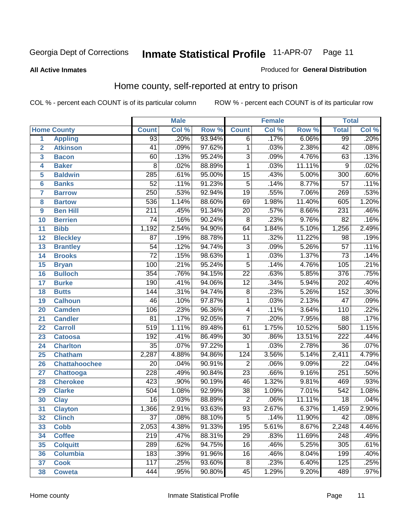#### **All Active Inmates**

#### Produced for **General Distribution**

### Home county, self-reported at entry to prison

|                 |                      |                  | <b>Male</b> |        |                         | <b>Female</b> |        | <b>Total</b>     |         |
|-----------------|----------------------|------------------|-------------|--------|-------------------------|---------------|--------|------------------|---------|
|                 | <b>Home County</b>   | <b>Count</b>     | Col %       | Row %  | <b>Count</b>            | Col %         | Row %  | <b>Total</b>     | Col %   |
| 1               | <b>Appling</b>       | $\overline{93}$  | .20%        | 93.94% | $\overline{6}$          | .17%          | 6.06%  | 99               | .20%    |
| $\overline{2}$  | <b>Atkinson</b>      | 41               | .09%        | 97.62% | $\mathbf 1$             | .03%          | 2.38%  | $\overline{42}$  | .08%    |
| 3               | <b>Bacon</b>         | 60               | .13%        | 95.24% | $\overline{3}$          | .09%          | 4.76%  | 63               | .13%    |
| 4               | <b>Baker</b>         | 8                | .02%        | 88.89% | $\mathbf 1$             | .03%          | 11.11% | $\overline{9}$   | .02%    |
| 5               | <b>Baldwin</b>       | 285              | .61%        | 95.00% | $\overline{15}$         | .43%          | 5.00%  | $\overline{300}$ | .60%    |
| $6\phantom{1}6$ | <b>Banks</b>         | $\overline{52}$  | .11%        | 91.23% | $\overline{5}$          | .14%          | 8.77%  | $\overline{57}$  | .11%    |
| $\overline{7}$  | <b>Barrow</b>        | $\overline{250}$ | .53%        | 92.94% | $\overline{19}$         | .55%          | 7.06%  | 269              | .53%    |
| 8               | <b>Bartow</b>        | 536              | 1.14%       | 88.60% | 69                      | 1.98%         | 11.40% | 605              | 1.20%   |
| 9               | <b>Ben Hill</b>      | $\overline{211}$ | .45%        | 91.34% | $\overline{20}$         | .57%          | 8.66%  | 231              | .46%    |
| 10              | <b>Berrien</b>       | $\overline{74}$  | .16%        | 90.24% | $\overline{8}$          | .23%          | 9.76%  | $\overline{82}$  | .16%    |
| 11              | <b>Bibb</b>          | 1,192            | 2.54%       | 94.90% | 64                      | 1.84%         | 5.10%  | 1,256            | 2.49%   |
| 12              | <b>Bleckley</b>      | $\overline{87}$  | .19%        | 88.78% | 11                      | .32%          | 11.22% | 98               | .19%    |
| 13              | <b>Brantley</b>      | $\overline{54}$  | .12%        | 94.74% | $\overline{3}$          | .09%          | 5.26%  | $\overline{57}$  | .11%    |
| 14              | <b>Brooks</b>        | $\overline{72}$  | .15%        | 98.63% | $\overline{1}$          | .03%          | 1.37%  | $\overline{73}$  | .14%    |
| 15              | <b>Bryan</b>         | 100              | .21%        | 95.24% | $\overline{5}$          | .14%          | 4.76%  | 105              | .21%    |
| 16              | <b>Bulloch</b>       | 354              | .76%        | 94.15% | $\overline{22}$         | .63%          | 5.85%  | $\overline{376}$ | .75%    |
| 17              | <b>Burke</b>         | 190              | .41%        | 94.06% | $\overline{12}$         | .34%          | 5.94%  | $\overline{202}$ | .40%    |
| 18              | <b>Butts</b>         | $\overline{144}$ | .31%        | 94.74% | $\overline{8}$          | .23%          | 5.26%  | 152              | .30%    |
| 19              | <b>Calhoun</b>       | 46               | .10%        | 97.87% | $\overline{1}$          | .03%          | 2.13%  | $\overline{47}$  | .09%    |
| 20              | <b>Camden</b>        | 106              | .23%        | 96.36% | $\overline{\mathbf{4}}$ | .11%          | 3.64%  | 110              | .22%    |
| 21              | <b>Candler</b>       | $\overline{81}$  | .17%        | 92.05% | $\overline{7}$          | .20%          | 7.95%  | $\overline{88}$  | .17%    |
| 22              | <b>Carroll</b>       | $\overline{519}$ | 1.11%       | 89.48% | $\overline{61}$         | 1.75%         | 10.52% | 580              | 1.15%   |
| 23              | <b>Catoosa</b>       | 192              | .41%        | 86.49% | $\overline{30}$         | .86%          | 13.51% | $\overline{222}$ | .44%    |
| 24              | <b>Charlton</b>      | $\overline{35}$  | .07%        | 97.22% | 1                       | .03%          | 2.78%  | $\overline{36}$  | .07%    |
| 25              | <b>Chatham</b>       | 2,287            | 4.88%       | 94.86% | 124                     | 3.56%         | 5.14%  | 2,411            | 4.79%   |
| 26              | <b>Chattahoochee</b> | 20               | .04%        | 90.91% | $\overline{c}$          | .06%          | 9.09%  | $\overline{22}$  | .04%    |
| 27              | <b>Chattooga</b>     | 228              | .49%        | 90.84% | $\overline{23}$         | .66%          | 9.16%  | 251              | .50%    |
| 28              | <b>Cherokee</b>      | 423              | .90%        | 90.19% | 46                      | 1.32%         | 9.81%  | 469              | .93%    |
| 29              | <b>Clarke</b>        | 504              | 1.08%       | 92.99% | $\overline{38}$         | 1.09%         | 7.01%  | $\overline{542}$ | 1.08%   |
| 30              | <b>Clay</b>          | $\overline{16}$  | .03%        | 88.89% | $\overline{2}$          | .06%          | 11.11% | $\overline{18}$  | .04%    |
| $\overline{31}$ | <b>Clayton</b>       | 1,366            | 2.91%       | 93.63% | $\overline{93}$         | 2.67%         | 6.37%  | 1,459            | 2.90%   |
| 32              | <b>Clinch</b>        | 37               | .08%        | 88.10% | 5                       | .14%          | 11.90% | 42               | $.08\%$ |
| 33              | <b>Cobb</b>          | 2,053            | 4.38%       | 91.33% | 195                     | 5.61%         | 8.67%  | 2,248            | 4.46%   |
| 34              | <b>Coffee</b>        | 219              | .47%        | 88.31% | 29                      | .83%          | 11.69% | 248              | .49%    |
| 35              | <b>Colquitt</b>      | 289              | .62%        | 94.75% | $\overline{16}$         | .46%          | 5.25%  | 305              | .61%    |
| 36              | <b>Columbia</b>      | 183              | .39%        | 91.96% | 16                      | .46%          | 8.04%  | 199              | .40%    |
| 37              | <b>Cook</b>          | $\overline{117}$ | .25%        | 93.60% | $\overline{8}$          | .23%          | 6.40%  | 125              | .25%    |
| 38              | <b>Coweta</b>        | 444              | .95%        | 90.80% | 45                      | 1.29%         | 9.20%  | 489              | .97%    |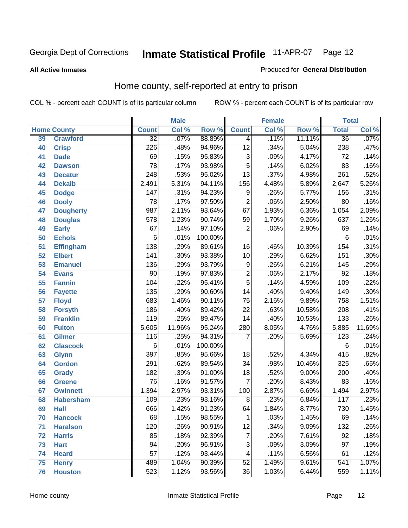#### **All Active Inmates**

#### Produced for **General Distribution**

### Home county, self-reported at entry to prison

|    |                    |                  | <b>Male</b> |         |                 | <b>Female</b> |        | <b>Total</b>     |         |
|----|--------------------|------------------|-------------|---------|-----------------|---------------|--------|------------------|---------|
|    | <b>Home County</b> | <b>Count</b>     | Col %       | Row %   | <b>Count</b>    | Col %         | Row %  | <b>Total</b>     | Col %   |
| 39 | <b>Crawford</b>    | $\overline{32}$  | .07%        | 88.89%  | 4               | .11%          | 11.11% | $\overline{36}$  | .07%    |
| 40 | <b>Crisp</b>       | 226              | .48%        | 94.96%  | $\overline{12}$ | .34%          | 5.04%  | 238              | .47%    |
| 41 | <b>Dade</b>        | 69               | .15%        | 95.83%  | $\overline{3}$  | .09%          | 4.17%  | $\overline{72}$  | .14%    |
| 42 | <b>Dawson</b>      | $\overline{78}$  | .17%        | 93.98%  | $\overline{5}$  | .14%          | 6.02%  | 83               | .16%    |
| 43 | <b>Decatur</b>     | $\sqrt{248}$     | .53%        | 95.02%  | $\overline{13}$ | .37%          | 4.98%  | $\overline{261}$ | .52%    |
| 44 | <b>Dekalb</b>      | 2,491            | 5.31%       | 94.11%  | 156             | 4.48%         | 5.89%  | 2,647            | 5.26%   |
| 45 | <b>Dodge</b>       | $\overline{147}$ | .31%        | 94.23%  | $\overline{9}$  | .26%          | 5.77%  | 156              | .31%    |
| 46 | <b>Dooly</b>       | 78               | .17%        | 97.50%  | $\overline{2}$  | .06%          | 2.50%  | 80               | .16%    |
| 47 | <b>Dougherty</b>   | 987              | 2.11%       | 93.64%  | 67              | 1.93%         | 6.36%  | 1,054            | 2.09%   |
| 48 | <b>Douglas</b>     | 578              | 1.23%       | 90.74%  | 59              | 1.70%         | 9.26%  | 637              | 1.26%   |
| 49 | <b>Early</b>       | $\overline{67}$  | .14%        | 97.10%  | $\overline{2}$  | .06%          | 2.90%  | 69               | .14%    |
| 50 | <b>Echols</b>      | 6                | .01%        | 100.00% |                 |               |        | 6                | .01%    |
| 51 | <b>Effingham</b>   | 138              | .29%        | 89.61%  | $\overline{16}$ | .46%          | 10.39% | 154              | .31%    |
| 52 | <b>Elbert</b>      | $\overline{141}$ | .30%        | 93.38%  | $\overline{10}$ | .29%          | 6.62%  | 151              | .30%    |
| 53 | <b>Emanuel</b>     | 136              | .29%        | 93.79%  | $\overline{9}$  | .26%          | 6.21%  | $\overline{145}$ | .29%    |
| 54 | <b>Evans</b>       | $\overline{90}$  | .19%        | 97.83%  | $\overline{2}$  | .06%          | 2.17%  | $\overline{92}$  | .18%    |
| 55 | <b>Fannin</b>      | 104              | .22%        | 95.41%  | $\overline{5}$  | .14%          | 4.59%  | 109              | .22%    |
| 56 | <b>Fayette</b>     | 135              | .29%        | 90.60%  | $\overline{14}$ | .40%          | 9.40%  | 149              | .30%    |
| 57 | <b>Floyd</b>       | 683              | 1.46%       | 90.11%  | $\overline{75}$ | 2.16%         | 9.89%  | 758              | 1.51%   |
| 58 | <b>Forsyth</b>     | 186              | .40%        | 89.42%  | $\overline{22}$ | .63%          | 10.58% | 208              | .41%    |
| 59 | <b>Franklin</b>    | 119              | .25%        | 89.47%  | $\overline{14}$ | .40%          | 10.53% | $\overline{133}$ | .26%    |
| 60 | <b>Fulton</b>      | 5,605            | 11.96%      | 95.24%  | 280             | 8.05%         | 4.76%  | 5,885            | 11.69%  |
| 61 | Gilmer             | 116              | .25%        | 94.31%  | 7               | .20%          | 5.69%  | $\overline{123}$ | .24%    |
| 62 | <b>Glascock</b>    | 6                | .01%        | 100.00% |                 |               |        | 6                | .01%    |
| 63 | <b>Glynn</b>       | $\overline{397}$ | .85%        | 95.66%  | $\overline{18}$ | .52%          | 4.34%  | 415              | .82%    |
| 64 | <b>Gordon</b>      | 291              | .62%        | 89.54%  | $\overline{34}$ | .98%          | 10.46% | 325              | .65%    |
| 65 | <b>Grady</b>       | 182              | .39%        | 91.00%  | $\overline{18}$ | .52%          | 9.00%  | 200              | .40%    |
| 66 | <b>Greene</b>      | $\overline{76}$  | .16%        | 91.57%  | 7               | .20%          | 8.43%  | 83               | .16%    |
| 67 | <b>Gwinnett</b>    | 1,394            | 2.97%       | 93.31%  | 100             | 2.87%         | 6.69%  | 1,494            | 2.97%   |
| 68 | <b>Habersham</b>   | 109              | .23%        | 93.16%  | $\overline{8}$  | .23%          | 6.84%  | 117              | .23%    |
| 69 | <b>Hall</b>        | 666              | 1.42%       | 91.23%  | 64              | 1.84%         | 8.77%  | 730              | 1.45%   |
| 70 | <b>Hancock</b>     | 68               | .15%        | 98.55%  | 1               | .03%          | 1.45%  | 69               | $.14\%$ |
| 71 | <b>Haralson</b>    | 120              | .26%        | 90.91%  | $\overline{12}$ | .34%          | 9.09%  | 132              | .26%    |
| 72 | <b>Harris</b>      | 85               | .18%        | 92.39%  | 7               | .20%          | 7.61%  | $\overline{92}$  | .18%    |
| 73 | <b>Hart</b>        | 94               | .20%        | 96.91%  | $\overline{3}$  | .09%          | 3.09%  | $\overline{97}$  | .19%    |
| 74 | <b>Heard</b>       | 57               | .12%        | 93.44%  | 4               | .11%          | 6.56%  | 61               | .12%    |
| 75 | <b>Henry</b>       | 489              | 1.04%       | 90.39%  | $\overline{52}$ | 1.49%         | 9.61%  | 541              | 1.07%   |
| 76 | <b>Houston</b>     | 523              | 1.12%       | 93.56%  | $\overline{36}$ | 1.03%         | 6.44%  | 559              | 1.11%   |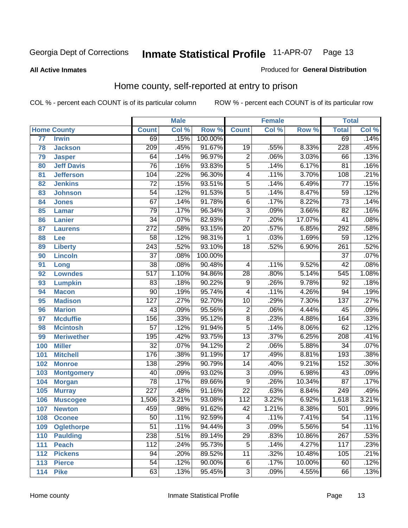#### **All Active Inmates**

#### Produced for **General Distribution**

### Home county, self-reported at entry to prison

|     |                    |                  | <b>Male</b> |         |                  | <b>Female</b> |        | <b>Total</b>     |       |
|-----|--------------------|------------------|-------------|---------|------------------|---------------|--------|------------------|-------|
|     | <b>Home County</b> | <b>Count</b>     | Col %       | Row %   | <b>Count</b>     | Col %         | Row %  | <b>Total</b>     | Col % |
| 77  | <b>Irwin</b>       | 69               | .15%        | 100.00% |                  |               |        | 69               | .14%  |
| 78  | <b>Jackson</b>     | $\overline{209}$ | .45%        | 91.67%  | 19               | .55%          | 8.33%  | 228              | .45%  |
| 79  | <b>Jasper</b>      | 64               | .14%        | 96.97%  | $\overline{2}$   | .06%          | 3.03%  | 66               | .13%  |
| 80  | <b>Jeff Davis</b>  | $\overline{76}$  | .16%        | 93.83%  | $\overline{5}$   | .14%          | 6.17%  | 81               | .16%  |
| 81  | <b>Jefferson</b>   | 104              | .22%        | 96.30%  | $\overline{4}$   | .11%          | 3.70%  | 108              | .21%  |
| 82  | <b>Jenkins</b>     | $\overline{72}$  | .15%        | 93.51%  | $\overline{5}$   | .14%          | 6.49%  | $\overline{77}$  | .15%  |
| 83  | <b>Johnson</b>     | $\overline{54}$  | .12%        | 91.53%  | $\overline{5}$   | .14%          | 8.47%  | $\overline{59}$  | .12%  |
| 84  | <b>Jones</b>       | $\overline{67}$  | .14%        | 91.78%  | $\overline{6}$   | .17%          | 8.22%  | $\overline{73}$  | .14%  |
| 85  | <b>Lamar</b>       | $\overline{79}$  | .17%        | 96.34%  | $\overline{3}$   | .09%          | 3.66%  | $\overline{82}$  | .16%  |
| 86  | <b>Lanier</b>      | $\overline{34}$  | .07%        | 82.93%  | $\overline{7}$   | .20%          | 17.07% | 41               | .08%  |
| 87  | <b>Laurens</b>     | $\overline{272}$ | .58%        | 93.15%  | $\overline{20}$  | .57%          | 6.85%  | 292              | .58%  |
| 88  | <b>Lee</b>         | $\overline{58}$  | .12%        | 98.31%  | 1                | .03%          | 1.69%  | $\overline{59}$  | .12%  |
| 89  | <b>Liberty</b>     | $\overline{243}$ | .52%        | 93.10%  | $\overline{18}$  | .52%          | 6.90%  | $\overline{261}$ | .52%  |
| 90  | <b>Lincoln</b>     | $\overline{37}$  | .08%        | 100.00% |                  |               |        | $\overline{37}$  | .07%  |
| 91  | Long               | $\overline{38}$  | .08%        | 90.48%  | 4                | .11%          | 9.52%  | $\overline{42}$  | .08%  |
| 92  | <b>Lowndes</b>     | $\overline{517}$ | 1.10%       | 94.86%  | $\overline{28}$  | .80%          | 5.14%  | 545              | 1.08% |
| 93  | <b>Lumpkin</b>     | 83               | .18%        | 90.22%  | $\overline{9}$   | .26%          | 9.78%  | $\overline{92}$  | .18%  |
| 94  | <b>Macon</b>       | $\overline{90}$  | .19%        | 95.74%  | 4                | .11%          | 4.26%  | $\overline{94}$  | .19%  |
| 95  | <b>Madison</b>     | $\overline{127}$ | .27%        | 92.70%  | $\overline{10}$  | .29%          | 7.30%  | $\overline{137}$ | .27%  |
| 96  | <b>Marion</b>      | $\overline{43}$  | .09%        | 95.56%  | $\overline{2}$   | .06%          | 4.44%  | $\overline{45}$  | .09%  |
| 97  | <b>Mcduffie</b>    | 156              | .33%        | 95.12%  | $\overline{8}$   | .23%          | 4.88%  | 164              | .33%  |
| 98  | <b>Mcintosh</b>    | $\overline{57}$  | .12%        | 91.94%  | $\overline{5}$   | .14%          | 8.06%  | 62               | .12%  |
| 99  | <b>Meriwether</b>  | 195              | .42%        | 93.75%  | $\overline{13}$  | .37%          | 6.25%  | $\overline{208}$ | .41%  |
| 100 | <b>Miller</b>      | $\overline{32}$  | .07%        | 94.12%  | $\overline{2}$   | .06%          | 5.88%  | 34               | .07%  |
| 101 | <b>Mitchell</b>    | 176              | .38%        | 91.19%  | $\overline{17}$  | .49%          | 8.81%  | 193              | .38%  |
| 102 | <b>Monroe</b>      | $\overline{138}$ | .29%        | 90.79%  | $\overline{14}$  | .40%          | 9.21%  | 152              | .30%  |
| 103 | <b>Montgomery</b>  | $\overline{40}$  | .09%        | 93.02%  | $\overline{3}$   | .09%          | 6.98%  | $\overline{43}$  | .09%  |
| 104 | <b>Morgan</b>      | $\overline{78}$  | .17%        | 89.66%  | $\overline{9}$   | .26%          | 10.34% | $\overline{87}$  | .17%  |
| 105 | <b>Murray</b>      | $\overline{227}$ | .48%        | 91.16%  | $\overline{22}$  | .63%          | 8.84%  | $\overline{249}$ | .49%  |
| 106 | <b>Muscogee</b>    | 1,506            | 3.21%       | 93.08%  | $\overline{112}$ | 3.22%         | 6.92%  | 1,618            | 3.21% |
| 107 | <b>Newton</b>      | 459              | .98%        | 91.62%  | $\overline{42}$  | 1.21%         | 8.38%  | 501              | .99%  |
| 108 | <b>Oconee</b>      | 50               | .11%        | 92.59%  | 4                | .11%          | 7.41%  | 54               | .11%  |
| 109 | <b>Oglethorpe</b>  | $\overline{51}$  | .11%        | 94.44%  | $\overline{3}$   | .09%          | 5.56%  | $\overline{54}$  | .11%  |
| 110 | <b>Paulding</b>    | 238              | .51%        | 89.14%  | $\overline{29}$  | .83%          | 10.86% | 267              | .53%  |
| 111 | <b>Peach</b>       | 112              | .24%        | 95.73%  | $\overline{5}$   | .14%          | 4.27%  | 117              | .23%  |
| 112 | <b>Pickens</b>     | 94               | .20%        | 89.52%  | $\overline{11}$  | .32%          | 10.48% | 105              | .21%  |
| 113 | <b>Pierce</b>      | $\overline{54}$  | .12%        | 90.00%  | $\overline{6}$   | .17%          | 10.00% | 60               | .12%  |
| 114 | <b>Pike</b>        | 63               | .13%        | 95.45%  | $\overline{3}$   | .09%          | 4.55%  | 66               | .13%  |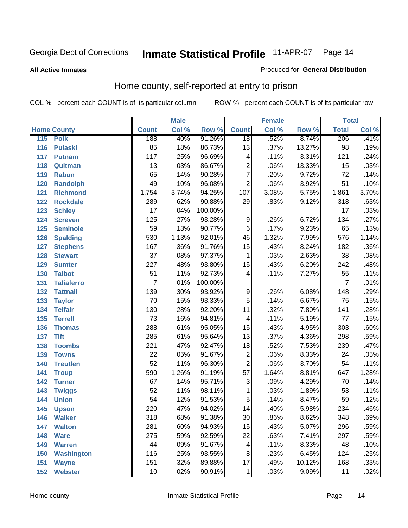#### **All Active Inmates**

#### Produced for **General Distribution**

### Home county, self-reported at entry to prison

|     |                    |                  | <b>Male</b> |         |                 | <b>Female</b> |        | <b>Total</b>     |       |
|-----|--------------------|------------------|-------------|---------|-----------------|---------------|--------|------------------|-------|
|     | <b>Home County</b> | <b>Count</b>     | Col %       | Row %   | <b>Count</b>    | Col %         | Row %  | <b>Total</b>     | Col % |
| 115 | <b>Polk</b>        | 188              | .40%        | 91.26%  | $\overline{18}$ | .52%          | 8.74%  | 206              | .41%  |
| 116 | <b>Pulaski</b>     | 85               | .18%        | 86.73%  | $\overline{13}$ | .37%          | 13.27% | $\overline{98}$  | .19%  |
| 117 | <b>Putnam</b>      | 117              | .25%        | 96.69%  | 4               | .11%          | 3.31%  | 121              | .24%  |
| 118 | Quitman            | $\overline{13}$  | .03%        | 86.67%  | $\overline{2}$  | .06%          | 13.33% | $\overline{15}$  | .03%  |
| 119 | <b>Rabun</b>       | 65               | .14%        | 90.28%  | $\overline{7}$  | .20%          | 9.72%  | $\overline{72}$  | .14%  |
| 120 | <b>Randolph</b>    | 49               | .10%        | 96.08%  | $\overline{2}$  | .06%          | 3.92%  | $\overline{51}$  | .10%  |
| 121 | <b>Richmond</b>    | 1,754            | 3.74%       | 94.25%  | 107             | 3.08%         | 5.75%  | 1,861            | 3.70% |
| 122 | <b>Rockdale</b>    | 289              | .62%        | 90.88%  | 29              | .83%          | 9.12%  | 318              | .63%  |
| 123 | <b>Schley</b>      | $\overline{17}$  | .04%        | 100.00% |                 |               |        | $\overline{17}$  | .03%  |
| 124 | <b>Screven</b>     | $\overline{125}$ | .27%        | 93.28%  | 9               | .26%          | 6.72%  | 134              | .27%  |
| 125 | <b>Seminole</b>    | $\overline{59}$  | .13%        | 90.77%  | $\overline{6}$  | .17%          | 9.23%  | 65               | .13%  |
| 126 | <b>Spalding</b>    | 530              | 1.13%       | 92.01%  | 46              | 1.32%         | 7.99%  | 576              | 1.14% |
| 127 | <b>Stephens</b>    | 167              | .36%        | 91.76%  | $\overline{15}$ | .43%          | 8.24%  | 182              | .36%  |
| 128 | <b>Stewart</b>     | $\overline{37}$  | .08%        | 97.37%  | 1               | .03%          | 2.63%  | $\overline{38}$  | .08%  |
| 129 | <b>Sumter</b>      | $\overline{227}$ | .48%        | 93.80%  | $\overline{15}$ | .43%          | 6.20%  | $\overline{242}$ | .48%  |
| 130 | <b>Talbot</b>      | $\overline{51}$  | .11%        | 92.73%  | 4               | .11%          | 7.27%  | $\overline{55}$  | .11%  |
| 131 | <b>Taliaferro</b>  | $\overline{7}$   | .01%        | 100.00% |                 |               |        | $\overline{7}$   | .01%  |
| 132 | <b>Tattnall</b>    | 139              | .30%        | 93.92%  | 9               | .26%          | 6.08%  | 148              | .29%  |
| 133 | <b>Taylor</b>      | $\overline{70}$  | .15%        | 93.33%  | $\overline{5}$  | .14%          | 6.67%  | $\overline{75}$  | .15%  |
| 134 | <b>Telfair</b>     | 130              | .28%        | 92.20%  | $\overline{11}$ | .32%          | 7.80%  | 141              | .28%  |
| 135 | <b>Terrell</b>     | $\overline{73}$  | .16%        | 94.81%  | 4               | .11%          | 5.19%  | $\overline{77}$  | .15%  |
| 136 | <b>Thomas</b>      | 288              | .61%        | 95.05%  | $\overline{15}$ | .43%          | 4.95%  | $\overline{303}$ | .60%  |
| 137 | <b>Tift</b>        | 285              | .61%        | 95.64%  | $\overline{13}$ | .37%          | 4.36%  | 298              | .59%  |
| 138 | <b>Toombs</b>      | $\overline{221}$ | .47%        | 92.47%  | $\overline{18}$ | .52%          | 7.53%  | 239              | .47%  |
| 139 | <b>Towns</b>       | $\overline{22}$  | .05%        | 91.67%  | $\overline{2}$  | .06%          | 8.33%  | $\overline{24}$  | .05%  |
| 140 | <b>Treutlen</b>    | $\overline{52}$  | .11%        | 96.30%  | $\overline{2}$  | .06%          | 3.70%  | $\overline{54}$  | .11%  |
| 141 | <b>Troup</b>       | 590              | 1.26%       | 91.19%  | $\overline{57}$ | 1.64%         | 8.81%  | 647              | 1.28% |
| 142 | <b>Turner</b>      | 67               | .14%        | 95.71%  | $\overline{3}$  | .09%          | 4.29%  | 70               | .14%  |
| 143 | <b>Twiggs</b>      | $\overline{52}$  | .11%        | 98.11%  | 1               | .03%          | 1.89%  | $\overline{53}$  | .11%  |
| 144 | <b>Union</b>       | $\overline{54}$  | .12%        | 91.53%  | $\overline{5}$  | .14%          | 8.47%  | $\overline{59}$  | .12%  |
| 145 | <b>Upson</b>       | 220              | .47%        | 94.02%  | $\overline{14}$ | .40%          | 5.98%  | 234              | .46%  |
| 146 | <b>Walker</b>      | 318              | .68%        | 91.38%  | 30              | .86%          | 8.62%  | 348              | .69%  |
| 147 | <b>Walton</b>      | $\overline{281}$ | .60%        | 94.93%  | $\overline{15}$ | .43%          | 5.07%  | 296              | .59%  |
| 148 | <b>Ware</b>        | $\overline{275}$ | .59%        | 92.59%  | $\overline{22}$ | .63%          | 7.41%  | 297              | .59%  |
| 149 | <b>Warren</b>      | 44               | .09%        | 91.67%  | 4               | .11%          | 8.33%  | 48               | .10%  |
| 150 | <b>Washington</b>  | 116              | .25%        | 93.55%  | $\overline{8}$  | .23%          | 6.45%  | 124              | .25%  |
| 151 | <b>Wayne</b>       | 151              | .32%        | 89.88%  | $\overline{17}$ | .49%          | 10.12% | 168              | .33%  |
| 152 | <b>Webster</b>     | $\overline{10}$  | .02%        | 90.91%  | 1               | .03%          | 9.09%  | $\overline{11}$  | .02%  |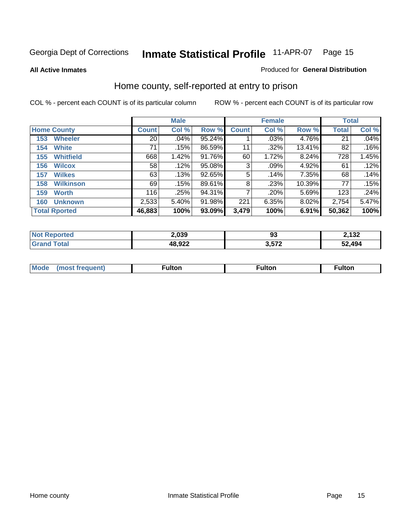**All Active Inmates**

#### Produced for **General Distribution**

### Home county, self-reported at entry to prison

|     |                      |                 | <b>Male</b> |        |              | <b>Female</b> |        | <b>Total</b> |       |
|-----|----------------------|-----------------|-------------|--------|--------------|---------------|--------|--------------|-------|
|     | <b>Home County</b>   | <b>Count</b>    | Col %       | Row %  | <b>Count</b> | Col %         | Row %  | <b>Total</b> | Col % |
| 153 | <b>Wheeler</b>       | 20 <sup>1</sup> | .04%        | 95.24% |              | .03%          | 4.76%  | 21           | .04%  |
| 154 | <b>White</b>         | 71              | .15%        | 86.59% | 11           | .32%          | 13.41% | 82           | .16%  |
| 155 | <b>Whitfield</b>     | 668             | 1.42%       | 91.76% | 60           | 1.72%         | 8.24%  | 728          | 1.45% |
| 156 | <b>Wilcox</b>        | 58              | .12%        | 95.08% | 3            | $.09\%$       | 4.92%  | 61           | .12%  |
| 157 | <b>Wilkes</b>        | 63              | .13%        | 92.65% | 5            | .14%          | 7.35%  | 68           | .14%  |
| 158 | <b>Wilkinson</b>     | 69              | .15%        | 89.61% | 8            | .23%          | 10.39% | 77           | .15%  |
| 159 | <b>Worth</b>         | 116             | .25%        | 94.31% | 7            | .20%          | 5.69%  | 123          | .24%  |
| 160 | <b>Unknown</b>       | 2,533           | 5.40%       | 91.98% | 221          | 6.35%         | 8.02%  | 2,754        | 5.47% |
|     | <b>Total Rported</b> | 46,883          | 100%        | 93.09% | 3,479        | 100%          | 6.91%  | 50,362       | 100%  |

| oorted<br>NO: | 2,039  | ນວ         | ממו ה<br>2. ا ب |
|---------------|--------|------------|-----------------|
| otal<br>. re- | 48,922 | <b>E79</b> | 52.494          |

| <b>Mode</b> | ---<br>.tor | <b>ulton</b> | . |
|-------------|-------------|--------------|---|
|             |             |              |   |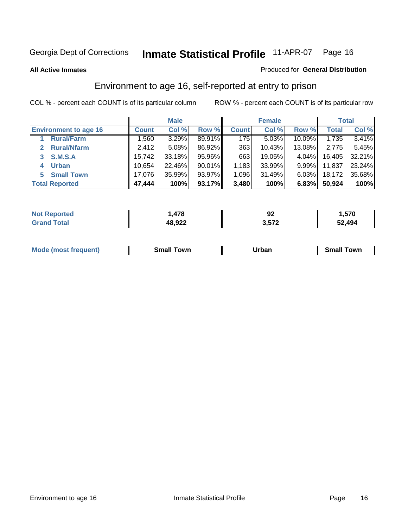**All Active Inmates**

#### Produced for **General Distribution**

### Environment to age 16, self-reported at entry to prison

|                                      |              | <b>Male</b> |        |              | <b>Female</b> |           |              | <b>Total</b> |
|--------------------------------------|--------------|-------------|--------|--------------|---------------|-----------|--------------|--------------|
| <b>Environment to age 16</b>         | <b>Count</b> | Col %       | Row %  | <b>Count</b> | Col %         | Row %     | <b>Total</b> | Col %        |
| <b>Rural/Farm</b>                    | ,560         | 3.29%       | 89.91% | 175          | 5.03%         | $10.09\%$ | 1,735        | 3.41%        |
| <b>Rural/Nfarm</b><br>$\overline{2}$ | 2,412        | 5.08%       | 86.92% | 363          | 10.43%        | 13.08%    | 2,775        | 5.45%        |
| <b>S.M.S.A</b><br>3                  | 15,742       | 33.18%      | 95.96% | 663          | 19.05%        | 4.04%     | 16,405       | 32.21%       |
| <b>Urban</b><br>4                    | 10,654       | 22.46%      | 90.01% | 1,183        | 33.99%        | $9.99\%$  | 11,837       | 23.24%       |
| <b>Small Town</b><br>5               | 17,076       | 35.99%      | 93.97% | 1,096        | 31.49%        | 6.03%     | 18,172       | 35.68%       |
| <b>Total Reported</b>                | 47,444       | 100%        | 93.17% | 3,480        | 100%          | 6.83%     | 50,924       | 100%         |

| <b>Not</b><br><b>Reported</b> | ,478   | n.<br>JZ | .570،  |
|-------------------------------|--------|----------|--------|
| <b>Total</b>                  | 48,922 | 3,572    | 52,494 |

| Mo<br>. . | . owr | <u>'''' ''</u><br>roa<br>_____ | .0W <sub>r</sub> |
|-----------|-------|--------------------------------|------------------|
|           |       |                                |                  |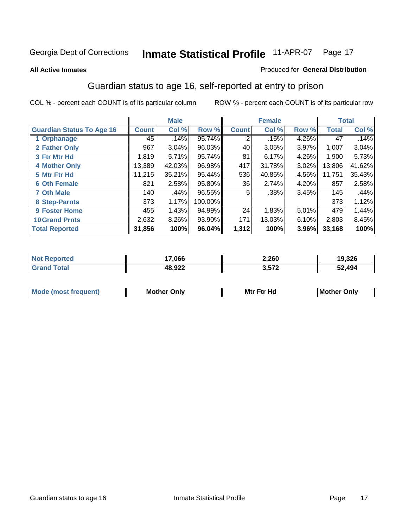#### **All Active Inmates**

#### Produced for **General Distribution**

### Guardian status to age 16, self-reported at entry to prison

|                                  |              | <b>Male</b> |         |                | <b>Female</b> |       |              | <b>Total</b> |
|----------------------------------|--------------|-------------|---------|----------------|---------------|-------|--------------|--------------|
| <b>Guardian Status To Age 16</b> | <b>Count</b> | Col %       | Row %   | <b>Count</b>   | Col %         | Row % | <b>Total</b> | Col %        |
| 1 Orphanage                      | 45           | .14%        | 95.74%  | 2              | .15%          | 4.26% | 47           | .14%         |
| 2 Father Only                    | 967          | 3.04%       | 96.03%  | 40             | 3.05%         | 3.97% | 1,007        | 3.04%        |
| 3 Ftr Mtr Hd                     | 1,819        | 5.71%       | 95.74%  | 81             | 6.17%         | 4.26% | 1,900        | 5.73%        |
| <b>4 Mother Only</b>             | 13,389       | 42.03%      | 96.98%  | 417            | 31.78%        | 3.02% | 13,806       | 41.62%       |
| 5 Mtr Ftr Hd                     | 11,215       | 35.21%      | 95.44%  | 536            | 40.85%        | 4.56% | 11,751       | 35.43%       |
| <b>6 Oth Female</b>              | 821          | 2.58%       | 95.80%  | 36             | 2.74%         | 4.20% | 857          | 2.58%        |
| <b>7 Oth Male</b>                | 140          | .44%        | 96.55%  | 5 <sub>1</sub> | .38%          | 3.45% | 145          | .44%         |
| 8 Step-Parnts                    | 373          | 1.17%       | 100.00% |                |               |       | 373          | 1.12%        |
| 9 Foster Home                    | 455          | 1.43%       | 94.99%  | 24             | 1.83%         | 5.01% | 479          | 1.44%        |
| <b>10 Grand Prnts</b>            | 2,632        | 8.26%       | 93.90%  | 171            | 13.03%        | 6.10% | 2,803        | 8.45%        |
| <b>Total Reported</b>            | 31,856       | 100%        | 96.04%  | 1,312          | 100%          | 3.96% | 33,168       | 100%         |

| <b>Not Reported</b> | 17,066 | 2,260 | 19,326 |
|---------------------|--------|-------|--------|
| <b>Grand Total</b>  | 48,922 | 3,572 | 52,494 |

| <b>Mou</b> | Mother<br>Onlv | Hд<br>Mtr Ftr | Only<br>lMoth |
|------------|----------------|---------------|---------------|
|            |                |               |               |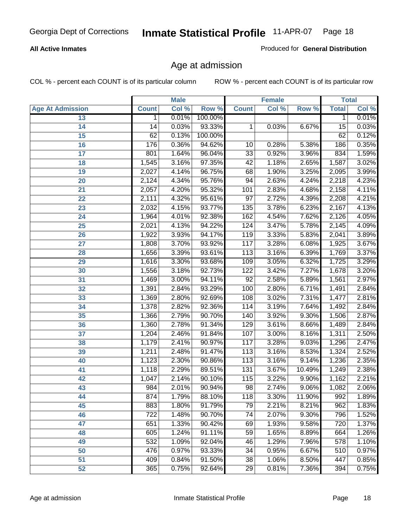#### **All Active Inmates**

Produced for **General Distribution**

### Age at admission

|                         | <b>Male</b>  |       | <b>Female</b> |                  |       | <b>Total</b> |              |       |
|-------------------------|--------------|-------|---------------|------------------|-------|--------------|--------------|-------|
| <b>Age At Admission</b> | <b>Count</b> | Col % | Row %         | <b>Count</b>     | Col % | Row %        | <b>Total</b> | Col % |
| 13                      | $\mathbf{1}$ | 0.01% | 100.00%       |                  |       |              | 1            | 0.01% |
| 14                      | 14           | 0.03% | 93.33%        | 1                | 0.03% | 6.67%        | 15           | 0.03% |
| 15                      | 62           | 0.13% | 100.00%       |                  |       |              | 62           | 0.12% |
| 16                      | 176          | 0.36% | 94.62%        | 10               | 0.28% | 5.38%        | 186          | 0.35% |
| $\overline{17}$         | 801          | 1.64% | 96.04%        | $\overline{33}$  | 0.92% | 3.96%        | 834          | 1.59% |
| 18                      | 1,545        | 3.16% | 97.35%        | 42               | 1.18% | 2.65%        | 1,587        | 3.02% |
| 19                      | 2,027        | 4.14% | 96.75%        | 68               | 1.90% | 3.25%        | 2,095        | 3.99% |
| 20                      | 2,124        | 4.34% | 95.76%        | 94               | 2.63% | 4.24%        | 2,218        | 4.23% |
| 21                      | 2,057        | 4.20% | 95.32%        | 101              | 2.83% | 4.68%        | 2,158        | 4.11% |
| 22                      | 2,111        | 4.32% | 95.61%        | $\overline{97}$  | 2.72% | 4.39%        | 2,208        | 4.21% |
| 23                      | 2,032        | 4.15% | 93.77%        | $\overline{135}$ | 3.78% | 6.23%        | 2,167        | 4.13% |
| 24                      | 1,964        | 4.01% | 92.38%        | 162              | 4.54% | 7.62%        | 2,126        | 4.05% |
| $\overline{25}$         | 2,021        | 4.13% | 94.22%        | 124              | 3.47% | 5.78%        | 2,145        | 4.09% |
| 26                      | 1,922        | 3.93% | 94.17%        | 119              | 3.33% | 5.83%        | 2,041        | 3.89% |
| 27                      | 1,808        | 3.70% | 93.92%        | 117              | 3.28% | 6.08%        | 1,925        | 3.67% |
| 28                      | 1,656        | 3.39% | 93.61%        | 113              | 3.16% | 6.39%        | 1,769        | 3.37% |
| 29                      | 1,616        | 3.30% | 93.68%        | 109              | 3.05% | 6.32%        | 1,725        | 3.29% |
| 30                      | 1,556        | 3.18% | 92.73%        | 122              | 3.42% | 7.27%        | 1,678        | 3.20% |
| 31                      | 1,469        | 3.00% | 94.11%        | $\overline{92}$  | 2.58% | 5.89%        | 1,561        | 2.97% |
| 32                      | 1,391        | 2.84% | 93.29%        | 100              | 2.80% | 6.71%        | 1,491        | 2.84% |
| 33                      | 1,369        | 2.80% | 92.69%        | 108              | 3.02% | 7.31%        | 1,477        | 2.81% |
| 34                      | 1,378        | 2.82% | 92.36%        | 114              | 3.19% | 7.64%        | 1,492        | 2.84% |
| 35                      | 1,366        | 2.79% | 90.70%        | 140              | 3.92% | 9.30%        | 1,506        | 2.87% |
| 36                      | 1,360        | 2.78% | 91.34%        | 129              | 3.61% | 8.66%        | 1,489        | 2.84% |
| 37                      | 1,204        | 2.46% | 91.84%        | 107              | 3.00% | 8.16%        | 1,311        | 2.50% |
| 38                      | 1,179        | 2.41% | 90.97%        | 117              | 3.28% | 9.03%        | 1,296        | 2.47% |
| 39                      | 1,211        | 2.48% | 91.47%        | 113              | 3.16% | 8.53%        | 1,324        | 2.52% |
| 40                      | 1,123        | 2.30% | 90.86%        | 113              | 3.16% | 9.14%        | 1,236        | 2.35% |
| 41                      | 1,118        | 2.29% | 89.51%        | 131              | 3.67% | 10.49%       | 1,249        | 2.38% |
| 42                      | 1,047        | 2.14% | 90.10%        | 115              | 3.22% | 9.90%        | 1,162        | 2.21% |
| 43                      | 984          | 2.01% | 90.94%        | 98               | 2.74% | 9.06%        | 1,082        | 2.06% |
| 44                      | 874          | 1.79% | 88.10%        | 118              | 3.30% | 11.90%       | 992          | 1.89% |
| 45                      | 883          | 1.80% | 91.79%        | 79               | 2.21% | 8.21%        | 962          | 1.83% |
| 46                      | 722          | 1.48% | 90.70%        | 74               | 2.07% | 9.30%        | 796          | 1.52% |
| 47                      | 651          | 1.33% | 90.42%        | 69               | 1.93% | 9.58%        | 720          | 1.37% |
| 48                      | 605          | 1.24% | 91.11%        | 59               | 1.65% | 8.89%        | 664          | 1.26% |
| 49                      | 532          | 1.09% | 92.04%        | 46               | 1.29% | 7.96%        | 578          | 1.10% |
| 50                      | 476          | 0.97% | 93.33%        | 34               | 0.95% | 6.67%        | 510          | 0.97% |
| 51                      | 409          | 0.84% | 91.50%        | $\overline{38}$  | 1.06% | 8.50%        | 447          | 0.85% |
| 52                      | 365          | 0.75% | 92.64%        | 29               | 0.81% | 7.36%        | 394          | 0.75% |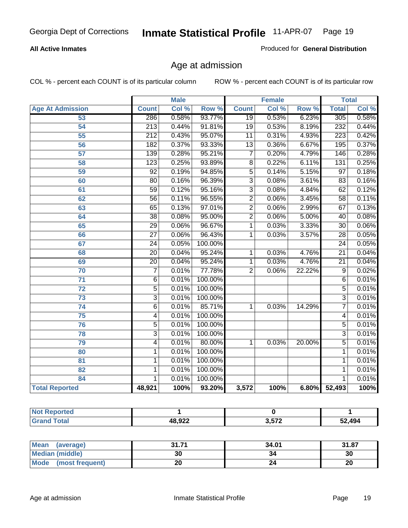#### **All Active Inmates**

Produced for **General Distribution**

### Age at admission

|                          |                  | <b>Male</b> |         |                 | <b>Female</b> |        |                  | <b>Total</b> |
|--------------------------|------------------|-------------|---------|-----------------|---------------|--------|------------------|--------------|
| <b>Age At Admission</b>  | <b>Count</b>     | Col %       | Row %   | <b>Count</b>    | Col %         | Row %  | <b>Total</b>     | Col %        |
| 53                       | 286              | 0.58%       | 93.77%  | $\overline{19}$ | 0.53%         | 6.23%  | 305              | 0.58%        |
| 54                       | 213              | 0.44%       | 91.81%  | $\overline{19}$ | 0.53%         | 8.19%  | 232              | 0.44%        |
| 55                       | $\overline{212}$ | 0.43%       | 95.07%  | 11              | 0.31%         | 4.93%  | $\overline{223}$ | 0.42%        |
| $\overline{56}$          | 182              | 0.37%       | 93.33%  | $\overline{13}$ | 0.36%         | 6.67%  | 195              | 0.37%        |
| 57                       | 139              | 0.28%       | 95.21%  | $\overline{7}$  | 0.20%         | 4.79%  | 146              | 0.28%        |
| 58                       | 123              | 0.25%       | 93.89%  | $\overline{8}$  | 0.22%         | 6.11%  | $\overline{131}$ | 0.25%        |
| 59                       | $\overline{92}$  | 0.19%       | 94.85%  | $\overline{5}$  | 0.14%         | 5.15%  | $\overline{97}$  | 0.18%        |
| 60                       | $\overline{80}$  | 0.16%       | 96.39%  | $\overline{3}$  | 0.08%         | 3.61%  | 83               | 0.16%        |
| 61                       | $\overline{59}$  | 0.12%       | 95.16%  | $\overline{3}$  | 0.08%         | 4.84%  | 62               | 0.12%        |
| 62                       | $\overline{56}$  | 0.11%       | 96.55%  | $\overline{2}$  | 0.06%         | 3.45%  | $\overline{58}$  | 0.11%        |
| 63                       | 65               | 0.13%       | 97.01%  | $\overline{2}$  | 0.06%         | 2.99%  | 67               | 0.13%        |
| 64                       | $\overline{38}$  | 0.08%       | 95.00%  | $\overline{2}$  | 0.06%         | 5.00%  | $\overline{40}$  | 0.08%        |
| 65                       | $\overline{29}$  | 0.06%       | 96.67%  | 1               | 0.03%         | 3.33%  | $\overline{30}$  | 0.06%        |
| 66                       | $\overline{27}$  | 0.06%       | 96.43%  | 1               | 0.03%         | 3.57%  | $\overline{28}$  | 0.05%        |
| 67                       | 24               | 0.05%       | 100.00% |                 |               |        | $\overline{24}$  | 0.05%        |
| 68                       | $\overline{20}$  | 0.04%       | 95.24%  | 1               | 0.03%         | 4.76%  | $\overline{21}$  | 0.04%        |
| 69                       | $\overline{20}$  | 0.04%       | 95.24%  | 1               | 0.03%         | 4.76%  | $\overline{21}$  | 0.04%        |
| 70                       | $\overline{7}$   | 0.01%       | 77.78%  | $\overline{2}$  | 0.06%         | 22.22% | $\overline{9}$   | 0.02%        |
| 71                       | $\overline{6}$   | 0.01%       | 100.00% |                 |               |        | 6                | 0.01%        |
| $\overline{72}$          | $\overline{5}$   | 0.01%       | 100.00% |                 |               |        | $\overline{5}$   | 0.01%        |
| 73                       | $\overline{3}$   | 0.01%       | 100.00% |                 |               |        | $\overline{3}$   | 0.01%        |
| 74                       | $\overline{6}$   | 0.01%       | 85.71%  | 1               | 0.03%         | 14.29% | 7                | 0.01%        |
| 75                       | 4                | 0.01%       | 100.00% |                 |               |        | 4                | 0.01%        |
| 76                       | $\overline{5}$   | 0.01%       | 100.00% |                 |               |        | $\overline{5}$   | 0.01%        |
| 78                       | $\overline{3}$   | 0.01%       | 100.00% |                 |               |        | $\overline{3}$   | 0.01%        |
| 79                       | $\overline{4}$   | 0.01%       | 80.00%  | $\mathbf{1}$    | 0.03%         | 20.00% | $\overline{5}$   | 0.01%        |
| 80                       | 1                | 0.01%       | 100.00% |                 |               |        | 1                | 0.01%        |
| $\overline{\mathbf{81}}$ | $\mathbf{1}$     | 0.01%       | 100.00% |                 |               |        | 1                | 0.01%        |
| 82                       | 1                | 0.01%       | 100.00% |                 |               |        | 1                | 0.01%        |
| 84                       | 1                | 0.01%       | 100.00% |                 |               |        | 1                | 0.01%        |
| <b>Total Reported</b>    | 48,921           | 100%        | 93.20%  | 3,572           | 100%          | 6.80%  | 52,493           | 100%         |

| <b>Not Reported</b> |        |       |        |
|---------------------|--------|-------|--------|
| <b>Grand Total</b>  | 48,922 | 3,572 | 52,494 |

| Mean<br>(average)       | 24, 74<br>JI.I I | 34.01 | 31.87 |
|-------------------------|------------------|-------|-------|
| <b>Median (middle)</b>  | 30               | 34    | 30    |
| Mode<br>(most frequent) |                  |       | 20    |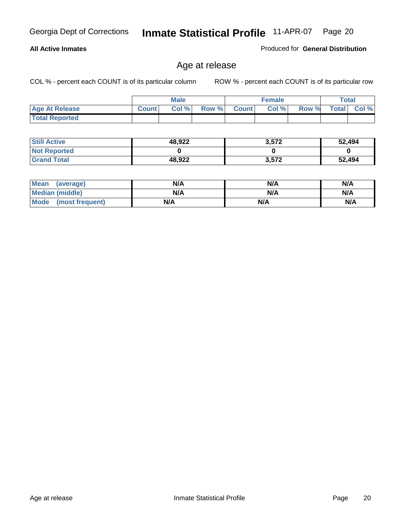#### **All Active Inmates**

Produced for **General Distribution**

### Age at release

|                       |              | <b>Male</b> |       |              | <b>Female</b> |       |              | <b>Total</b> |
|-----------------------|--------------|-------------|-------|--------------|---------------|-------|--------------|--------------|
| <b>Age At Release</b> | <b>Count</b> | Col%        | Row % | <b>Count</b> | Col %         | Row % | <b>Total</b> | Col $\%$     |
| <b>Total Reported</b> |              |             |       |              |               |       |              |              |

| <b>Still Active</b> | 48,922 | 3,572 | 52,494 |
|---------------------|--------|-------|--------|
| <b>Not Reported</b> |        |       |        |
| <b>Grand Total</b>  | 48,922 | 3,572 | 52,494 |

| Mean (average)       | N/A | N/A | N/A |
|----------------------|-----|-----|-----|
| Median (middle)      | N/A | N/A | N/A |
| Mode (most frequent) | N/A | N/A | N/A |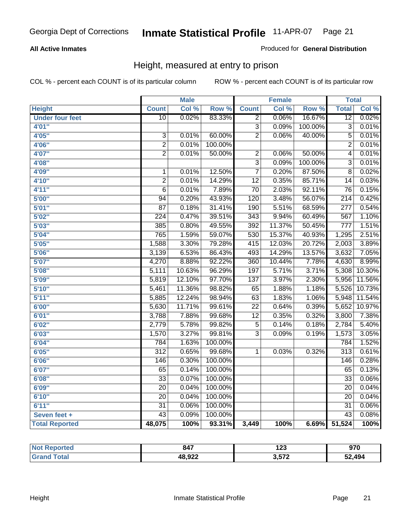#### **All Active Inmates**

#### Produced for **General Distribution**

### Height, measured at entry to prison

|                        |                  | <b>Male</b> |         |                           | <b>Female</b> |         | <b>Total</b>     |        |
|------------------------|------------------|-------------|---------|---------------------------|---------------|---------|------------------|--------|
| <b>Height</b>          | <b>Count</b>     | Col %       | Row %   | <b>Count</b>              | Col %         | Row %   | <b>Total</b>     | Col %  |
| <b>Under four feet</b> | $\overline{10}$  | 0.02%       | 83.33%  | $\overline{2}$            | 0.06%         | 16.67%  | $\overline{12}$  | 0.02%  |
| 4'01''                 |                  |             |         | $\overline{\overline{3}}$ | 0.09%         | 100.00% | $\overline{3}$   | 0.01%  |
| 4'05"                  | 3                | 0.01%       | 60.00%  | $\overline{2}$            | 0.06%         | 40.00%  | 5                | 0.01%  |
| 4'06"                  | $\overline{2}$   | 0.01%       | 100.00% |                           |               |         | $\overline{2}$   | 0.01%  |
| 4'07"                  | $\overline{2}$   | 0.01%       | 50.00%  | $\overline{2}$            | 0.06%         | 50.00%  | $\overline{4}$   | 0.01%  |
| 4'08"                  |                  |             |         | $\overline{3}$            | 0.09%         | 100.00% | $\overline{3}$   | 0.01%  |
| 4'09"                  | $\mathbf{1}$     | 0.01%       | 12.50%  | $\overline{7}$            | 0.20%         | 87.50%  | $\overline{8}$   | 0.02%  |
| 4'10"                  | $\overline{2}$   | 0.01%       | 14.29%  | $\overline{12}$           | 0.35%         | 85.71%  | 14               | 0.03%  |
| 4'11''                 | $\overline{6}$   | 0.01%       | 7.89%   | 70                        | 2.03%         | 92.11%  | 76               | 0.15%  |
| 5'00''                 | 94               | 0.20%       | 43.93%  | 120                       | 3.48%         | 56.07%  | $\overline{214}$ | 0.42%  |
| 5'01''                 | $\overline{87}$  | 0.18%       | 31.41%  | 190                       | 5.51%         | 68.59%  | $\overline{277}$ | 0.54%  |
| 5'02''                 | $\overline{224}$ | 0.47%       | 39.51%  | $\overline{343}$          | 9.94%         | 60.49%  | 567              | 1.10%  |
| 5'03''                 | 385              | 0.80%       | 49.55%  | 392                       | 11.37%        | 50.45%  | $\overline{777}$ | 1.51%  |
| 5'04"                  | 765              | 1.59%       | 59.07%  | 530                       | 15.37%        | 40.93%  | 1,295            | 2.51%  |
| 5'05''                 | 1,588            | 3.30%       | 79.28%  | 415                       | 12.03%        | 20.72%  | 2,003            | 3.89%  |
| 5'06''                 | 3,139            | 6.53%       | 86.43%  | 493                       | 14.29%        | 13.57%  | 3,632            | 7.05%  |
| 5'07''                 | 4,270            | 8.88%       | 92.22%  | 360                       | 10.44%        | 7.78%   | 4,630            | 8.99%  |
| 5'08''                 | 5,111            | 10.63%      | 96.29%  | 197                       | 5.71%         | 3.71%   | 5,308            | 10.30% |
| 5'09''                 | 5,819            | 12.10%      | 97.70%  | $\overline{137}$          | 3.97%         | 2.30%   | 5,956            | 11.56% |
| 5'10''                 | 5,461            | 11.36%      | 98.82%  | 65                        | 1.88%         | 1.18%   | 5,526            | 10.73% |
| 5'11''                 | 5,885            | 12.24%      | 98.94%  | 63                        | 1.83%         | 1.06%   | 5,948            | 11.54% |
| 6'00''                 | 5,630            | 11.71%      | 99.61%  | $\overline{22}$           | 0.64%         | 0.39%   | 5,652            | 10.97% |
| 6'01''                 | 3,788            | 7.88%       | 99.68%  | $\overline{12}$           | 0.35%         | 0.32%   | 3,800            | 7.38%  |
| 6'02''                 | 2,779            | 5.78%       | 99.82%  | $\overline{5}$            | 0.14%         | 0.18%   | 2,784            | 5.40%  |
| 6'03''                 | 1,570            | 3.27%       | 99.81%  | $\overline{3}$            | 0.09%         | 0.19%   | 1,573            | 3.05%  |
| 6'04''                 | 784              | 1.63%       | 100.00% |                           |               |         | 784              | 1.52%  |
| 6'05''                 | $\overline{312}$ | 0.65%       | 99.68%  | 1                         | 0.03%         | 0.32%   | $\overline{313}$ | 0.61%  |
| 6'06''                 | $\overline{146}$ | 0.30%       | 100.00% |                           |               |         | 146              | 0.28%  |
| 6'07''                 | 65               | 0.14%       | 100.00% |                           |               |         | 65               | 0.13%  |
| 6'08''                 | $\overline{33}$  | 0.07%       | 100.00% |                           |               |         | $\overline{33}$  | 0.06%  |
| 6'09''                 | $\overline{20}$  | 0.04%       | 100.00% |                           |               |         | 20               | 0.04%  |
| 6'10''                 | $\overline{20}$  | 0.04%       | 100.00% |                           |               |         | $\overline{20}$  | 0.04%  |
| 6'11''                 | $\overline{31}$  | 0.06%       | 100.00% |                           |               |         | $\overline{31}$  | 0.06%  |
| Seven feet +           | $\overline{43}$  | 0.09%       | 100.00% |                           |               |         | $\overline{43}$  | 0.08%  |
| <b>Total Reported</b>  | 48,075           | 100%        | 93.31%  | 3,449                     | 100%          | 6.69%   | 51,524           | 100%   |

| rted   | 847    | ה ה<br>12J<br>--- | 970    |
|--------|--------|-------------------|--------|
| $\sim$ | 48,922 | 3,572             | 52,494 |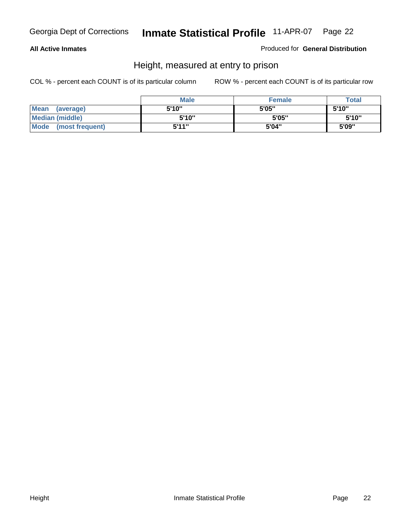#### **All Active Inmates**

#### Produced for **General Distribution**

### Height, measured at entry to prison

|                      | <b>Male</b> | <b>Female</b> | <b>Total</b> |
|----------------------|-------------|---------------|--------------|
| Mean (average)       | 5'10"       | 5'05"         | 5'10"        |
| Median (middle)      | 5'10"       | 5'05"         | 5'10''       |
| Mode (most frequent) | 5'11"       | 5'04"         | 5'09"        |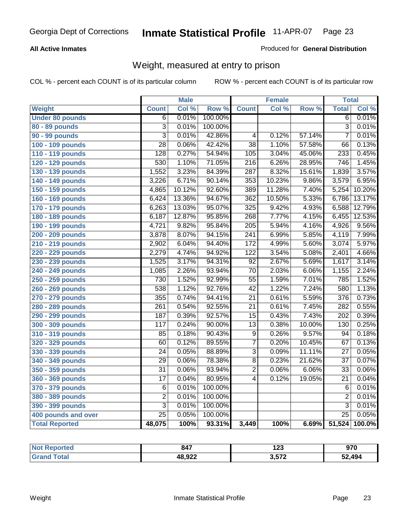#### **All Active Inmates**

#### Produced for **General Distribution**

### Weight, measured at entry to prison

|                        |                  | <b>Male</b> |         |                  | Female |        | <b>Total</b>     |        |
|------------------------|------------------|-------------|---------|------------------|--------|--------|------------------|--------|
| Weight                 | <b>Count</b>     | Col %       | Row %   | <b>Count</b>     | Col %  | Row %  | <b>Total</b>     | Col %  |
| <b>Under 80 pounds</b> | $\overline{6}$   | 0.01%       | 100.00% |                  |        |        | $\overline{6}$   | 0.01%  |
| 80 - 89 pounds         | $\overline{3}$   | 0.01%       | 100.00% |                  |        |        | $\overline{3}$   | 0.01%  |
| 90 - 99 pounds         | $\overline{3}$   | 0.01%       | 42.86%  | $\overline{4}$   | 0.12%  | 57.14% | $\overline{7}$   | 0.01%  |
| 100 - 109 pounds       | $\overline{28}$  | 0.06%       | 42.42%  | $\overline{38}$  | 1.10%  | 57.58% | 66               | 0.13%  |
| 110 - 119 pounds       | 128              | 0.27%       | 54.94%  | 105              | 3.04%  | 45.06% | 233              | 0.45%  |
| 120 - 129 pounds       | $\overline{530}$ | 1.10%       | 71.05%  | $\overline{216}$ | 6.26%  | 28.95% | 746              | 1.45%  |
| 130 - 139 pounds       | 1,552            | 3.23%       | 84.39%  | 287              | 8.32%  | 15.61% | 1,839            | 3.57%  |
| 140 - 149 pounds       | 3,226            | 6.71%       | 90.14%  | 353              | 10.23% | 9.86%  | 3,579            | 6.95%  |
| 150 - 159 pounds       | 4,865            | 10.12%      | 92.60%  | 389              | 11.28% | 7.40%  | 5,254            | 10.20% |
| 160 - 169 pounds       | 6,424            | 13.36%      | 94.67%  | 362              | 10.50% | 5.33%  | 6,786            | 13.17% |
| 170 - 179 pounds       | 6,263            | 13.03%      | 95.07%  | $\overline{325}$ | 9.42%  | 4.93%  | 6,588            | 12.79% |
| 180 - 189 pounds       | 6,187            | 12.87%      | 95.85%  | 268              | 7.77%  | 4.15%  | 6,455            | 12.53% |
| 190 - 199 pounds       | 4,721            | 9.82%       | 95.84%  | $\overline{205}$ | 5.94%  | 4.16%  | 4,926            | 9.56%  |
| 200 - 209 pounds       | 3,878            | 8.07%       | 94.15%  | $\overline{241}$ | 6.99%  | 5.85%  | 4,119            | 7.99%  |
| 210 - 219 pounds       | 2,902            | 6.04%       | 94.40%  | $\overline{172}$ | 4.99%  | 5.60%  | 3,074            | 5.97%  |
| 220 - 229 pounds       | 2,279            | 4.74%       | 94.92%  | $\overline{122}$ | 3.54%  | 5.08%  | 2,401            | 4.66%  |
| 230 - 239 pounds       | 1,525            | 3.17%       | 94.31%  | $\overline{92}$  | 2.67%  | 5.69%  | 1,617            | 3.14%  |
| 240 - 249 pounds       | 1,085            | 2.26%       | 93.94%  | $\overline{70}$  | 2.03%  | 6.06%  | 1,155            | 2.24%  |
| 250 - 259 pounds       | 730              | 1.52%       | 92.99%  | $\overline{55}$  | 1.59%  | 7.01%  | 785              | 1.52%  |
| 260 - 269 pounds       | 538              | 1.12%       | 92.76%  | $\overline{42}$  | 1.22%  | 7.24%  | 580              | 1.13%  |
| 270 - 279 pounds       | 355              | 0.74%       | 94.41%  | $\overline{21}$  | 0.61%  | 5.59%  | 376              | 0.73%  |
| 280 - 289 pounds       | $\overline{261}$ | 0.54%       | 92.55%  | $\overline{21}$  | 0.61%  | 7.45%  | 282              | 0.55%  |
| 290 - 299 pounds       | 187              | 0.39%       | 92.57%  | $\overline{15}$  | 0.43%  | 7.43%  | $\overline{202}$ | 0.39%  |
| 300 - 309 pounds       | 117              | 0.24%       | 90.00%  | $\overline{13}$  | 0.38%  | 10.00% | 130              | 0.25%  |
| 310 - 319 pounds       | 85               | 0.18%       | 90.43%  | $\overline{9}$   | 0.26%  | 9.57%  | 94               | 0.18%  |
| 320 - 329 pounds       | 60               | 0.12%       | 89.55%  | 7                | 0.20%  | 10.45% | 67               | 0.13%  |
| 330 - 339 pounds       | $\overline{24}$  | 0.05%       | 88.89%  | $\overline{3}$   | 0.09%  | 11.11% | $\overline{27}$  | 0.05%  |
| 340 - 349 pounds       | $\overline{29}$  | 0.06%       | 78.38%  | $\overline{8}$   | 0.23%  | 21.62% | $\overline{37}$  | 0.07%  |
| 350 - 359 pounds       | $\overline{31}$  | 0.06%       | 93.94%  | $\overline{2}$   | 0.06%  | 6.06%  | $\overline{33}$  | 0.06%  |
| 360 - 369 pounds       | $\overline{17}$  | 0.04%       | 80.95%  | 4                | 0.12%  | 19.05% | $\overline{21}$  | 0.04%  |
| 370 - 379 pounds       | $\,6$            | 0.01%       | 100.00% |                  |        |        | 6                | 0.01%  |
| 380 - 389 pounds       | $\overline{2}$   | 0.01%       | 100.00% |                  |        |        | $\overline{2}$   | 0.01%  |
| 390 - 399 pounds       | 3                | 0.01%       | 100.00% |                  |        |        | $\overline{3}$   | 0.01%  |
| 400 pounds and over    | $\overline{25}$  | 0.05%       | 100.00% |                  |        |        | $\overline{25}$  | 0.05%  |
| <b>Total Reported</b>  | 48,075           | 100%        | 93.31%  | 3,449            | 100%   | 6.69%  | 51,524           | 100.0% |

| <b>Not</b><br>Reported | 847    | <b>Ann</b><br>. ZJ | 970    |
|------------------------|--------|--------------------|--------|
| Total                  | 48,922 | 2.572              | 52,494 |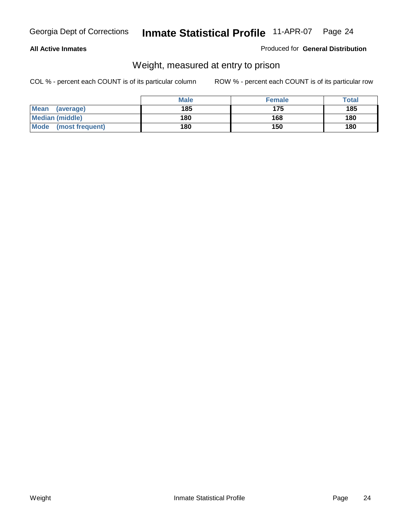#### **All Active Inmates**

#### Produced for **General Distribution**

### Weight, measured at entry to prison

|                          | <b>Male</b> | <b>Female</b> | Total |
|--------------------------|-------------|---------------|-------|
| <b>Mean</b><br>(average) | 185         | 175           | 185   |
| <b>Median (middle)</b>   | 180         | 168           | 180   |
| Mode<br>(most frequent)  | 180         | 150           | 180   |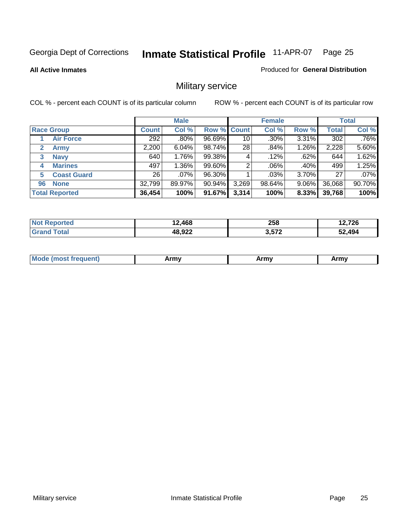**All Active Inmates**

Produced for **General Distribution**

### Military service

|                         |              | <b>Male</b> |             |       | <b>Female</b> |       |              | <b>Total</b> |
|-------------------------|--------------|-------------|-------------|-------|---------------|-------|--------------|--------------|
| <b>Race Group</b>       | <b>Count</b> | Col %       | Row % Count |       | Col %         | Row % | <b>Total</b> | Col %        |
| <b>Air Force</b>        | 292          | .80%        | 96.69%      | 10    | $.30\%$       | 3.31% | 302          | .76%         |
| 2<br><b>Army</b>        | 2,200        | 6.04%       | 98.74%      | 28    | .84%          | 1.26% | 2,228        | 5.60%        |
| <b>Navy</b><br>3        | 640          | 1.76%       | 99.38%      | 4     | .12%          | .62%  | 644          | 1.62%        |
| <b>Marines</b><br>4     | 497          | 1.36%       | 99.60%      | 2     | $.06\%$       | .40%  | 499          | 1.25%        |
| <b>Coast Guard</b><br>5 | 26           | $.07\%$     | 96.30%      |       | .03%          | 3.70% | 27           | .07%         |
| <b>None</b><br>96       | 32,799       | 89.97%      | 90.94%      | 3,269 | 98.64%        | 9.06% | 36,068       | 90.70%       |
| <b>Total Reported</b>   | 36,454       | 100%        | 91.67%      | 3,314 | 100%          | 8.33% | 39,768       | 100%         |

| orted<br><b>N</b>       | 864,∠. | 258   | 2,726  |
|-------------------------|--------|-------|--------|
| <b>Fotal</b><br>' Grano | 48,922 | 3,572 | 52,494 |

|  | <b>Mou</b> | Army | Army | Army |
|--|------------|------|------|------|
|--|------------|------|------|------|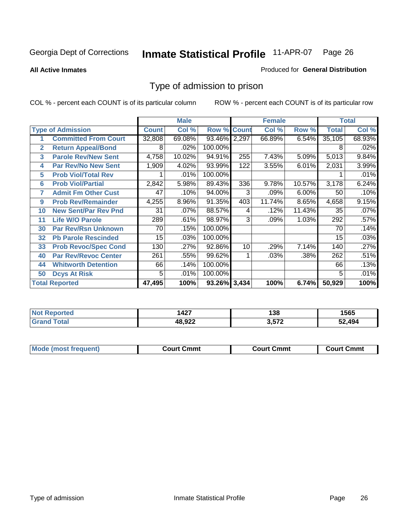#### **All Active Inmates**

#### Produced for **General Distribution**

### Type of admission to prison

|              |                             |              | <b>Male</b> |                    |     | <b>Female</b> |        |              | <b>Total</b> |
|--------------|-----------------------------|--------------|-------------|--------------------|-----|---------------|--------|--------------|--------------|
|              | <b>Type of Admission</b>    | <b>Count</b> | Col %       | <b>Row % Count</b> |     | Col %         | Row %  | <b>Total</b> | Col %        |
| 1            | <b>Committed From Court</b> | 32,808       | 69.08%      | 93.46% 2,297       |     | 66.89%        | 6.54%  | 35,105       | 68.93%       |
| $\mathbf{2}$ | <b>Return Appeal/Bond</b>   | 8            | .02%        | 100.00%            |     |               |        | 8            | .02%         |
| 3            | <b>Parole Rev/New Sent</b>  | 4,758        | 10.02%      | 94.91%             | 255 | 7.43%         | 5.09%  | 5,013        | 9.84%        |
| 4            | <b>Par Rev/No New Sent</b>  | 1,909        | 4.02%       | 93.99%             | 122 | 3.55%         | 6.01%  | 2,031        | 3.99%        |
| 5            | <b>Prob Viol/Total Rev</b>  |              | .01%        | 100.00%            |     |               |        |              | .01%         |
| 6            | <b>Prob Viol/Partial</b>    | 2,842        | 5.98%       | 89.43%             | 336 | 9.78%         | 10.57% | 3,178        | 6.24%        |
| 7            | <b>Admit Fm Other Cust</b>  | 47           | .10%        | 94.00%             | 3   | .09%          | 6.00%  | 50           | .10%         |
| 9            | <b>Prob Rev/Remainder</b>   | 4,255        | 8.96%       | 91.35%             | 403 | 11.74%        | 8.65%  | 4,658        | 9.15%        |
| 10           | <b>New Sent/Par Rev Pnd</b> | 31           | .07%        | 88.57%             | 4   | .12%          | 11.43% | 35           | .07%         |
| 11           | <b>Life W/O Parole</b>      | 289          | .61%        | 98.97%             | 3   | .09%          | 1.03%  | 292          | .57%         |
| 30           | <b>Par Rev/Rsn Unknown</b>  | 70           | .15%        | 100.00%            |     |               |        | 70           | .14%         |
| 32           | <b>Pb Parole Rescinded</b>  | 15           | .03%        | 100.00%            |     |               |        | 15           | .03%         |
| 33           | <b>Prob Revoc/Spec Cond</b> | 130          | .27%        | 92.86%             | 10  | .29%          | 7.14%  | 140          | .27%         |
| 40           | <b>Par Rev/Revoc Center</b> | 261          | .55%        | 99.62%             |     | .03%          | .38%   | 262          | .51%         |
| 44           | <b>Whitworth Detention</b>  | 66           | .14%        | 100.00%            |     |               |        | 66           | .13%         |
| 50           | <b>Dcys At Risk</b>         | 5            | .01%        | 100.00%            |     |               |        | 5            | .01%         |
|              | <b>Total Reported</b>       | 47,495       | 100%        | 93.26% 3,434       |     | 100%          | 6.74%  | 50,929       | 100%         |

| <b>NOT</b><br>τeα | 427،        | 138   | 1565   |
|-------------------|-------------|-------|--------|
|                   | פמ סו<br>__ | 2 572 | 52.JOA |

| Mou.<br>uent)<br>most trea | Court Cmmt | Cmmt<br>COULLET. | Cmm<br>∶ourt |
|----------------------------|------------|------------------|--------------|
|                            |            |                  |              |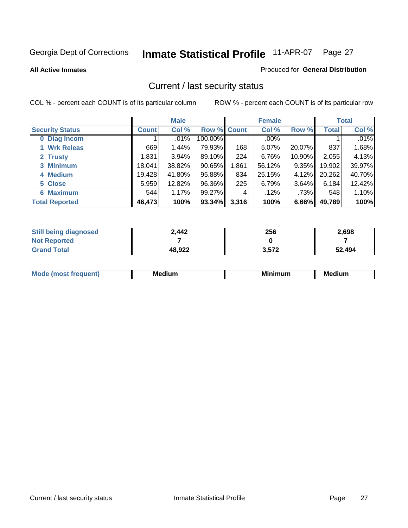**All Active Inmates**

#### Produced for **General Distribution**

### Current / last security status

|                        |              | <b>Male</b> |             |       | <b>Female</b> |        |              | <b>Total</b> |
|------------------------|--------------|-------------|-------------|-------|---------------|--------|--------------|--------------|
| <b>Security Status</b> | <b>Count</b> | Col %       | Row % Count |       | Col %         | Row %  | <b>Total</b> | Col %        |
| 0 Diag Incom           |              | .01%        | 100.00%     |       | $.00\%$       |        |              | .01%         |
| 1 Wrk Releas           | 669          | 1.44%       | 79.93%      | 168   | 5.07%         | 20.07% | 837          | 1.68%        |
| 2 Trusty               | .831         | 3.94%       | 89.10%      | 224   | 6.76%         | 10.90% | 2,055        | 4.13%        |
| 3 Minimum              | 18,041       | 38.82%      | 90.65%      | 1,861 | 56.12%        | 9.35%  | 19,902       | 39.97%       |
| 4 Medium               | 19,428       | 41.80%      | 95.88%      | 834   | 25.15%        | 4.12%  | 20,262       | 40.70%       |
| 5 Close                | 5,959        | 12.82%      | 96.36%      | 225   | 6.79%         | 3.64%  | 6,184        | 12.42%       |
| 6 Maximum              | 544          | 1.17%       | 99.27%      | 4     | .12%          | .73%   | 548          | 1.10%        |
| <b>Total Reported</b>  | 46,473       | 100%        | 93.34%      | 3,316 | 100%          | 6.66%  | 49,789       | 100%         |

| <b>Still being diagnosed</b> | 2,442  | 256   | 2,698  |
|------------------------------|--------|-------|--------|
| <b>Not Reported</b>          |        |       |        |
| <b>Grand Total</b>           | 48,922 | 3,572 | 52,494 |

| $M_{\Omega}$<br>יחב | M۵<br>dium | <b>BAL.</b><br>num | Mer<br>dium |
|---------------------|------------|--------------------|-------------|
|                     |            |                    |             |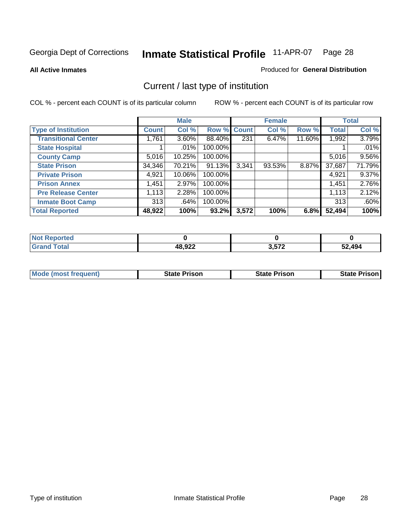**All Active Inmates**

#### Produced for **General Distribution**

### Current / last type of institution

|                            |              | <b>Male</b> |         |              | <b>Female</b> |        |              | <b>Total</b> |
|----------------------------|--------------|-------------|---------|--------------|---------------|--------|--------------|--------------|
| <b>Type of Institution</b> | <b>Count</b> | Col %       | Row %   | <b>Count</b> | Col %         | Row %  | <b>Total</b> | Col %        |
| <b>Transitional Center</b> | 1,761        | $3.60\%$    | 88.40%  | 231          | 6.47%         | 11.60% | 1,992        | 3.79%        |
| <b>State Hospital</b>      |              | .01%        | 100.00% |              |               |        |              | .01%         |
| <b>County Camp</b>         | 5,016        | 10.25%      | 100.00% |              |               |        | 5,016        | $9.56\%$     |
| <b>State Prison</b>        | 34,346       | 70.21%      | 91.13%  | 3,341        | 93.53%        | 8.87%  | 37,687       | 71.79%       |
| <b>Private Prison</b>      | 4,921        | 10.06%      | 100.00% |              |               |        | 4,921        | 9.37%        |
| <b>Prison Annex</b>        | 1,451        | 2.97%       | 100.00% |              |               |        | 1,451        | 2.76%        |
| <b>Pre Release Center</b>  | 1,113        | 2.28%       | 100.00% |              |               |        | 1,113        | 2.12%        |
| <b>Inmate Boot Camp</b>    | 313          | .64%        | 100.00% |              |               |        | 313          | .60%         |
| <b>Total Reported</b>      | 48,922       | 100%        | 93.2%   | 3,572        | 100%          | 6.8%   | 52,494       | 100%         |

| <b>Not</b><br><b>Reported</b> |        |       |        |
|-------------------------------|--------|-------|--------|
| <b>Grand Total</b>            | 48,922 | 3,572 | 52,494 |

| <b>Mode (most frequent)</b> | State Prison | <b>State Prison</b> | <b>State Prison I</b> |
|-----------------------------|--------------|---------------------|-----------------------|
|                             |              |                     |                       |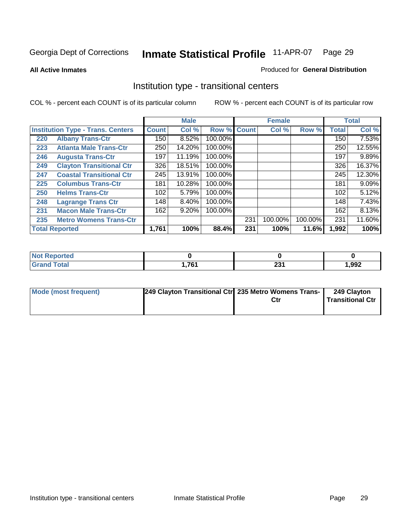**All Active Inmates**

#### Produced for **General Distribution**

### Institution type - transitional centers

|                                          |                                 |              | <b>Male</b> |         |              | <b>Female</b> |         |              | <b>Total</b> |
|------------------------------------------|---------------------------------|--------------|-------------|---------|--------------|---------------|---------|--------------|--------------|
| <b>Institution Type - Trans. Centers</b> |                                 | <b>Count</b> | Col %       | Row %   | <b>Count</b> | Col %         | Row %   | <b>Total</b> | Col %        |
| 220                                      | <b>Albany Trans-Ctr</b>         | 150          | 8.52%       | 100.00% |              |               |         | 150          | 7.53%        |
| 223                                      | <b>Atlanta Male Trans-Ctr</b>   | 250          | 14.20%      | 100.00% |              |               |         | 250          | 12.55%       |
| 246                                      | <b>Augusta Trans-Ctr</b>        | 197          | 11.19%      | 100.00% |              |               |         | 197          | 9.89%        |
| 249                                      | <b>Clayton Transitional Ctr</b> | 326          | 18.51%      | 100.00% |              |               |         | 326          | 16.37%       |
| 247                                      | <b>Coastal Transitional Ctr</b> | 245          | 13.91%      | 100.00% |              |               |         | 245          | 12.30%       |
| 225                                      | <b>Columbus Trans-Ctr</b>       | 181          | 10.28%      | 100.00% |              |               |         | 181          | 9.09%        |
| 250                                      | <b>Helms Trans-Ctr</b>          | 102          | 5.79%       | 100.00% |              |               |         | 102          | 5.12%        |
| 248                                      | <b>Lagrange Trans Ctr</b>       | 148          | 8.40%       | 100.00% |              |               |         | 148          | 7.43%        |
| 231                                      | <b>Macon Male Trans-Ctr</b>     | 162          | 9.20%       | 100.00% |              |               |         | 162          | 8.13%        |
| 235                                      | <b>Metro Womens Trans-Ctr</b>   |              |             |         | 231          | 100.00%       | 100.00% | 231          | 11.60%       |
|                                          | <b>Total Reported</b>           | 1,761        | 100%        | 88.4%   | 231          | 100%          | 11.6%   | 1,992        | 100%         |

| portea<br>- |     |             |      |
|-------------|-----|-------------|------|
| _____       | 701 | nn.<br>ZJ I | ,992 |

| Mode (most frequent) | 249 Clayton Transitional Ctr 235 Metro Womens Trans- | Ctr | 249 Clayton<br>l Transitional Ctr |
|----------------------|------------------------------------------------------|-----|-----------------------------------|
|                      |                                                      |     |                                   |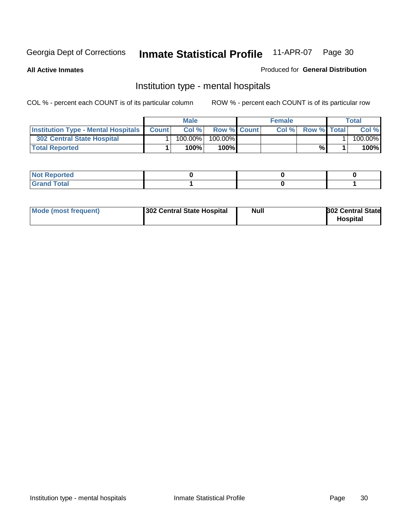**All Active Inmates**

#### Produced for **General Distribution**

### Institution type - mental hospitals

|                                                  | <b>Male</b> |                    | <b>Female</b> |                    | Total   |
|--------------------------------------------------|-------------|--------------------|---------------|--------------------|---------|
| <b>Institution Type - Mental Hospitals Count</b> | Col%        | <b>Row % Count</b> | Col%          | <b>Row % Total</b> | Col %   |
| <b>302 Central State Hospital</b>                | $100.00\%$  | 100.00%            |               |                    | 100.00% |
| <b>Total Reported</b>                            | 100%        | 100%               |               | %                  | 100%    |

| Not Reported |  |  |
|--------------|--|--|
| <b>otal</b>  |  |  |

| Mode (most frequent) | 302 Central State Hospital | <b>Null</b> | <b>302 Central State</b><br><b>Hospital</b> |
|----------------------|----------------------------|-------------|---------------------------------------------|
|                      |                            |             |                                             |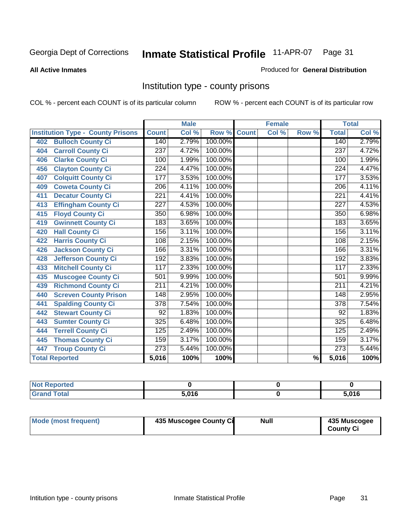#### **All Active Inmates**

#### Produced for **General Distribution**

### Institution type - county prisons

|                                          |                  | <b>Male</b> |         |              | <b>Female</b> |                          |                  | <b>Total</b>               |
|------------------------------------------|------------------|-------------|---------|--------------|---------------|--------------------------|------------------|----------------------------|
| <b>Institution Type - County Prisons</b> | <b>Count</b>     | Col %       | Row %   | <b>Count</b> | Col %         | Row %                    | <b>Total</b>     | $\overline{\text{Col }^9}$ |
| <b>Bulloch County Ci</b><br>402          | 140              | 2.79%       | 100.00% |              |               |                          | 140              | 2.79%                      |
| <b>Carroll County Ci</b><br>404          | 237              | 4.72%       | 100.00% |              |               |                          | $\overline{237}$ | 4.72%                      |
| <b>Clarke County Ci</b><br>406           | 100              | 1.99%       | 100.00% |              |               |                          | 100              | 1.99%                      |
| <b>Clayton County Ci</b><br>456          | 224              | 4.47%       | 100.00% |              |               |                          | 224              | 4.47%                      |
| <b>Colquitt County Ci</b><br>407         | $\overline{177}$ | 3.53%       | 100.00% |              |               |                          | 177              | 3.53%                      |
| <b>Coweta County Ci</b><br>409           | $\overline{206}$ | 4.11%       | 100.00% |              |               |                          | $\overline{206}$ | 4.11%                      |
| <b>Decatur County Ci</b><br>411          | 221              | 4.41%       | 100.00% |              |               |                          | 221              | 4.41%                      |
| <b>Effingham County Ci</b><br>413        | 227              | 4.53%       | 100.00% |              |               |                          | 227              | 4.53%                      |
| <b>Floyd County Ci</b><br>415            | 350              | 6.98%       | 100.00% |              |               |                          | 350              | 6.98%                      |
| <b>Gwinnett County Ci</b><br>419         | 183              | 3.65%       | 100.00% |              |               |                          | 183              | 3.65%                      |
| <b>Hall County Ci</b><br>420             | 156              | 3.11%       | 100.00% |              |               |                          | 156              | 3.11%                      |
| <b>Harris County Ci</b><br>422           | 108              | 2.15%       | 100.00% |              |               |                          | 108              | 2.15%                      |
| <b>Jackson County Ci</b><br>426          | 166              | 3.31%       | 100.00% |              |               |                          | 166              | 3.31%                      |
| <b>Jefferson County Ci</b><br>428        | 192              | 3.83%       | 100.00% |              |               |                          | 192              | 3.83%                      |
| <b>Mitchell County Ci</b><br>433         | 117              | 2.33%       | 100.00% |              |               |                          | 117              | 2.33%                      |
| <b>Muscogee County Ci</b><br>435         | 501              | 9.99%       | 100.00% |              |               |                          | 501              | 9.99%                      |
| <b>Richmond County Ci</b><br>439         | $\overline{211}$ | 4.21%       | 100.00% |              |               |                          | 211              | 4.21%                      |
| <b>Screven County Prison</b><br>440      | $\overline{148}$ | 2.95%       | 100.00% |              |               |                          | 148              | 2.95%                      |
| <b>Spalding County Ci</b><br>441         | $\overline{378}$ | 7.54%       | 100.00% |              |               |                          | $\overline{378}$ | 7.54%                      |
| <b>Stewart County Ci</b><br>442          | 92               | 1.83%       | 100.00% |              |               |                          | 92               | 1.83%                      |
| <b>Sumter County Ci</b><br>443           | 325              | 6.48%       | 100.00% |              |               |                          | 325              | 6.48%                      |
| <b>Terrell County Ci</b><br>444          | 125              | 2.49%       | 100.00% |              |               |                          | 125              | 2.49%                      |
| <b>Thomas County Ci</b><br>445           | 159              | 3.17%       | 100.00% |              |               |                          | 159              | 3.17%                      |
| <b>Troup County Ci</b><br>447            | 273              | 5.44%       | 100.00% |              |               |                          | 273              | 5.44%                      |
| <b>Total Reported</b>                    | 5,016            | 100%        | 100%    |              |               | $\overline{\frac{9}{6}}$ | 5,016            | 100%                       |

| τeα                    |       |               |
|------------------------|-------|---------------|
| $n+n$<br><u>i vlai</u> | 5.016 | E N4C<br>11 O |

| Mode (most frequent) | 435 Muscogee County Ci | Null | 435 Muscogee |
|----------------------|------------------------|------|--------------|
|                      |                        |      | County Ci    |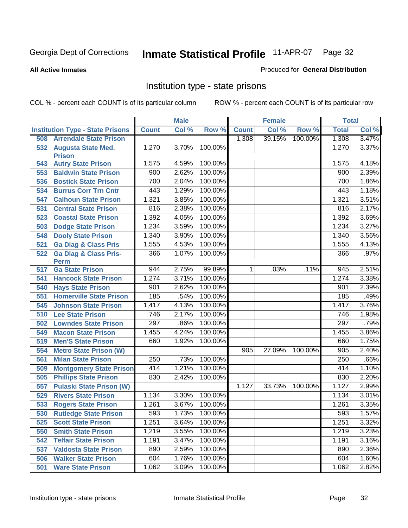**All Active Inmates**

#### Produced for **General Distribution**

### Institution type - state prisons

|     |                                            |              | <b>Male</b> |         |              | <b>Female</b> |         | <b>Total</b> |       |
|-----|--------------------------------------------|--------------|-------------|---------|--------------|---------------|---------|--------------|-------|
|     | <b>Institution Type - State Prisons</b>    | <b>Count</b> | Col %       | Row %   | <b>Count</b> | Col %         | Row %   | <b>Total</b> | Col % |
| 508 | <b>Arrendale State Prison</b>              |              |             |         | 1,308        | 39.15%        | 100.00% | 1,308        | 3.47% |
| 532 | <b>Augusta State Med.</b><br><b>Prison</b> | 1,270        | 3.70%       | 100.00% |              |               |         | 1,270        | 3.37% |
| 543 | <b>Autry State Prison</b>                  | 1,575        | 4.59%       | 100.00% |              |               |         | 1,575        | 4.18% |
| 553 | <b>Baldwin State Prison</b>                | 900          | 2.62%       | 100.00% |              |               |         | 900          | 2.39% |
| 536 | <b>Bostick State Prison</b>                | 700          | 2.04%       | 100.00% |              |               |         | 700          | 1.86% |
| 534 | <b>Burrus Corr Trn Cntr</b>                | 443          | 1.29%       | 100.00% |              |               |         | 443          | 1.18% |
| 547 | <b>Calhoun State Prison</b>                | 1,321        | 3.85%       | 100.00% |              |               |         | 1,321        | 3.51% |
| 531 | <b>Central State Prison</b>                | 816          | 2.38%       | 100.00% |              |               |         | 816          | 2.17% |
| 523 | <b>Coastal State Prison</b>                | 1,392        | 4.05%       | 100.00% |              |               |         | 1,392        | 3.69% |
| 503 | <b>Dodge State Prison</b>                  | 1,234        | 3.59%       | 100.00% |              |               |         | 1,234        | 3.27% |
| 548 | <b>Dooly State Prison</b>                  | 1,340        | 3.90%       | 100.00% |              |               |         | 1,340        | 3.56% |
| 521 | <b>Ga Diag &amp; Class Pris</b>            | 1,555        | 4.53%       | 100.00% |              |               |         | 1,555        | 4.13% |
| 522 | <b>Ga Diag &amp; Class Pris-</b><br>Perm   | 366          | 1.07%       | 100.00% |              |               |         | 366          | .97%  |
| 517 | <b>Ga State Prison</b>                     | 944          | 2.75%       | 99.89%  | 1.           | .03%          | .11%    | 945          | 2.51% |
| 541 | <b>Hancock State Prison</b>                | 1,274        | 3.71%       | 100.00% |              |               |         | 1,274        | 3.38% |
| 540 | <b>Hays State Prison</b>                   | 901          | 2.62%       | 100.00% |              |               |         | 901          | 2.39% |
| 551 | <b>Homerville State Prison</b>             | 185          | .54%        | 100.00% |              |               |         | 185          | .49%  |
| 545 | <b>Johnson State Prison</b>                | 1,417        | 4.13%       | 100.00% |              |               |         | 1,417        | 3.76% |
| 510 | <b>Lee State Prison</b>                    | 746          | 2.17%       | 100.00% |              |               |         | 746          | 1.98% |
| 502 | <b>Lowndes State Prison</b>                | 297          | .86%        | 100.00% |              |               |         | 297          | .79%  |
| 549 | <b>Macon State Prison</b>                  | 1,455        | 4.24%       | 100.00% |              |               |         | 1,455        | 3.86% |
| 519 | <b>Men'S State Prison</b>                  | 660          | 1.92%       | 100.00% |              |               |         | 660          | 1.75% |
| 554 | <b>Metro State Prison (W)</b>              |              |             |         | 905          | 27.09%        | 100.00% | 905          | 2.40% |
| 561 | <b>Milan State Prison</b>                  | 250          | .73%        | 100.00% |              |               |         | 250          | .66%  |
| 509 | <b>Montgomery State Prison</b>             | 414          | 1.21%       | 100.00% |              |               |         | 414          | 1.10% |
| 505 | <b>Phillips State Prison</b>               | 830          | 2.42%       | 100.00% |              |               |         | 830          | 2.20% |
| 557 | <b>Pulaski State Prison (W)</b>            |              |             |         | 1,127        | 33.73%        | 100.00% | 1,127        | 2.99% |
| 529 | <b>Rivers State Prison</b>                 | 1,134        | 3.30%       | 100.00% |              |               |         | 1,134        | 3.01% |
| 533 | <b>Rogers State Prison</b>                 | 1,261        | 3.67%       | 100.00% |              |               |         | 1,261        | 3.35% |
| 530 | <b>Rutledge State Prison</b>               | 593          | 1.73%       | 100.00% |              |               |         | 593          | 1.57% |
| 525 | <b>Scott State Prison</b>                  | 1,251        | 3.64%       | 100.00% |              |               |         | 1,251        | 3.32% |
| 550 | <b>Smith State Prison</b>                  | 1,219        | 3.55%       | 100.00% |              |               |         | 1,219        | 3.23% |
| 542 | <b>Telfair State Prison</b>                | 1,191        | 3.47%       | 100.00% |              |               |         | 1,191        | 3.16% |
| 537 | <b>Valdosta State Prison</b>               | 890          | 2.59%       | 100.00% |              |               |         | 890          | 2.36% |
| 506 | <b>Walker State Prison</b>                 | 604          | 1.76%       | 100.00% |              |               |         | 604          | 1.60% |
| 501 | <b>Ware State Prison</b>                   | 1,062        | 3.09%       | 100.00% |              |               |         | 1,062        | 2.82% |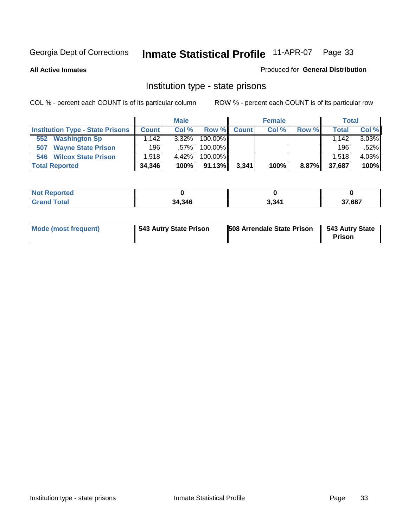**All Active Inmates**

#### Produced for **General Distribution**

### Institution type - state prisons

|                                         |                                  | <b>Male</b> |            |       | <b>Female</b> |       | <b>Total</b> |       |
|-----------------------------------------|----------------------------------|-------------|------------|-------|---------------|-------|--------------|-------|
| <b>Institution Type - State Prisons</b> | <b>Count</b>                     | Col %       | Row %      | Count | Col %         | Row % | Total        | Col % |
| <b>Washington Sp</b><br>552             | $,142$ <sup><math>+</math></sup> | $3.32\%$    | $100.00\%$ |       |               |       | 1.142        | 3.03% |
| <b>Wayne State Prison</b><br>507        | 196                              | .57%        | $100.00\%$ |       |               |       | 196          | .52%  |
| <b>Wilcox State Prison</b><br>546       | .518                             | 4.42%       | $100.00\%$ |       |               |       | 1,518        | 4.03% |
| <b>Total Reported</b>                   | 34,346                           | 100%        | 91.13%     | 3,341 | 100%          | 8.87% | 37,687       | 100%  |

| neo   |        |       |        |
|-------|--------|-------|--------|
| `otal | 34,346 | 3,341 | 37,687 |

| <b>Mode (most frequent)</b> | 543 Autry State Prison | 508 Arrendale State Prison | 543 Autry State<br><b>Prison</b> |
|-----------------------------|------------------------|----------------------------|----------------------------------|
|-----------------------------|------------------------|----------------------------|----------------------------------|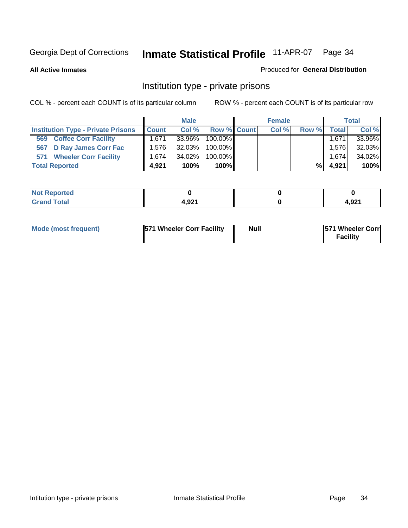#### **All Active Inmates**

#### Produced for **General Distribution**

### Institution type - private prisons

|                                           |              | <b>Male</b> |             | <b>Female</b> |       |              | <b>Total</b> |
|-------------------------------------------|--------------|-------------|-------------|---------------|-------|--------------|--------------|
| <b>Institution Type - Private Prisons</b> | <b>Count</b> | Col %       | Row % Count | Col %         | Row % | <b>Total</b> | Col %        |
| <b>Coffee Corr Facility</b><br>569        | 1.671        | $33.96\%$   | 100.00%     |               |       | 1,671        | 33.96%       |
| 567 D Ray James Corr Fac                  | 1.5761       | $32.03\%$   | 100.00%     |               |       | 1.576        | 32.03%       |
| <b>Wheeler Corr Facility</b><br>571       | 1.6741       | 34.02%      | 100.00%     |               |       | 1,674        | 34.02%       |
| <b>Total Reported</b>                     | 4.921        | 100%        | 100%        |               | %।    | 4,921        | 100%         |

| Reported<br><b>NOT</b><br>$\sim$ |        |       |
|----------------------------------|--------|-------|
| <b>Total</b>                     | וכמ ו  | റാ    |
| ----                             | 4.JZ . | 4,JL. |

| Mode (most frequent) | <b>571 Wheeler Corr Facility</b> | <b>Null</b> | <b>1571 Wheeler Corrl</b><br>Facility |
|----------------------|----------------------------------|-------------|---------------------------------------|
|----------------------|----------------------------------|-------------|---------------------------------------|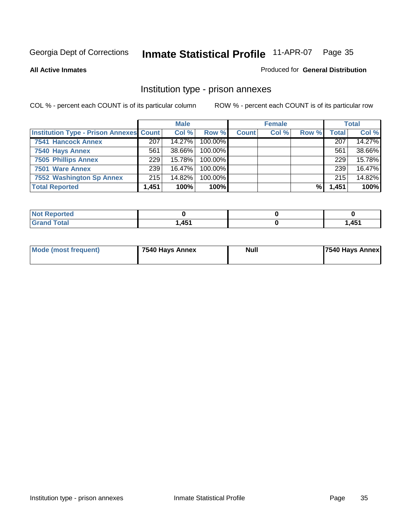#### **All Active Inmates**

#### Produced for **General Distribution**

### Institution type - prison annexes

|                                                |       | <b>Male</b> |            |              | <b>Female</b> |       |              | <b>Total</b> |
|------------------------------------------------|-------|-------------|------------|--------------|---------------|-------|--------------|--------------|
| <b>Institution Type - Prison Annexes Count</b> |       | Col %       | Row %      | <b>Count</b> | Col %         | Row % | <b>Total</b> | Col %        |
| <b>7541 Hancock Annex</b>                      | 207   | 14.27%      | 100.00%    |              |               |       | 207          | 14.27%       |
| 7540 Hays Annex                                | 561   | 38.66%      | $100.00\%$ |              |               |       | 561          | 38.66%       |
| <b>7505 Phillips Annex</b>                     | 229   | 15.78%      | 100.00%    |              |               |       | 229          | 15.78%       |
| 7501 Ware Annex                                | 239   | 16.47%      | $100.00\%$ |              |               |       | 239          | 16.47%       |
| 7552 Washington Sp Annex                       | 215   | 14.82%      | 100.00%    |              |               |       | 215          | 14.82%       |
| <b>Total Reported</b>                          | 1,451 | 100%        | 100%       |              |               | %     | 1,451        | 100%         |

| <b>Reported</b><br>NOT. |                  |       |
|-------------------------|------------------|-------|
| <b>Total</b><br>' Grand | $\overline{151}$ | 1,451 |

| Mode (most frequent) | 7540 Hays Annex | <b>Null</b> | <b>7540 Hays Annex</b> |
|----------------------|-----------------|-------------|------------------------|
|                      |                 |             |                        |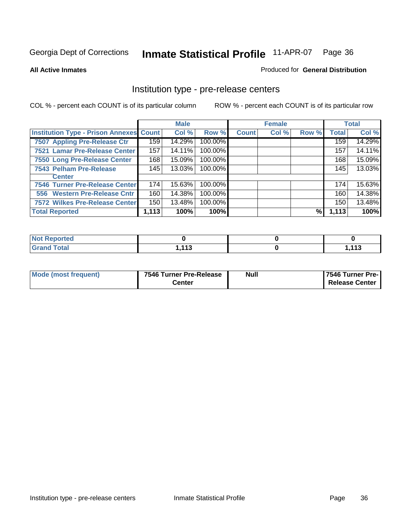#### **All Active Inmates**

#### Produced for **General Distribution**

### Institution type - pre-release centers

|                                                |       | <b>Male</b> |         |              | <b>Female</b> |       |              | <b>Total</b> |
|------------------------------------------------|-------|-------------|---------|--------------|---------------|-------|--------------|--------------|
| <b>Institution Type - Prison Annexes Count</b> |       | Col %       | Row %   | <b>Count</b> | Col %         | Row % | <b>Total</b> | Col %        |
| 7507 Appling Pre-Release Ctr                   | 159   | 14.29%      | 100.00% |              |               |       | 159          | 14.29%       |
| 7521 Lamar Pre-Release Center                  | 157   | 14.11%      | 100.00% |              |               |       | 157          | 14.11%       |
| 7550 Long Pre-Release Center                   | 168   | 15.09%      | 100.00% |              |               |       | 168          | 15.09%       |
| 7543 Pelham Pre-Release                        | 145   | 13.03%      | 100.00% |              |               |       | 145          | 13.03%       |
| <b>Center</b>                                  |       |             |         |              |               |       |              |              |
| 7546 Turner Pre-Release Center                 | 174   | 15.63%      | 100.00% |              |               |       | 174          | 15.63%       |
| 556 Western Pre-Release Cntr                   | 160   | 14.38%      | 100.00% |              |               |       | 160          | 14.38%       |
| 7572 Wilkes Pre-Release Center                 | 150   | 13.48%      | 100.00% |              |               |       | 150          | 13.48%       |
| <b>Total Reported</b>                          | 1,113 | 100%        | 100%    |              |               | %     | 1,113        | 100%         |

| Reported<br><b>NOT</b> |        |        |
|------------------------|--------|--------|
| <b>Total</b>           | $-442$ | $-442$ |
| <b>Grand</b>           | .      | 1,110  |

| Mode (most frequent) | 7546 Turner Pre-Release | <b>Null</b> | 7546 Turner Pre-1     |
|----------------------|-------------------------|-------------|-----------------------|
|                      | こenter                  |             | <b>Release Center</b> |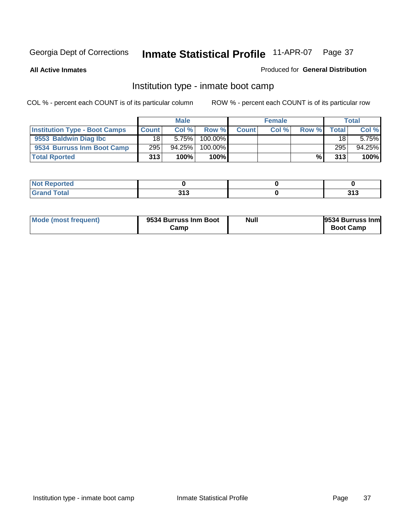**All Active Inmates**

### Produced for **General Distribution**

### Institution type - inmate boot camp

|                                      |              | <b>Male</b> |            |              | <b>Female</b> |       |              | <b>Total</b> |
|--------------------------------------|--------------|-------------|------------|--------------|---------------|-------|--------------|--------------|
| <b>Institution Type - Boot Camps</b> | <b>Count</b> | Col %       | Row %      | <b>Count</b> | Col %         | Row % | <b>Total</b> | Col %        |
| 9553 Baldwin Diag Ibc                | 18           | 5.75%       | $100.00\%$ |              |               |       | 18           | 5.75%        |
| 9534 Burruss Inm Boot Camp           | 295          | $94.25\%$   | 100.00%    |              |               |       | 295          | 94.25%       |
| <b>Total Rported</b>                 | 313          | 100%        | 100%       |              |               | %\    | 313          | 100%         |

| tea<br>___ |       |       |
|------------|-------|-------|
| 'otal      | 242   | 242   |
| $\sim$     | J I J | J I J |

| Mode (most frequent) | 9534 Burruss Inm Boot<br>Camp | Null | 9534 Burruss Inm<br><b>Boot Camp</b> |
|----------------------|-------------------------------|------|--------------------------------------|
|----------------------|-------------------------------|------|--------------------------------------|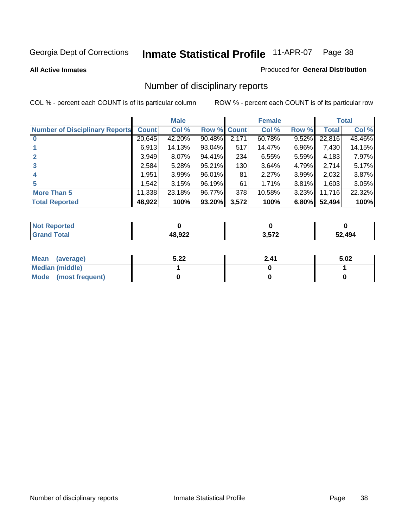**All Active Inmates**

#### Produced for **General Distribution**

## Number of disciplinary reports

|                                       |              | <b>Male</b> |             |       | <b>Female</b> |       |              | <b>Total</b> |
|---------------------------------------|--------------|-------------|-------------|-------|---------------|-------|--------------|--------------|
| <b>Number of Disciplinary Reports</b> | <b>Count</b> | Col %       | Row % Count |       | Col %         | Row % | <b>Total</b> | Col %        |
|                                       | 20,645       | 42.20%      | 90.48%      | 2,171 | 60.78%        | 9.52% | 22,816       | 43.46%       |
|                                       | 6,913        | 14.13%      | $93.04\%$   | 517   | 14.47%        | 6.96% | 7,430        | 14.15%       |
| $\mathbf{2}$                          | 3,949        | 8.07%       | 94.41%      | 234   | 6.55%         | 5.59% | 4,183        | 7.97%        |
| 3                                     | 2,584        | 5.28%       | 95.21%      | 130   | 3.64%         | 4.79% | 2,714        | 5.17%        |
|                                       | 1,951        | 3.99%       | 96.01%      | 81    | 2.27%         | 3.99% | 2,032        | 3.87%        |
| 5                                     | 1.542        | 3.15%       | 96.19%      | 61    | 1.71%         | 3.81% | 1,603        | 3.05%        |
| <b>More Than 5</b>                    | 11,338       | 23.18%      | 96.77%      | 378   | 10.58%        | 3.23% | 11,716       | 22.32%       |
| <b>Total Reported</b>                 | 48,922       | 100%        | 93.20%      | 3,572 | 100%          | 6.80% | 52,494       | 100%         |

| -      |              |      |    |
|--------|--------------|------|----|
| ______ | 10.000<br>__ | ・トマク | AA |

| Mean (average)       | 5.22 | 2.41 | 5.02 |
|----------------------|------|------|------|
| Median (middle)      |      |      |      |
| Mode (most frequent) |      |      |      |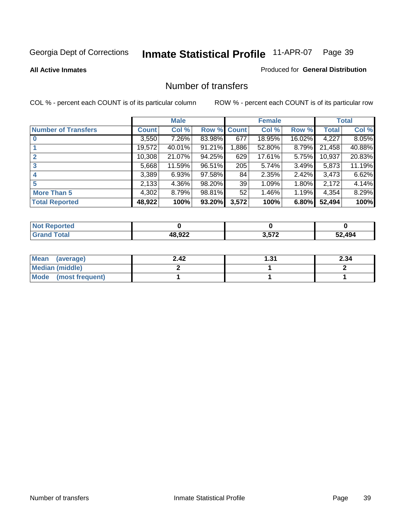#### **All Active Inmates**

#### Produced for **General Distribution**

### Number of transfers

|                            |         | <b>Male</b> |        |              | <b>Female</b> |          |        | <b>Total</b> |
|----------------------------|---------|-------------|--------|--------------|---------------|----------|--------|--------------|
| <b>Number of Transfers</b> | Count l | Col %       | Row %  | <b>Count</b> | Col %         | Row %    | Total  | Col %        |
|                            | 3,550   | 7.26%       | 83.98% | 677          | 18.95%        | 16.02%   | 4,227  | 8.05%        |
|                            | 19,572  | 40.01%      | 91.21% | .886         | 52.80%        | $8.79\%$ | 21,458 | 40.88%       |
|                            | 10,308  | 21.07%      | 94.25% | 629          | 17.61%        | 5.75%    | 10,937 | 20.83%       |
| 3                          | 5,668   | 11.59%      | 96.51% | 205          | 5.74%         | $3.49\%$ | 5,873  | 11.19%       |
|                            | 3,389   | 6.93%       | 97.58% | 84           | 2.35%         | $2.42\%$ | 3,473  | 6.62%        |
| 5                          | 2,133   | 4.36%       | 98.20% | 39           | 1.09%         | $1.80\%$ | 2,172  | 4.14%        |
| <b>More Than 5</b>         | 4,302   | 8.79%       | 98.81% | 52           | 1.46%         | 1.19%    | 4,354  | 8.29%        |
| <b>Total Reported</b>      | 48,922  | 100%        | 93.20% | 3,572        | 100%          | 6.80%    | 52,494 | 100%         |

| N                              |            |      |                       |
|--------------------------------|------------|------|-----------------------|
| $\mathcal{L}$ of $\mathcal{L}$ | $AB$ $Q22$ | 2E72 | $\Lambda$ 0 $\Lambda$ |
|                                |            |      |                       |

| Mean (average)       | 2.42 | 31. ا | 2.34 |
|----------------------|------|-------|------|
| Median (middle)      |      |       |      |
| Mode (most frequent) |      |       |      |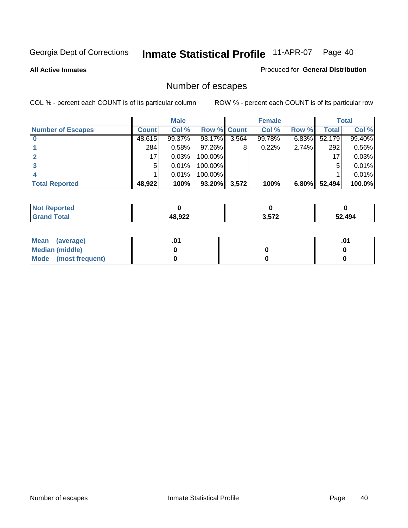**All Active Inmates**

### Produced for **General Distribution**

## Number of escapes

|                          |              | <b>Male</b> |                    |       | <b>Female</b> |       |        | <b>Total</b> |
|--------------------------|--------------|-------------|--------------------|-------|---------------|-------|--------|--------------|
| <b>Number of Escapes</b> | <b>Count</b> | Col %       | <b>Row % Count</b> |       | Col %         | Row % | Total  | Col %        |
|                          | 48,615       | 99.37%      | 93.17%             | 3,564 | 99.78%        | 6.83% | 52,179 | 99.40%       |
|                          | 284          | 0.58%       | 97.26%             | 8     | 0.22%         | 2.74% | 292    | 0.56%        |
|                          | 17           | 0.03%       | 100.00%            |       |               |       | 17     | 0.03%        |
|                          | 5.           | 0.01%       | 100.00%            |       |               |       | 5      | 0.01%        |
|                          |              | 0.01%       | $100.00\%$         |       |               |       |        | 0.01%        |
| <b>Total Reported</b>    | 48,922       | 100%        | 93.20%             | 3,572 | 100%          | 6.80% | 52,494 | 100.0%       |

| ported<br>Not |        |       |        |
|---------------|--------|-------|--------|
| intal         | רכה 10 | 3.572 | 52.494 |

| Mean (average)       |  | ו ש. |
|----------------------|--|------|
| Median (middle)      |  |      |
| Mode (most frequent) |  |      |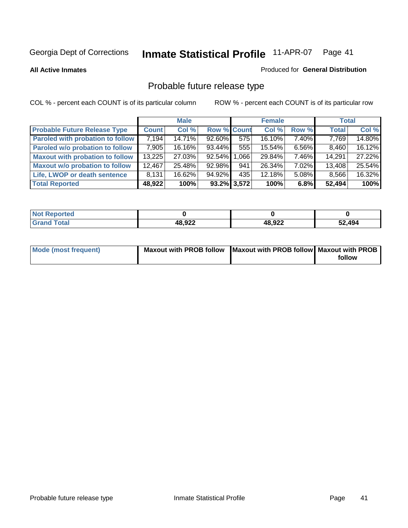**All Active Inmates**

#### Produced for **General Distribution**

## Probable future release type

|                                         |              | <b>Male</b> |                    |                | <b>Female</b> |          | <b>Total</b> |        |
|-----------------------------------------|--------------|-------------|--------------------|----------------|---------------|----------|--------------|--------|
| <b>Probable Future Release Type</b>     | <b>Count</b> | Col %       | <b>Row % Count</b> |                | Col %         | Row %    | <b>Total</b> | Col %  |
| <b>Paroled with probation to follow</b> | 7,194        | 14.71%      | 92.60%             | 575            | 16.10%        | 7.40%    | 7,769        | 14.80% |
| Paroled w/o probation to follow         | 7,905        | 16.16%      | $93.44\%$          | 555            | 15.54%        | $6.56\%$ | 8,460        | 16.12% |
| <b>Maxout with probation to follow</b>  | 13,225       | 27.03%      | 92.54%             | ا 066.         | 29.84%        | $7.46\%$ | 14,291       | 27.22% |
| <b>Maxout w/o probation to follow</b>   | 12,467       | 25.48%      | 92.98%             | 941            | 26.34%        | 7.02%    | 13,408       | 25.54% |
| Life, LWOP or death sentence            | 8,131        | 16.62%      | 94.92%             | 435            | 12.18%        | 5.08%    | 8,566        | 16.32% |
| <b>Total Reported</b>                   | 48,922       | 100%        |                    | $93.2\%$ 3,572 | 100%          | 6.8%     | 52,494       | 100%   |

| $^{\mathrm{H}}$ Not.<br>Reported |        |        |        |
|----------------------------------|--------|--------|--------|
| <b>Grand Total</b>               | 48,922 | 48,922 | 52,494 |

| Mode (most frequent) | Maxout with PROB follow   Maxout with PROB follow   Maxout with PROB |        |
|----------------------|----------------------------------------------------------------------|--------|
|                      |                                                                      | follow |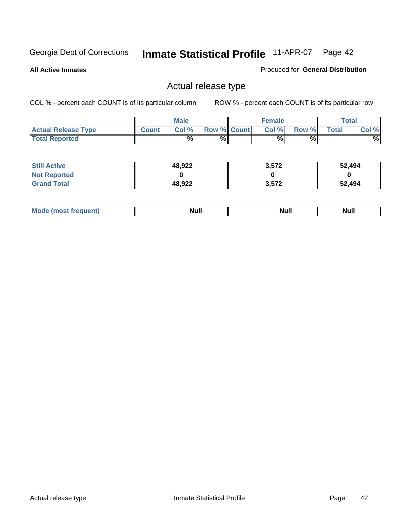**All Active Inmates**

Produced for **General Distribution**

### Actual release type

|                            |              | <b>Male</b> |                    | <b>Female</b> |        |       | $\tau$ otal |
|----------------------------|--------------|-------------|--------------------|---------------|--------|-------|-------------|
| <b>Actual Release Type</b> | <b>Count</b> | Col %       | <b>Row % Count</b> | Col %         | Row %I | Total | Col %       |
| <b>Total Reported</b>      |              | %           | %                  | %             | %      |       | %           |

| <b>Still Active</b> | 48,922 | 3,572 | 52,494 |
|---------------------|--------|-------|--------|
| <b>Not Reported</b> |        |       |        |
| <b>Grand Total</b>  | 48,922 | 3,572 | 52,494 |

| M | - 11<br>- NH<br><u></u> | NĿ<br><b>INUIL</b> | <b>INUIL</b> |
|---|-------------------------|--------------------|--------------|
|   |                         |                    |              |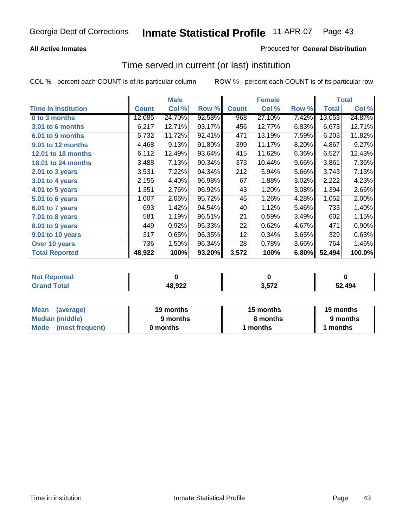### **All Active Inmates**

### Produced for **General Distribution**

### Time served in current (or last) institution

|                            |              | <b>Male</b> |        |              | <b>Female</b> |       |        | <b>Total</b> |
|----------------------------|--------------|-------------|--------|--------------|---------------|-------|--------|--------------|
| <b>Time In Institution</b> | <b>Count</b> | Col %       | Row %  | <b>Count</b> | Col %         | Row % | Total  | Col %        |
| 0 to 3 months              | 12,085       | 24.70%      | 92.58% | 968          | 27.10%        | 7.42% | 13,053 | 24.87%       |
| 3.01 to 6 months           | 6,217        | 12.71%      | 93.17% | 456          | 12.77%        | 6.83% | 6,673  | 12.71%       |
| 6.01 to 9 months           | 5,732        | 11.72%      | 92.41% | 471          | 13.19%        | 7.59% | 6,203  | 11.82%       |
| 9.01 to 12 months          | 4,468        | 9.13%       | 91.80% | 399          | 11.17%        | 8.20% | 4,867  | 9.27%        |
| 12.01 to 18 months         | 6,112        | 12.49%      | 93.64% | 415          | 11.62%        | 6.36% | 6,527  | 12.43%       |
| <b>18.01 to 24 months</b>  | 3,488        | 7.13%       | 90.34% | 373          | 10.44%        | 9.66% | 3,861  | 7.36%        |
| 2.01 to 3 years            | 3,531        | 7.22%       | 94.34% | 212          | 5.94%         | 5.66% | 3,743  | 7.13%        |
| 3.01 to 4 years            | 2,155        | 4.40%       | 96.98% | 67           | 1.88%         | 3.02% | 2,222  | 4.23%        |
| 4.01 to 5 years            | 1,351        | 2.76%       | 96.92% | 43           | 1.20%         | 3.08% | 1,394  | 2.66%        |
| 5.01 to 6 years            | 1,007        | 2.06%       | 95.72% | 45           | 1.26%         | 4.28% | 1,052  | 2.00%        |
| $6.01$ to 7 years          | 693          | 1.42%       | 94.54% | 40           | 1.12%         | 5.46% | 733    | 1.40%        |
| 7.01 to 8 years            | 581          | 1.19%       | 96.51% | 21           | 0.59%         | 3.49% | 602    | 1.15%        |
| 8.01 to 9 years            | 449          | 0.92%       | 95.33% | 22           | 0.62%         | 4.67% | 471    | 0.90%        |
| 9.01 to 10 years           | 317          | 0.65%       | 96.35% | 12           | 0.34%         | 3.65% | 329    | 0.63%        |
| Over 10 years              | 736          | 1.50%       | 96.34% | 28           | 0.78%         | 3.66% | 764    | 1.46%        |
| <b>Total Reported</b>      | 48,922       | 100%        | 93.20% | 3,572        | 100%          | 6.80% | 52,494 | 100.0%       |

| Not R<br><b>Reported</b> |        |     |        |
|--------------------------|--------|-----|--------|
| <b>Total</b>             | 48,922 | 572 | 52.494 |

| <b>Mean</b><br>(average) | 19 months | 15 months | 19 months |  |
|--------------------------|-----------|-----------|-----------|--|
| Median (middle)          | 9 months  | 8 months  | 9 months  |  |
| Mode<br>(most frequent)  | 0 months  | 1 months  | months    |  |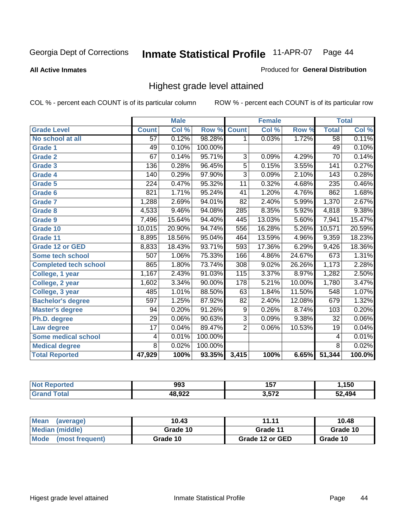**All Active Inmates**

#### Produced for **General Distribution**

### Highest grade level attained

|                              |                  | <b>Male</b> |         |                 | <b>Female</b> |        |                 | <b>Total</b> |
|------------------------------|------------------|-------------|---------|-----------------|---------------|--------|-----------------|--------------|
| <b>Grade Level</b>           | <b>Count</b>     | Col %       | Row %   | <b>Count</b>    | Col %         | Row %  | <b>Total</b>    | Col %        |
| No school at all             | 57               | 0.12%       | 98.28%  | 1               | 0.03%         | 1.72%  | $\overline{58}$ | 0.11%        |
| <b>Grade 1</b>               | 49               | 0.10%       | 100.00% |                 |               |        | 49              | 0.10%        |
| <b>Grade 2</b>               | 67               | 0.14%       | 95.71%  | 3               | 0.09%         | 4.29%  | $\overline{70}$ | 0.14%        |
| <b>Grade 3</b>               | 136              | 0.28%       | 96.45%  | $\overline{5}$  | 0.15%         | 3.55%  | 141             | 0.27%        |
| <b>Grade 4</b>               | 140              | 0.29%       | 97.90%  | $\overline{3}$  | 0.09%         | 2.10%  | 143             | 0.28%        |
| <b>Grade 5</b>               | $\overline{224}$ | 0.47%       | 95.32%  | $\overline{11}$ | 0.32%         | 4.68%  | 235             | 0.46%        |
| Grade 6                      | 821              | 1.71%       | 95.24%  | 41              | 1.20%         | 4.76%  | 862             | 1.68%        |
| <b>Grade 7</b>               | 1,288            | 2.69%       | 94.01%  | $\overline{82}$ | 2.40%         | 5.99%  | 1,370           | 2.67%        |
| <b>Grade 8</b>               | 4,533            | 9.46%       | 94.08%  | 285             | 8.35%         | 5.92%  | 4,818           | 9.38%        |
| Grade 9                      | 7,496            | 15.64%      | 94.40%  | 445             | 13.03%        | 5.60%  | 7,941           | 15.47%       |
| Grade 10                     | 10,015           | 20.90%      | 94.74%  | 556             | 16.28%        | 5.26%  | 10,571          | 20.59%       |
| Grade 11                     | 8,895            | 18.56%      | 95.04%  | 464             | 13.59%        | 4.96%  | 9,359           | 18.23%       |
| <b>Grade 12 or GED</b>       | 8,833            | 18.43%      | 93.71%  | 593             | 17.36%        | 6.29%  | 9,426           | 18.36%       |
| <b>Some tech school</b>      | 507              | 1.06%       | 75.33%  | 166             | 4.86%         | 24.67% | 673             | 1.31%        |
| <b>Completed tech school</b> | 865              | 1.80%       | 73.74%  | 308             | 9.02%         | 26.26% | 1,173           | 2.28%        |
| College, 1 year              | 1,167            | 2.43%       | 91.03%  | 115             | 3.37%         | 8.97%  | 1,282           | 2.50%        |
| College, 2 year              | 1,602            | 3.34%       | 90.00%  | 178             | 5.21%         | 10.00% | 1,780           | 3.47%        |
| College, 3 year              | 485              | 1.01%       | 88.50%  | 63              | 1.84%         | 11.50% | 548             | 1.07%        |
| <b>Bachelor's degree</b>     | 597              | 1.25%       | 87.92%  | $\overline{82}$ | 2.40%         | 12.08% | 679             | 1.32%        |
| <b>Master's degree</b>       | 94               | 0.20%       | 91.26%  | 9               | 0.26%         | 8.74%  | 103             | 0.20%        |
| Ph.D. degree                 | $\overline{29}$  | 0.06%       | 90.63%  | $\overline{3}$  | 0.09%         | 9.38%  | 32              | $0.06\%$     |
| Law degree                   | $\overline{17}$  | 0.04%       | 89.47%  | $\overline{2}$  | 0.06%         | 10.53% | 19              | 0.04%        |
| Some medical school          | 4                | 0.01%       | 100.00% |                 |               |        | 4               | 0.01%        |
| <b>Medical degree</b>        | $\overline{8}$   | 0.02%       | 100.00% |                 |               |        | $\overline{8}$  | 0.02%        |
| <b>Total Reported</b>        | 47,929           | 100%        | 93.35%  | 3,415           | 100%          | 6.65%  | 51,344          | 100.0%       |

| 993    | 157<br>$-$ | 50      |
|--------|------------|---------|
| המה הו | 2E72       | 32. JOA |

| <b>Mean</b><br>(average) | 10.43    | 11.11           | 10.48    |
|--------------------------|----------|-----------------|----------|
| Median (middle)          | Grade 10 | Grade 11        | Grade 10 |
| Mode<br>(most frequent)  | Grade 10 | Grade 12 or GED | Grade 10 |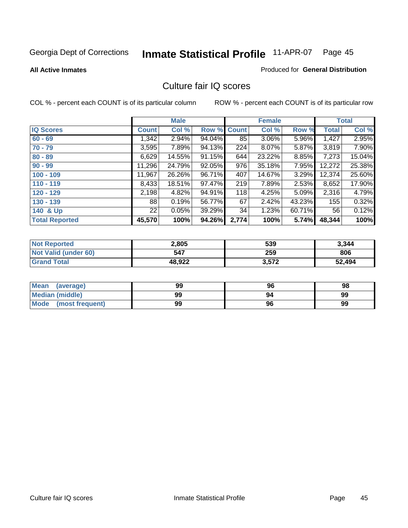#### **All Active Inmates**

#### Produced for **General Distribution**

### Culture fair IQ scores

|                       |              | <b>Male</b> |        |              | <b>Female</b> |        |              | <b>Total</b> |
|-----------------------|--------------|-------------|--------|--------------|---------------|--------|--------------|--------------|
| <b>IQ Scores</b>      | <b>Count</b> | Col %       | Row %  | <b>Count</b> | Col %         | Row %  | <b>Total</b> | Col %        |
| $60 - 69$             | 1,342        | 2.94%       | 94.04% | 85           | 3.06%         | 5.96%  | 1,427        | 2.95%        |
| $70 - 79$             | 3,595        | 7.89%       | 94.13% | 224          | 8.07%         | 5.87%  | 3,819        | 7.90%        |
| $80 - 89$             | 6,629        | 14.55%      | 91.15% | 644          | 23.22%        | 8.85%  | 7,273        | 15.04%       |
| $90 - 99$             | 11,296       | 24.79%      | 92.05% | 976          | 35.18%        | 7.95%  | 12,272       | 25.38%       |
| $100 - 109$           | 11,967       | 26.26%      | 96.71% | 407          | 14.67%        | 3.29%  | 12,374       | 25.60%       |
| $110 - 119$           | 8,433        | 18.51%      | 97.47% | 219          | 7.89%         | 2.53%  | 8,652        | 17.90%       |
| $120 - 129$           | 2,198        | 4.82%       | 94.91% | 118          | 4.25%         | 5.09%  | 2,316        | 4.79%        |
| $130 - 139$           | 88           | 0.19%       | 56.77% | 67           | 2.42%         | 43.23% | 155          | 0.32%        |
| 140 & Up              | 22           | 0.05%       | 39.29% | 34           | 1.23%         | 60.71% | 56           | 0.12%        |
| <b>Total Reported</b> | 45,570       | 100%        | 94.26% | 2,774        | 100%          | 5.74%  | 48,344       | 100%         |

| <b>Not Reported</b>  | 2,805  | 539   | 3,344  |
|----------------------|--------|-------|--------|
| Not Valid (under 60) | 547    | 259   | 806    |
| <b>Grand Total</b>   | 48.922 | 3,572 | 52,494 |

| <b>Mean</b><br>(average)       | 99 | 96 | 98 |
|--------------------------------|----|----|----|
| <b>Median (middle)</b>         | 99 | 94 | 99 |
| <b>Mode</b><br>(most frequent) | 99 | 96 | 99 |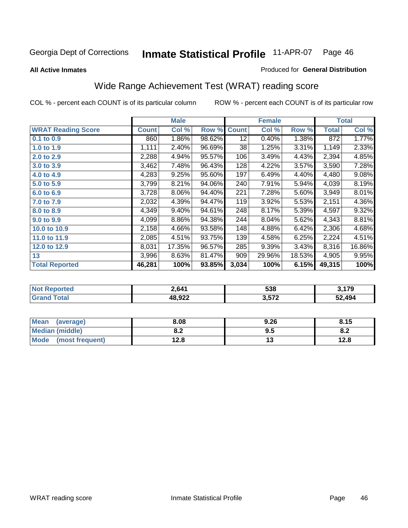#### **All Active Inmates**

#### Produced for **General Distribution**

## Wide Range Achievement Test (WRAT) reading score

|                           |              | <b>Male</b> |        |              | <b>Female</b> |        |              | <b>Total</b> |
|---------------------------|--------------|-------------|--------|--------------|---------------|--------|--------------|--------------|
| <b>WRAT Reading Score</b> | <b>Count</b> | Col %       | Row %  | <b>Count</b> | Col %         | Row %  | <b>Total</b> | Col %        |
| $0.1$ to $0.9$            | 860          | 1.86%       | 98.62% | 12           | 0.40%         | 1.38%  | 872          | 1.77%        |
| 1.0 to 1.9                | 1,111        | 2.40%       | 96.69% | 38           | 1.25%         | 3.31%  | 1,149        | 2.33%        |
| 2.0 to 2.9                | 2,288        | 4.94%       | 95.57% | 106          | 3.49%         | 4.43%  | 2,394        | 4.85%        |
| 3.0 to 3.9                | 3,462        | 7.48%       | 96.43% | 128          | 4.22%         | 3.57%  | 3,590        | 7.28%        |
| 4.0 to 4.9                | 4,283        | 9.25%       | 95.60% | 197          | 6.49%         | 4.40%  | 4,480        | 9.08%        |
| 5.0 to 5.9                | 3,799        | 8.21%       | 94.06% | 240          | 7.91%         | 5.94%  | 4,039        | 8.19%        |
| 6.0 to 6.9                | 3,728        | 8.06%       | 94.40% | 221          | 7.28%         | 5.60%  | 3,949        | 8.01%        |
| 7.0 to 7.9                | 2,032        | 4.39%       | 94.47% | 119          | 3.92%         | 5.53%  | 2,151        | 4.36%        |
| 8.0 to 8.9                | 4,349        | 9.40%       | 94.61% | 248          | 8.17%         | 5.39%  | 4,597        | 9.32%        |
| 9.0 to 9.9                | 4,099        | 8.86%       | 94.38% | 244          | 8.04%         | 5.62%  | 4,343        | 8.81%        |
| 10.0 to 10.9              | 2,158        | 4.66%       | 93.58% | 148          | 4.88%         | 6.42%  | 2,306        | 4.68%        |
| 11.0 to 11.9              | 2,085        | 4.51%       | 93.75% | 139          | 4.58%         | 6.25%  | 2,224        | 4.51%        |
| 12.0 to 12.9              | 8,031        | 17.35%      | 96.57% | 285          | 9.39%         | 3.43%  | 8,316        | 16.86%       |
| 13                        | 3,996        | 8.63%       | 81.47% | 909          | 29.96%        | 18.53% | 4,905        | 9.95%        |
| <b>Total Reported</b>     | 46,281       | 100%        | 93.85% | 3,034        | 100%          | 6.15%  | 49,315       | 100%         |

| NO | 2,641            | 538               | 170<br>. |
|----|------------------|-------------------|----------|
|    | רכה 10<br>40.YZZ | 2 572<br>- J.JI 4 | 52,494   |

| <b>Mean</b><br>(average) | 8.08       | 9.26 | 8.15                           |
|--------------------------|------------|------|--------------------------------|
| Median (middle)          | ໐ ^<br>o.z | 9.5  | ດ -<br>$\mathbf{0}.\mathbf{L}$ |
| Mode (most frequent)     | 12.8       | טו   | 12.8                           |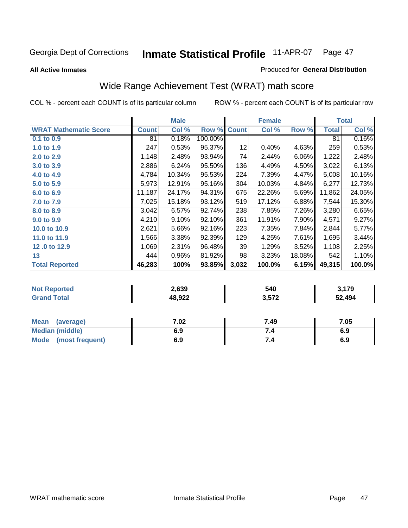**All Active Inmates**

#### Produced for **General Distribution**

## Wide Range Achievement Test (WRAT) math score

|                              |              | <b>Male</b> |         |              | <b>Female</b> |        |        | <b>Total</b> |
|------------------------------|--------------|-------------|---------|--------------|---------------|--------|--------|--------------|
| <b>WRAT Mathematic Score</b> | <b>Count</b> | Col %       | Row %   | <b>Count</b> | Col %         | Row %  | Total  | Col %        |
| 0.1 to 0.9                   | 81           | 0.18%       | 100.00% |              |               |        | 81     | 0.16%        |
| 1.0 to 1.9                   | 247          | 0.53%       | 95.37%  | 12           | 0.40%         | 4.63%  | 259    | 0.53%        |
| 2.0 to 2.9                   | 1,148        | 2.48%       | 93.94%  | 74           | 2.44%         | 6.06%  | 1,222  | 2.48%        |
| 3.0 to 3.9                   | 2,886        | 6.24%       | 95.50%  | 136          | 4.49%         | 4.50%  | 3,022  | 6.13%        |
| 4.0 to 4.9                   | 4,784        | 10.34%      | 95.53%  | 224          | 7.39%         | 4.47%  | 5,008  | 10.16%       |
| 5.0 to 5.9                   | 5,973        | 12.91%      | 95.16%  | 304          | 10.03%        | 4.84%  | 6,277  | 12.73%       |
| 6.0 to 6.9                   | 11,187       | 24.17%      | 94.31%  | 675          | 22.26%        | 5.69%  | 11,862 | 24.05%       |
| 7.0 to 7.9                   | 7,025        | 15.18%      | 93.12%  | 519          | 17.12%        | 6.88%  | 7,544  | 15.30%       |
| 8.0 to 8.9                   | 3,042        | 6.57%       | 92.74%  | 238          | 7.85%         | 7.26%  | 3,280  | 6.65%        |
| 9.0 to 9.9                   | 4,210        | 9.10%       | 92.10%  | 361          | 11.91%        | 7.90%  | 4,571  | 9.27%        |
| 10.0 to 10.9                 | 2,621        | 5.66%       | 92.16%  | 223          | 7.35%         | 7.84%  | 2,844  | 5.77%        |
| 11.0 to 11.9                 | 1,566        | 3.38%       | 92.39%  | 129          | 4.25%         | 7.61%  | 1,695  | 3.44%        |
| 12.0 to 12.9                 | 1,069        | 2.31%       | 96.48%  | 39           | 1.29%         | 3.52%  | 1,108  | 2.25%        |
| 13                           | 444          | 0.96%       | 81.92%  | 98           | 3.23%         | 18.08% | 542    | 1.10%        |
| <b>Total Reported</b>        | 46,283       | 100%        | 93.85%  | 3,032        | 100.0%        | 6.15%  | 49,315 | 100.0%       |

|             | 2.639          | 540   | $\rightarrow$<br>17 |
|-------------|----------------|-------|---------------------|
| <b>otal</b> | 18 Q22<br>.JLL | ! 572 | 52.494              |

| <b>Mean</b><br>(average)       | 7.02 | 7.49 | 7.05 |
|--------------------------------|------|------|------|
| <b>Median (middle)</b>         | 6.9  |      | 6.9  |
| <b>Mode</b><br>(most frequent) | 6.9  | 7.4  | 6.9  |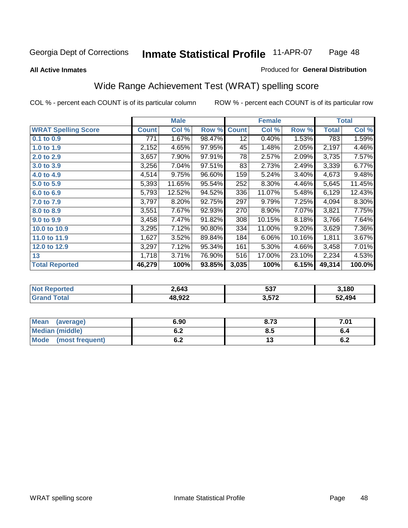#### **All Active Inmates**

#### Produced for **General Distribution**

### Wide Range Achievement Test (WRAT) spelling score

|                            |              | <b>Male</b> |        |                 | <b>Female</b> |        |              | <b>Total</b> |
|----------------------------|--------------|-------------|--------|-----------------|---------------|--------|--------------|--------------|
| <b>WRAT Spelling Score</b> | <b>Count</b> | Col %       | Row %  | <b>Count</b>    | Col %         | Row %  | <b>Total</b> | Col %        |
| 0.1 to 0.9                 | 771          | 1.67%       | 98.47% | $\overline{12}$ | 0.40%         | 1.53%  | 783          | 1.59%        |
| 1.0 to 1.9                 | 2,152        | 4.65%       | 97.95% | 45              | 1.48%         | 2.05%  | 2,197        | 4.46%        |
| 2.0 to 2.9                 | 3,657        | 7.90%       | 97.91% | 78              | 2.57%         | 2.09%  | 3,735        | 7.57%        |
| 3.0 to 3.9                 | 3,256        | 7.04%       | 97.51% | 83              | 2.73%         | 2.49%  | 3,339        | 6.77%        |
| 4.0 to 4.9                 | 4,514        | 9.75%       | 96.60% | 159             | 5.24%         | 3.40%  | 4,673        | 9.48%        |
| 5.0 to 5.9                 | 5,393        | 11.65%      | 95.54% | 252             | 8.30%         | 4.46%  | 5,645        | 11.45%       |
| 6.0 to 6.9                 | 5,793        | 12.52%      | 94.52% | 336             | 11.07%        | 5.48%  | 6,129        | 12.43%       |
| 7.0 to 7.9                 | 3,797        | 8.20%       | 92.75% | 297             | 9.79%         | 7.25%  | 4,094        | 8.30%        |
| 8.0 to 8.9                 | 3,551        | 7.67%       | 92.93% | 270             | 8.90%         | 7.07%  | 3,821        | 7.75%        |
| 9.0 to 9.9                 | 3,458        | 7.47%       | 91.82% | 308             | 10.15%        | 8.18%  | 3,766        | 7.64%        |
| 10.0 to 10.9               | 3,295        | 7.12%       | 90.80% | 334             | 11.00%        | 9.20%  | 3,629        | 7.36%        |
| 11.0 to 11.9               | 1,627        | 3.52%       | 89.84% | 184             | 6.06%         | 10.16% | 1,811        | 3.67%        |
| 12.0 to 12.9               | 3,297        | 7.12%       | 95.34% | 161             | 5.30%         | 4.66%  | 3,458        | 7.01%        |
| 13                         | 1,718        | 3.71%       | 76.90% | 516             | 17.00%        | 23.10% | 2,234        | 4.53%        |
| <b>Total Reported</b>      | 46,279       | 100%        | 93.85% | 3,035           | 100%          | 6.15%  | 49,314       | 100.0%       |

| n er | 2,643  | ヒヘラ<br>၁၁၊  | $^{\backprime}$ .180 |
|------|--------|-------------|----------------------|
|      | 40,JZZ | ・トマク<br>J.J | 52.494               |

| <b>Mean</b><br>(average)       | 6.90       | 8.73 | 7.01       |
|--------------------------------|------------|------|------------|
| Median (middle)                | ^ ^<br>0.Z | ტ.J  | o.4        |
| <b>Mode</b><br>(most frequent) | . .<br>U.Z | יי   | . .<br>υ.Ζ |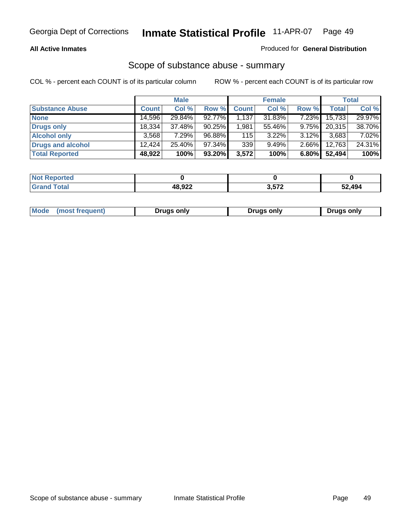#### **All Active Inmates**

### Produced for **General Distribution**

### Scope of substance abuse - summary

|                        |              | <b>Male</b> |        |              | <b>Female</b> |          |              | <b>Total</b> |
|------------------------|--------------|-------------|--------|--------------|---------------|----------|--------------|--------------|
| <b>Substance Abuse</b> | <b>Count</b> | Col %       | Row %  | <b>Count</b> | Col %         | Row %    | <b>Total</b> | Col %        |
| <b>None</b>            | 14,596       | 29.84%      | 92.77% | 1,137        | 31.83%        | $7.23\%$ | 15,733       | 29.97%       |
| <b>Drugs only</b>      | 18.334       | 37.48%      | 90.25% | 1,981        | 55.46%        | $9.75\%$ | 20,315       | 38.70%       |
| <b>Alcohol only</b>    | 3.568        | 7.29%       | 96.88% | 115          | $3.22\%$      | $3.12\%$ | 3,683        | 7.02%        |
| Drugs and alcohol      | 12.424       | $25.40\%$   | 97.34% | 339          | 9.49%         | $2.66\%$ | 12,763       | 24.31%       |
| <b>Total Reported</b>  | 48,922       | 100%        | 93.20% | 3,572        | 100%          | 6.80%    | 52,494       | 100%         |

| <b>Not</b><br><b>Reported</b> |        |                        |        |
|-------------------------------|--------|------------------------|--------|
| <b>otal</b><br><b>Granu</b>   | ההה הו | 3572<br><i>ے ו</i> טוט | 2.494ۃ |

|  | Mode<br>(most frequent) | <b>Drugs only</b> | Drugs only | Drugs only |
|--|-------------------------|-------------------|------------|------------|
|--|-------------------------|-------------------|------------|------------|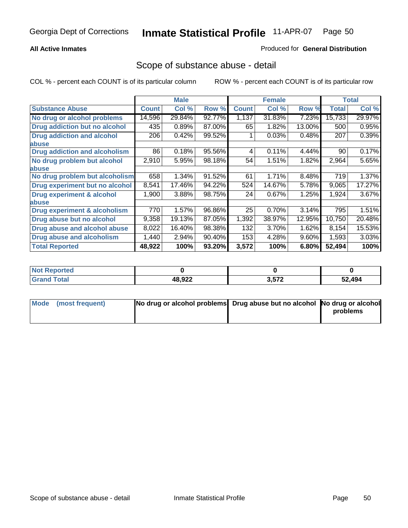#### **All Active Inmates**

#### Produced for **General Distribution**

### Scope of substance abuse - detail

|                                      |              | <b>Male</b> |        |              | <b>Female</b> |        |              | <b>Total</b> |
|--------------------------------------|--------------|-------------|--------|--------------|---------------|--------|--------------|--------------|
| <b>Substance Abuse</b>               | <b>Count</b> | Col %       | Row %  | <b>Count</b> | Col %         | Row %  | <b>Total</b> | Col %        |
| No drug or alcohol problems          | 14,596       | 29.84%      | 92.77% | 1,137        | 31.83%        | 7.23%  | 15,733       | 29.97%       |
| Drug addiction but no alcohol        | 435          | 0.89%       | 87.00% | 65           | 1.82%         | 13.00% | 500          | 0.95%        |
| <b>Drug addiction and alcohol</b>    | 206          | 0.42%       | 99.52% |              | 0.03%         | 0.48%  | 207          | 0.39%        |
| <b>labuse</b>                        |              |             |        |              |               |        |              |              |
| <b>Drug addiction and alcoholism</b> | 86           | 0.18%       | 95.56% | 4            | 0.11%         | 4.44%  | 90           | 0.17%        |
| No drug problem but alcohol          | 2,910        | 5.95%       | 98.18% | 54           | 1.51%         | 1.82%  | 2,964        | 5.65%        |
| <b>labuse</b>                        |              |             |        |              |               |        |              |              |
| No drug problem but alcoholism       | 658          | 1.34%       | 91.52% | 61           | 1.71%         | 8.48%  | 719          | 1.37%        |
| Drug experiment but no alcohol       | 8,541        | 17.46%      | 94.22% | 524          | 14.67%        | 5.78%  | 9,065        | 17.27%       |
| <b>Drug experiment &amp; alcohol</b> | 1,900        | 3.88%       | 98.75% | 24           | 0.67%         | 1.25%  | 1,924        | 3.67%        |
| <b>labuse</b>                        |              |             |        |              |               |        |              |              |
| Drug experiment & alcoholism         | 770          | 1.57%       | 96.86% | 25           | 0.70%         | 3.14%  | 795          | 1.51%        |
| Drug abuse but no alcohol            | 9,358        | 19.13%      | 87.05% | 1,392        | 38.97%        | 12.95% | 10,750       | 20.48%       |
| Drug abuse and alcohol abuse         | 8,022        | 16.40%      | 98.38% | 132          | 3.70%         | 1.62%  | 8,154        | 15.53%       |
| <b>Drug abuse and alcoholism</b>     | 1,440        | 2.94%       | 90.40% | 153          | 4.28%         | 9.60%  | 1,593        | 3.03%        |
| <b>Total Reported</b>                | 48,922       | 100%        | 93.20% | 3,572        | 100%          | 6.80%  | 52,494       | 100%         |

| <b>Not Reported</b> |                       |       |        |
|---------------------|-----------------------|-------|--------|
| <b>cotal</b>        | <b>10 חי</b><br>ーいってん | 3.572 | 52.494 |

| Mode (most frequent) | No drug or alcohol problems Drug abuse but no alcohol No drug or alcohol |          |
|----------------------|--------------------------------------------------------------------------|----------|
|                      |                                                                          | problems |
|                      |                                                                          |          |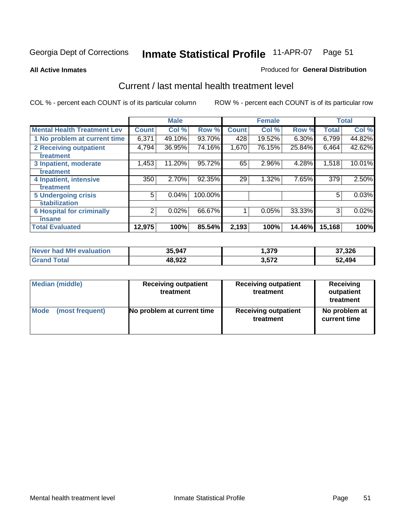#### **All Active Inmates**

#### Produced for **General Distribution**

### Current / last mental health treatment level

|                                    |              | <b>Male</b> |         |              | <b>Female</b> |          |              | <b>Total</b> |
|------------------------------------|--------------|-------------|---------|--------------|---------------|----------|--------------|--------------|
| <b>Mental Health Treatment Lev</b> | <b>Count</b> | Col %       | Row %   | <b>Count</b> | Col%          | Row %    | <b>Total</b> | Col%         |
| 1 No problem at current time       | 6,371        | 49.10%      | 93.70%  | 428          | 19.52%        | $6.30\%$ | 6,799        | 44.82%       |
| <b>2 Receiving outpatient</b>      | 4,794        | 36.95%      | 74.16%  | 1,670        | 76.15%        | 25.84%   | 6,464        | 42.62%       |
| treatment                          |              |             |         |              |               |          |              |              |
| 3 Inpatient, moderate              | 1,453        | 11.20%      | 95.72%  | 65           | 2.96%         | 4.28%    | 1,518        | 10.01%       |
| treatment                          |              |             |         |              |               |          |              |              |
| 4 Inpatient, intensive             | 350          | 2.70%       | 92.35%  | 29           | 1.32%         | 7.65%    | 379          | 2.50%        |
| treatment                          |              |             |         |              |               |          |              |              |
| <b>5 Undergoing crisis</b>         | 5            | 0.04%       | 100.00% |              |               |          | 5            | 0.03%        |
| stabilization                      |              |             |         |              |               |          |              |              |
| <b>6 Hospital for criminally</b>   | 2            | 0.02%       | 66.67%  |              | 0.05%         | 33.33%   | 3            | 0.02%        |
| insane                             |              |             |         |              |               |          |              |              |
| <b>Total Evaluated</b>             | 12,975       | 100%        | 85.54%  | 2,193        | 100%          | 14.46%   | 15,168       | 100%         |

| Never had MH evaluation        | 35,947 | .379  | 37,326 |
|--------------------------------|--------|-------|--------|
| $\tau$ otal $\tau$<br>ˈGrand ∖ | 48,922 | 3,572 | 52,494 |

| Median (middle) | <b>Receiving outpatient</b><br>treatment | <b>Receiving outpatient</b><br>treatment | <b>Receiving</b><br>outpatient<br>treatment |  |
|-----------------|------------------------------------------|------------------------------------------|---------------------------------------------|--|
| Mode            | No problem at current time               | <b>Receiving outpatient</b>              | No problem at                               |  |
| (most frequent) |                                          | treatment                                | current time                                |  |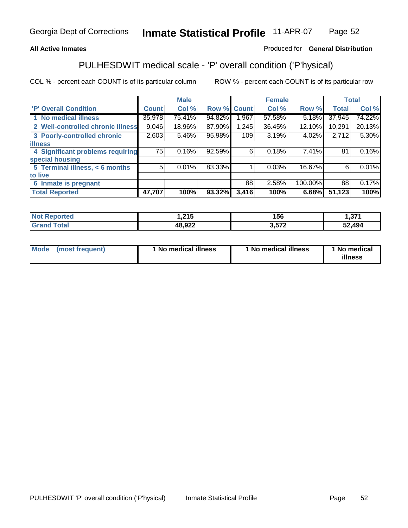### **All Active Inmates**

### Produced for **General Distribution**

### PULHESDWIT medical scale - 'P' overall condition ('P'hysical)

|                                   |              | <b>Male</b> |        |              | <b>Female</b> |         |              | <b>Total</b> |
|-----------------------------------|--------------|-------------|--------|--------------|---------------|---------|--------------|--------------|
| 'P' Overall Condition             | <b>Count</b> | Col %       | Row %  | <b>Count</b> | Col %         | Row %   | <b>Total</b> | Col %        |
| 1 No medical illness              | 35,978       | 75.41%      | 94.82% | .967         | 57.58%        | 5.18%   | 37,945       | 74.22%       |
| 2 Well-controlled chronic illness | 9,046        | 18.96%      | 87.90% | 1,245        | 36.45%        | 12.10%  | 10,291       | 20.13%       |
| 3 Poorly-controlled chronic       | 2,603        | 5.46%       | 95.98% | 109          | 3.19%         | 4.02%   | 2,712        | 5.30%        |
| <b>illness</b>                    |              |             |        |              |               |         |              |              |
| 4 Significant problems requiring  | 75           | 0.16%       | 92.59% | 6            | 0.18%         | 7.41%   | 81           | 0.16%        |
| special housing                   |              |             |        |              |               |         |              |              |
| 5 Terminal illness, < 6 months    | 5            | 0.01%       | 83.33% |              | 0.03%         | 16.67%  | 6            | 0.01%        |
| to live                           |              |             |        |              |               |         |              |              |
| Inmate is pregnant<br>6           |              |             |        | 88           | 2.58%         | 100.00% | 88           | 0.17%        |
| <b>Total Reported</b>             | 47,707       | 100%        | 93.32% | 3,416        | 100%          | 6.68%   | 51,123       | 100%         |

| <b>Not Reported</b> | 1,215  | 156   | 274<br>ا اد. ا |
|---------------------|--------|-------|----------------|
| <b>Grand Total</b>  | 48,922 | 3,572 | 52,494         |

| Mode (most frequent) | 1 No medical illness | 1 No medical illness | 1 No medical |
|----------------------|----------------------|----------------------|--------------|
|                      |                      |                      | illness      |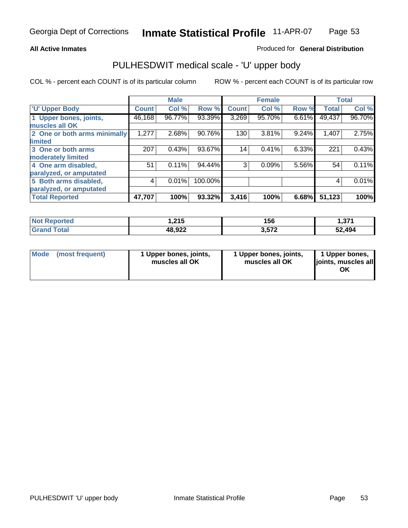#### **All Active Inmates**

#### Produced for **General Distribution**

### PULHESDWIT medical scale - 'U' upper body

|                              |              | <b>Male</b> |         |              | <b>Female</b> |       |              | <b>Total</b> |
|------------------------------|--------------|-------------|---------|--------------|---------------|-------|--------------|--------------|
| <b>U' Upper Body</b>         | <b>Count</b> | Col %       | Row %   | <b>Count</b> | Col %         | Row % | <b>Total</b> | Col %        |
| 1 Upper bones, joints,       | 46,168       | 96.77%      | 93.39%  | 3,269        | 95.70%        | 6.61% | 49,437       | 96.70%       |
| muscles all OK               |              |             |         |              |               |       |              |              |
| 2 One or both arms minimally | 1,277        | 2.68%       | 90.76%  | 130          | 3.81%         | 9.24% | 1,407        | 2.75%        |
| limited                      |              |             |         |              |               |       |              |              |
| 3 One or both arms           | 207          | 0.43%       | 93.67%  | 14           | 0.41%         | 6.33% | 221          | 0.43%        |
| moderately limited           |              |             |         |              |               |       |              |              |
| 4 One arm disabled,          | 51           | 0.11%       | 94.44%  | 3            | 0.09%         | 5.56% | 54           | 0.11%        |
| paralyzed, or amputated      |              |             |         |              |               |       |              |              |
| 5 Both arms disabled,        | 4            | 0.01%       | 100.00% |              |               |       | 4            | 0.01%        |
| paralyzed, or amputated      |              |             |         |              |               |       |              |              |
| <b>Total Reported</b>        | 47,707       | 100%        | 93.32%  | 3,416        | 100%          | 6.68% | 51,123       | 100%         |

| <b>rted</b> | 24E     | 156   | 274     |
|-------------|---------|-------|---------|
| NOT         | ں اگر ا |       | ا اد. ا |
| $T0$ tal    | 48,922  | う ニフク | 52.494  |

| <b>Mode</b> | (most frequent) | 1 Upper bones, joints,<br>muscles all OK | 1 Upper bones, joints,<br>muscles all OK | 1 Upper bones,<br>joints, muscles all<br>ΟK |
|-------------|-----------------|------------------------------------------|------------------------------------------|---------------------------------------------|
|-------------|-----------------|------------------------------------------|------------------------------------------|---------------------------------------------|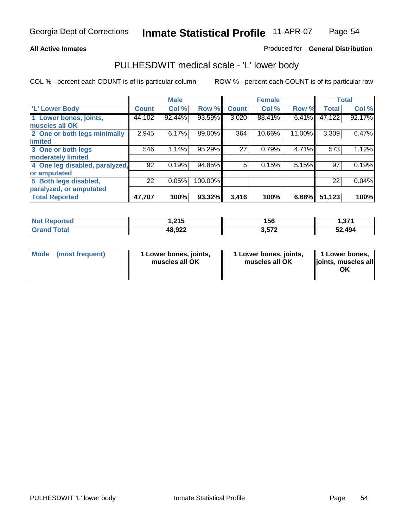### **All Active Inmates**

### Produced for **General Distribution**

### PULHESDWIT medical scale - 'L' lower body

|                                |              | <b>Male</b> |         |              | <b>Female</b> |        |              | <b>Total</b> |
|--------------------------------|--------------|-------------|---------|--------------|---------------|--------|--------------|--------------|
| 'L' Lower Body                 | <b>Count</b> | Col %       | Row %   | <b>Count</b> | Col %         | Row %  | <b>Total</b> | Col %        |
| 1 Lower bones, joints,         | 44,102       | 92.44%      | 93.59%  | 3,020        | 88.41%        | 6.41%  | 47,122       | 92.17%       |
| muscles all OK                 |              |             |         |              |               |        |              |              |
| 2 One or both legs minimally   | 2,945        | 6.17%       | 89.00%  | 364          | 10.66%        | 11.00% | 3,309        | 6.47%        |
| limited                        |              |             |         |              |               |        |              |              |
| 3 One or both legs             | 546          | 1.14%       | 95.29%  | 27           | 0.79%         | 4.71%  | 573          | 1.12%        |
| moderately limited             |              |             |         |              |               |        |              |              |
| 4 One leg disabled, paralyzed, | 92           | 0.19%       | 94.85%  | 5            | 0.15%         | 5.15%  | 97           | 0.19%        |
| or amputated                   |              |             |         |              |               |        |              |              |
| 5 Both legs disabled,          | 22           | 0.05%       | 100.00% |              |               |        | 22           | 0.04%        |
| paralyzed, or amputated        |              |             |         |              |               |        |              |              |
| <b>Total Reported</b>          | 47,707       | 100%        | 93.32%  | 3,416        | 100%          | 6.68%  | 51,123       | 100%         |

| <b>Reported</b>        | .24E    | 156   | っつっ     |
|------------------------|---------|-------|---------|
| <b>NOT</b>             | 1.Z I J |       | ا اد. ا |
| <b>Total</b><br>'Grano | 48,922  | 3.572 | 52,494  |

|  | Mode (most frequent) | 1 Lower bones, joints,<br>muscles all OK | 1 Lower bones, joints,<br>muscles all OK | 1 Lower bones,<br>joints, muscles all<br>ОK |
|--|----------------------|------------------------------------------|------------------------------------------|---------------------------------------------|
|--|----------------------|------------------------------------------|------------------------------------------|---------------------------------------------|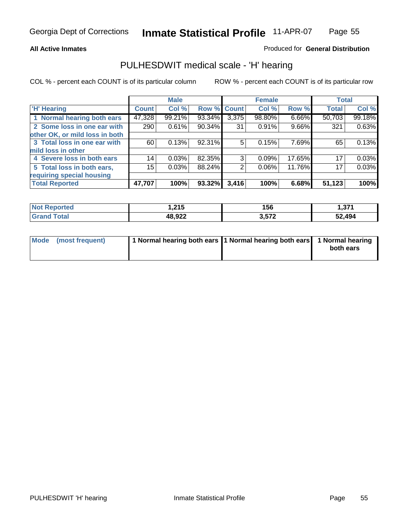#### **All Active Inmates**

#### Produced for **General Distribution**

### PULHESDWIT medical scale - 'H' hearing

|                                |              | <b>Male</b> |             |       | <b>Female</b> |        | <b>Total</b> |        |
|--------------------------------|--------------|-------------|-------------|-------|---------------|--------|--------------|--------|
| <b>H'</b> Hearing              | <b>Count</b> | Col %       | Row % Count |       | Col %         | Row %  | <b>Total</b> | Col %  |
| 1 Normal hearing both ears     | 47,328       | 99.21%      | 93.34%      | 3,375 | 98.80%        | 6.66%  | 50,703       | 99.18% |
| 2 Some loss in one ear with    | 290          | 0.61%       | 90.34%      | 31    | 0.91%         | 9.66%  | 321          | 0.63%  |
| other OK, or mild loss in both |              |             |             |       |               |        |              |        |
| 3 Total loss in one ear with   | 60           | 0.13%       | 92.31%      | 5     | 0.15%         | 7.69%  | 65           | 0.13%  |
| mild loss in other             |              |             |             |       |               |        |              |        |
| 4 Severe loss in both ears     | 14           | 0.03%       | 82.35%      | 3     | 0.09%         | 17.65% | 17           | 0.03%  |
| 5 Total loss in both ears,     | 15           | 0.03%       | 88.24%      | 2     | $0.06\%$      | 11.76% | 17           | 0.03%  |
| requiring special housing      |              |             |             |       |               |        |              |        |
| <b>Total Reported</b>          | 47,707       | 100%        | 93.32%      | 3,416 | 100%          | 6.68%  | 51,123       | 100%   |

| วrted | 24E<br>1.ZIJ | 156   | 274<br>וט, ו   |
|-------|--------------|-------|----------------|
| 'ota  | 48,922       | 3,572 | 52,494<br>، 2د |

| Mode (most frequent) | 1 Normal hearing both ears 11 Normal hearing both ears 1 Normal hearing |           |
|----------------------|-------------------------------------------------------------------------|-----------|
|                      |                                                                         | both ears |
|                      |                                                                         |           |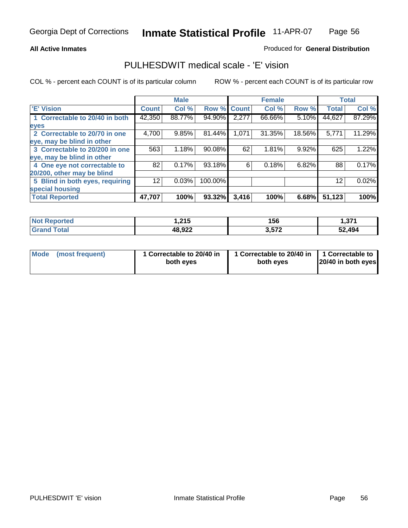#### **All Active Inmates**

#### Produced for **General Distribution**

### PULHESDWIT medical scale - 'E' vision

|                                 |                 | <b>Male</b> |             |       | <b>Female</b> |          |              | <b>Total</b> |
|---------------------------------|-----------------|-------------|-------------|-------|---------------|----------|--------------|--------------|
| 'E' Vision                      | <b>Count</b>    | Col %       | Row % Count |       | Col %         | Row %    | <b>Total</b> | Col %        |
| 1 Correctable to 20/40 in both  | 42,350          | 88.77%      | 94.90%      | 2,277 | 66.66%        | 5.10%    | 44,627       | 87.29%       |
| eyes                            |                 |             |             |       |               |          |              |              |
| 2 Correctable to 20/70 in one   | 4,700           | 9.85%       | 81.44%      | 1,071 | 31.35%        | 18.56%   | 5,771        | 11.29%       |
| eye, may be blind in other      |                 |             |             |       |               |          |              |              |
| 3 Correctable to 20/200 in one  | 563             | 1.18%       | 90.08%      | 62    | 1.81%         | $9.92\%$ | 625          | 1.22%        |
| eye, may be blind in other      |                 |             |             |       |               |          |              |              |
| 4 One eye not correctable to    | 82              | 0.17%       | 93.18%      | 6     | 0.18%         | 6.82%    | 88           | 0.17%        |
| 20/200, other may be blind      |                 |             |             |       |               |          |              |              |
| 5 Blind in both eyes, requiring | 12 <sub>1</sub> | 0.03%       | 100.00%     |       |               |          | 12           | 0.02%        |
| special housing                 |                 |             |             |       |               |          |              |              |
| <b>Total Reported</b>           | 47,707          | 100%        | 93.32%      | 3,416 | 100%          | 6.68%    | 51,123       | 100%         |

| <b>Not Reported</b> | 215<br>52 I J | 156   | 274<br>ו וטו |
|---------------------|---------------|-------|--------------|
| Total<br>⊪Gran      | 48,922        | 3,572 | 52,494       |

| Mode | (most frequent) | 1 Correctable to 20/40 in<br>both eves | 1 Correctable to 20/40 in   1 Correctable to<br>both eves | 20/40 in both eyes |
|------|-----------------|----------------------------------------|-----------------------------------------------------------|--------------------|
|      |                 |                                        |                                                           |                    |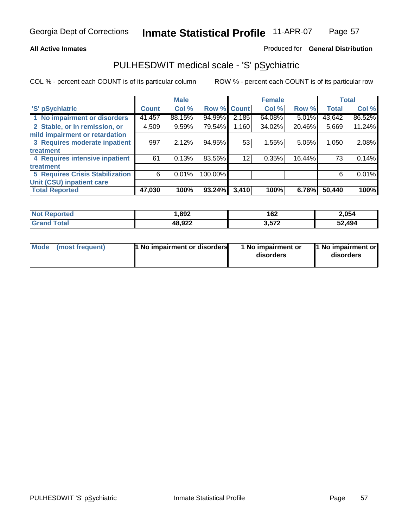#### **All Active Inmates**

#### Produced for **General Distribution**

### PULHESDWIT medical scale - 'S' pSychiatric

|                                        |              | <b>Male</b> |             |       | <b>Female</b> |        |              | <b>Total</b> |
|----------------------------------------|--------------|-------------|-------------|-------|---------------|--------|--------------|--------------|
| 'S' pSychiatric                        | <b>Count</b> | Col %       | Row % Count |       | Col %         | Row %  | <b>Total</b> | Col %        |
| 1 No impairment or disorders           | 41,457       | 88.15%      | 94.99%      | 2,185 | 64.08%        | 5.01%  | 43,642       | 86.52%       |
| 2 Stable, or in remission, or          | 4,509        | 9.59%       | 79.54%      | 1,160 | 34.02%        | 20.46% | 5,669        | 11.24%       |
| mild impairment or retardation         |              |             |             |       |               |        |              |              |
| 3 Requires moderate inpatient          | 997          | 2.12%       | 94.95%      | 53    | 1.55%         | 5.05%  | 1,050        | 2.08%        |
| treatment                              |              |             |             |       |               |        |              |              |
| 4 Requires intensive inpatient         | 61           | 0.13%       | 83.56%      | 12    | 0.35%         | 16.44% | 73           | 0.14%        |
| treatment                              |              |             |             |       |               |        |              |              |
| <b>5 Requires Crisis Stabilization</b> | 6            | 0.01%       | 100.00%     |       |               |        | 6            | 0.01%        |
| Unit (CSU) inpatient care              |              |             |             |       |               |        |              |              |
| <b>Total Reported</b>                  | 47,030       | 100%        | 93.24%      | 3,410 | 100%          | 6.76%  | 50,440       | 100%         |

| <b>Not Reported</b> | ,892   | 162   | 2,054  |
|---------------------|--------|-------|--------|
| Total<br>' Grand 1  | 48,922 | 3,572 | 52,494 |

| Mode (most frequent) | <b>1</b> No impairment or disorders | 1 No impairment or<br>disorders | 1 No impairment or<br>disorders |
|----------------------|-------------------------------------|---------------------------------|---------------------------------|
|                      |                                     |                                 |                                 |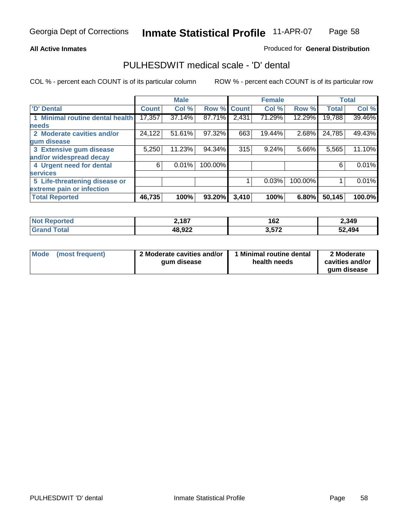#### **All Active Inmates**

#### Produced for **General Distribution**

### PULHESDWIT medical scale - 'D' dental

|                                 |              | <b>Male</b> |             |       | <b>Female</b> |         |              | <b>Total</b> |
|---------------------------------|--------------|-------------|-------------|-------|---------------|---------|--------------|--------------|
| 'D' Dental                      | <b>Count</b> | Col %       | Row % Count |       | Col %         | Row %   | <b>Total</b> | Col %        |
| 1 Minimal routine dental health | 17,357       | 37.14%      | 87.71%      | 2,431 | 71.29%        | 12.29%  | 19,788       | 39.46%       |
| <b>needs</b>                    |              |             |             |       |               |         |              |              |
| 2 Moderate cavities and/or      | 24,122       | 51.61%      | 97.32%      | 663   | 19.44%        | 2.68%   | 24,785       | 49.43%       |
| gum disease                     |              |             |             |       |               |         |              |              |
| 3 Extensive gum disease         | 5,250        | 11.23%      | 94.34%      | 315   | 9.24%         | 5.66%   | 5,565        | 11.10%       |
| and/or widespread decay         |              |             |             |       |               |         |              |              |
| 4 Urgent need for dental        | 6            | 0.01%       | 100.00%     |       |               |         | 6            | 0.01%        |
| <b>services</b>                 |              |             |             |       |               |         |              |              |
| 5 Life-threatening disease or   |              |             |             |       | 0.03%         | 100.00% |              | 0.01%        |
| extreme pain or infection       |              |             |             |       |               |         |              |              |
| <b>Total Reported</b>           | 46,735       | 100%        | 93.20%      | 3,410 | 100%          | 6.80%   | 50,145       | 100.0%       |

| <b>Reported</b><br><b>NOT</b> | 2,187  | 162   | 2,349  |
|-------------------------------|--------|-------|--------|
| ™otar<br>'Grano               | 48,922 | 3,572 | 52,494 |

| <b>Mode</b> | (most frequent) | 2 Moderate cavities and/or<br>qum disease | Minimal routine dental<br>health needs | 2 Moderate<br>cavities and/or |
|-------------|-----------------|-------------------------------------------|----------------------------------------|-------------------------------|
|             |                 |                                           |                                        | qum disease                   |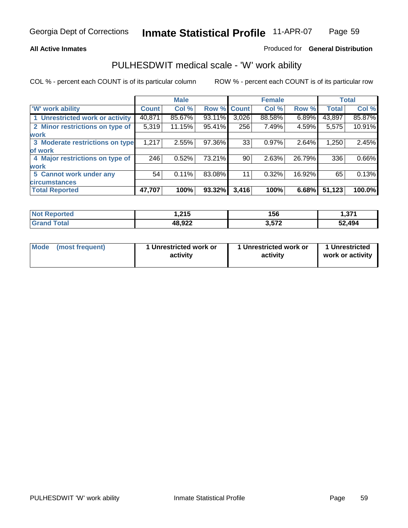#### **All Active Inmates**

#### Produced for **General Distribution**

### PULHESDWIT medical scale - 'W' work ability

|                                 |              | <b>Male</b> |        |              | <b>Female</b> |        |              | <b>Total</b> |
|---------------------------------|--------------|-------------|--------|--------------|---------------|--------|--------------|--------------|
| <b>W' work ability</b>          | <b>Count</b> | Col %       | Row %  | <b>Count</b> | Col %         | Row %  | <b>Total</b> | Col %        |
| 1 Unrestricted work or activity | 40,871       | 85.67%      | 93.11% | 3,026        | 88.58%        | 6.89%  | 43,897       | 85.87%       |
| 2 Minor restrictions on type of | 5,319        | 11.15%      | 95.41% | 256          | 7.49%         | 4.59%  | 5,575        | 10.91%       |
| <b>work</b>                     |              |             |        |              |               |        |              |              |
| 3 Moderate restrictions on type | 1,217        | 2.55%       | 97.36% | 33           | 0.97%         | 2.64%  | 1,250        | 2.45%        |
| of work                         |              |             |        |              |               |        |              |              |
| 4 Major restrictions on type of | 246          | 0.52%       | 73.21% | 90           | 2.63%         | 26.79% | 336          | 0.66%        |
| <b>work</b>                     |              |             |        |              |               |        |              |              |
| 5 Cannot work under any         | 54           | 0.11%       | 83.08% | 11           | 0.32%         | 16.92% | 65           | 0.13%        |
| <b>circumstances</b>            |              |             |        |              |               |        |              |              |
| <b>Total Reported</b>           | 47,707       | 100%        | 93.32% | 3,416        | 100%          | 6.68%  | 51,123       | 100.0%       |

| <b>Not Reported</b>          | .215.، | 156   | - 274<br>ا اد. |
|------------------------------|--------|-------|----------------|
| <b>Total</b><br><b>Grand</b> | 48,922 | 3,572 | 52,494         |

| Mode            | 1 Unrestricted work or | 1 Unrestricted work or | 1 Unrestricted   |
|-----------------|------------------------|------------------------|------------------|
| (most frequent) | activity               | activity               | work or activity |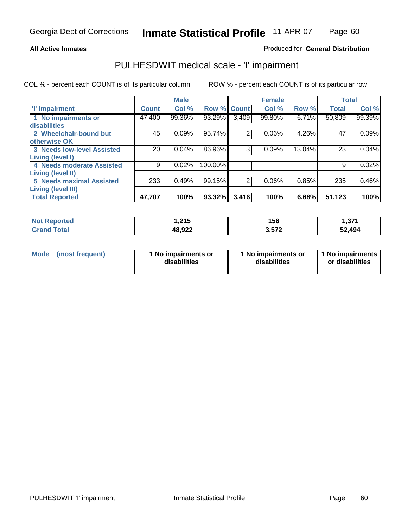#### **All Active Inmates**

#### Produced for **General Distribution**

### PULHESDWIT medical scale - 'I' impairment

|                                   |              | <b>Male</b> |             |                | <b>Female</b> |        |              | <b>Total</b> |
|-----------------------------------|--------------|-------------|-------------|----------------|---------------|--------|--------------|--------------|
| 'l' Impairment                    | <b>Count</b> | Col %       | Row % Count |                | Col %         | Row %  | <b>Total</b> | Col %        |
| 1 No impairments or               | 47,400       | 99.36%      | 93.29%      | 3,409          | 99.80%        | 6.71%  | 50,809       | 99.39%       |
| disabilities                      |              |             |             |                |               |        |              |              |
| 2 Wheelchair-bound but            | 45           | 0.09%       | 95.74%      | 2              | 0.06%         | 4.26%  | 47           | 0.09%        |
| otherwise OK                      |              |             |             |                |               |        |              |              |
| <b>3 Needs low-level Assisted</b> | 20           | 0.04%       | 86.96%      | 3              | 0.09%         | 13.04% | 23           | 0.04%        |
| Living (level I)                  |              |             |             |                |               |        |              |              |
| 4 Needs moderate Assisted         | 9            | 0.02%       | 100.00%     |                |               |        | 9            | 0.02%        |
| Living (level II)                 |              |             |             |                |               |        |              |              |
| <b>5 Needs maximal Assisted</b>   | 233          | 0.49%       | 99.15%      | $\overline{2}$ | 0.06%         | 0.85%  | 235          | 0.46%        |
| <b>Living (level III)</b>         |              |             |             |                |               |        |              |              |
| <b>Total Reported</b>             | 47,707       | 100%        | 93.32%      | 3,416          | 100%          | 6.68%  | 51,123       | 100%         |

| <b>Not Reported</b> | 215, ا | 156   | 1,371  |
|---------------------|--------|-------|--------|
| <b>Grand Total</b>  | 48,922 | 3,572 | 52,494 |

| Mode | (most frequent) | 1 No impairments or<br>disabilities | 1 No impairments or<br>disabilities | 1 1 No impairments<br>or disabilities |
|------|-----------------|-------------------------------------|-------------------------------------|---------------------------------------|
|------|-----------------|-------------------------------------|-------------------------------------|---------------------------------------|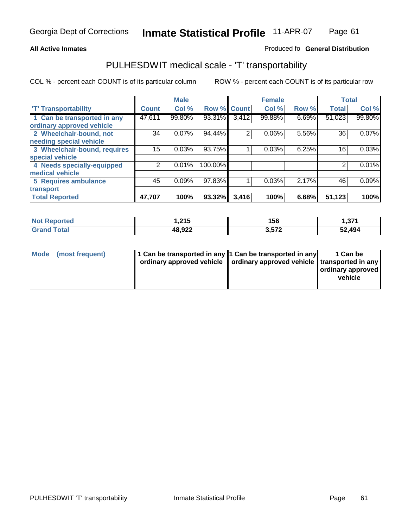#### **Inmate Statistical Profile** 11-APR-07 Page Page 61

### **All Active Inmates Allowski** Produced fo **General Distribution**

### PULHESDWIT medical scale - 'T' transportability

|                              |              | <b>Male</b> |         |                | <b>Female</b> |       | <b>Total</b> |        |
|------------------------------|--------------|-------------|---------|----------------|---------------|-------|--------------|--------|
| <b>T' Transportability</b>   | <b>Count</b> | Col %       | Row %   | <b>Count</b>   | Col %         | Row % | <b>Total</b> | Col %  |
| 1 Can be transported in any  | 47,611       | 99.80%      | 93.31%  | 3,412          | 99.88%        | 6.69% | 51,023       | 99.80% |
| ordinary approved vehicle    |              |             |         |                |               |       |              |        |
| 2 Wheelchair-bound, not      | 34           | 0.07%       | 94.44%  | $\overline{2}$ | 0.06%         | 5.56% | 36           | 0.07%  |
| needing special vehicle      |              |             |         |                |               |       |              |        |
| 3 Wheelchair-bound, requires | 15           | 0.03%       | 93.75%  |                | 0.03%         | 6.25% | 16           | 0.03%  |
| special vehicle              |              |             |         |                |               |       |              |        |
| 4 Needs specially-equipped   | 2            | 0.01%       | 100.00% |                |               |       | 2            | 0.01%  |
| medical vehicle              |              |             |         |                |               |       |              |        |
| <b>5 Requires ambulance</b>  | 45           | 0.09%       | 97.83%  |                | 0.03%         | 2.17% | 46           | 0.09%  |
| transport                    |              |             |         |                |               |       |              |        |
| <b>Total Reported</b>        | 47,707       | 100%        | 93.32%  | 3,416          | 100%          | 6.68% | 51,123       | 100%   |

| <b>Not</b><br>ported:       | 1,215  | 156   | 1,371  |
|-----------------------------|--------|-------|--------|
| <sup>-</sup> otal<br>'Grano | 48,922 | 3,572 | 52,494 |

| Mode (most frequent) | 1 Can be transported in any 1 Can be transported in any | ordinary approved vehicle   ordinary approved vehicle   transported in any | 1 Can be<br>ordinary approved<br>vehicle |
|----------------------|---------------------------------------------------------|----------------------------------------------------------------------------|------------------------------------------|
|                      |                                                         |                                                                            |                                          |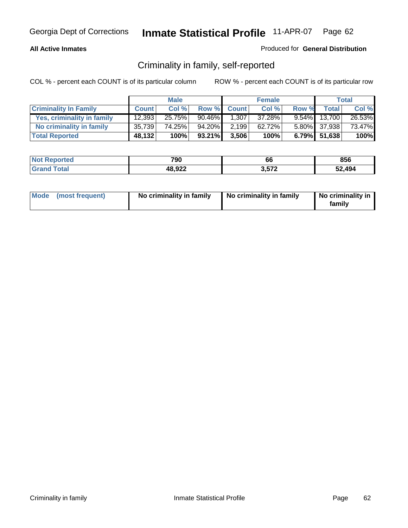#### **All Active Inmates**

### Produced for **General Distribution**

### Criminality in family, self-reported

|                              |              | <b>Male</b> |           |              | <b>Female</b> |       |                 | <b>Total</b> |
|------------------------------|--------------|-------------|-----------|--------------|---------------|-------|-----------------|--------------|
| <b>Criminality In Family</b> | <b>Count</b> | Col %       | Row %     | <b>Count</b> | Col %         | Row % | <b>Total</b>    | Col %        |
| Yes, criminality in family   | 12,393       | 25.75%      | $90.46\%$ | 1,307        | 37.28%        |       | $9.54\%$ 13,700 | 26.53%       |
| No criminality in family     | 35,739       | 74.25%      | 94.20%    | 2,199        | $62.72\%$     |       | 5.80% 37,938    | 73.47%       |
| <b>Total Reported</b>        | 48,132       | 100%        | 93.21%    | 3,506        | 100%          |       | 6.79% 51,638    | 100%         |

| <b>Not Reported</b>   | 790    | 00    | 856    |
|-----------------------|--------|-------|--------|
| Total<br><b>Grand</b> | 48,922 | 2.572 | 52,494 |

| Mode (most frequent) |  | No criminality in family | No criminality in family | No criminality in<br>family |
|----------------------|--|--------------------------|--------------------------|-----------------------------|
|----------------------|--|--------------------------|--------------------------|-----------------------------|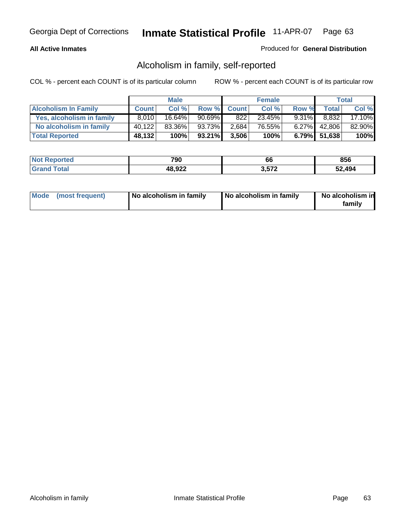### **All Active Inmates**

### Produced for **General Distribution**

### Alcoholism in family, self-reported

|                             |              | <b>Male</b> |           |              | <b>Female</b> |          |                 | <b>Total</b> |
|-----------------------------|--------------|-------------|-----------|--------------|---------------|----------|-----------------|--------------|
| <b>Alcoholism In Family</b> | <b>Count</b> | Col %       | Row %     | <b>Count</b> | Col %         | Row %    | <b>Total</b>    | Col %        |
| Yes, alcoholism in family   | 8.010        | 16.64%      | $90.69\%$ | 822          | 23.45%        | $9.31\%$ | 8,832           | 17.10%       |
| No alcoholism in family     | 40,122       | 83.36%      | 93.73%    | 2,684        | 76.55%        | $6.27\%$ | 42,806          | 82.90%       |
| <b>Total Reported</b>       | 48,132       | 100%        | 93.21%    | 3,506        | 100%          |          | $6.79\%$ 51,638 | 100%         |

| <b>Not Reported</b> | 790    | 00    | 856    |
|---------------------|--------|-------|--------|
| <b>Grand Total</b>  | 48,922 | 3,572 | 52.494 |

|  | Mode (most frequent) | No alcoholism in family | No alcoholism in family | No alcoholism in<br>familv |
|--|----------------------|-------------------------|-------------------------|----------------------------|
|--|----------------------|-------------------------|-------------------------|----------------------------|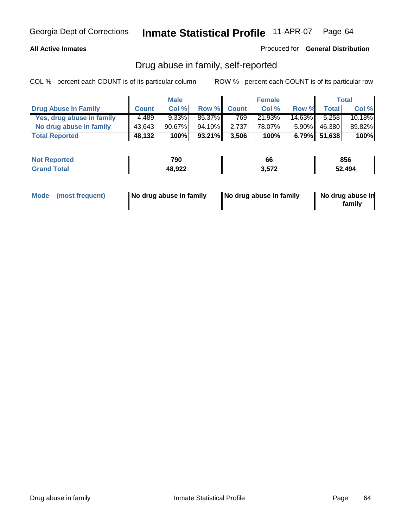### **All Active Inmates**

Produced for **General Distribution**

### Drug abuse in family, self-reported

|                           |              | <b>Male</b> |         |              | <b>Female</b> |           |                 | <b>Total</b> |
|---------------------------|--------------|-------------|---------|--------------|---------------|-----------|-----------------|--------------|
| Drug Abuse In Family      | <b>Count</b> | Col %       | Row %   | <b>Count</b> | Col %         | Row %     | <b>Total</b>    | Col %        |
| Yes, drug abuse in family | 4,489        | $9.33\%$    | 85.37%  | 769          | 21.93%        | $14.63\%$ | 5.258           | 10.18%       |
| No drug abuse in family   | 43,643       | $90.67\%$   | 94.10%I | 2,737        | 78.07%        | $5.90\%$  | 46,380          | 89.82%       |
| <b>Total Reported</b>     | 48,132       | 100%        | 93.21%  | 3,506        | 100%          |           | $6.79\%$ 51,638 | 100%         |

| <b>Not Reported</b>   | 790    | 00    | 856    |
|-----------------------|--------|-------|--------|
| Total<br><b>Grand</b> | 48,922 | 2.572 | 52,494 |

|  | Mode (most frequent) | No drug abuse in family | No drug abuse in family | No drug abuse in<br>family |
|--|----------------------|-------------------------|-------------------------|----------------------------|
|--|----------------------|-------------------------|-------------------------|----------------------------|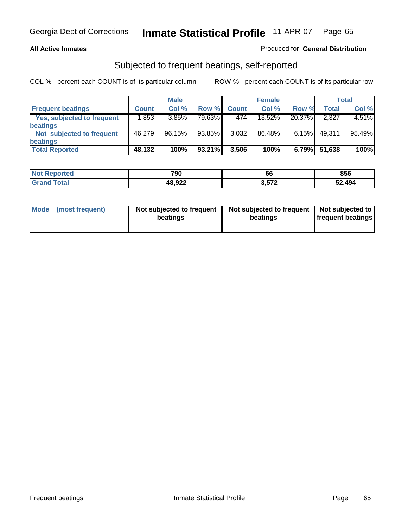#### **All Active Inmates**

### Produced for **General Distribution**

### Subjected to frequent beatings, self-reported

|                                   | <b>Male</b>  |        |        | <b>Female</b> |        |        | Total  |        |
|-----------------------------------|--------------|--------|--------|---------------|--------|--------|--------|--------|
| <b>Frequent beatings</b>          | <b>Count</b> | Col %  | Row %  | <b>Count</b>  | Col %  | Row %  | Total  | Col %  |
| <b>Yes, subjected to frequent</b> | 1,853        | 3.85%  | 79.63% | 474           | 13.52% | 20.37% | 2,327  | 4.51%  |
| beatings                          |              |        |        |               |        |        |        |        |
| Not subjected to frequent         | 46.279       | 96.15% | 93.85% | 3,032         | 86.48% | 6.15%  | 49,311 | 95.49% |
| beatings                          |              |        |        |               |        |        |        |        |
| <b>Total Reported</b>             | 48,132       | 100%   | 93.21% | 3,506         | 100%   | 6.79%  | 51,638 | 100%   |

| orted<br><b>NOT</b> | 790    | ^^<br>bb | 856    |
|---------------------|--------|----------|--------|
| Total<br>'Grano     | 48,922 | 3.572    | 52.494 |

| Mode<br>(most frequent) | beatings | Not subjected to frequent | Not subjected to frequent<br>beatings | Not subjected to<br><b>frequent beatings</b> |
|-------------------------|----------|---------------------------|---------------------------------------|----------------------------------------------|
|                         |          |                           |                                       |                                              |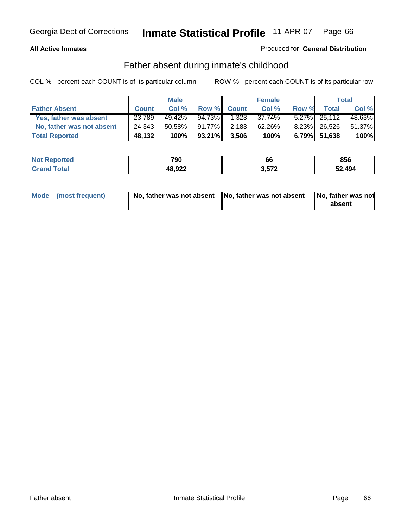#### **All Active Inmates**

### Produced for **General Distribution**

### Father absent during inmate's childhood

|                           | <b>Male</b>  |        |           | <b>Female</b> |        |       | <b>Total</b>    |        |
|---------------------------|--------------|--------|-----------|---------------|--------|-------|-----------------|--------|
| <b>Father Absent</b>      | <b>Count</b> | Col %  | Row %     | <b>Count</b>  | Col %  | Row % | <b>Total</b>    | Col %  |
| Yes, father was absent    | 23,789       | 49.42% | 94.73%    | 1,323         | 37.74% |       | $5.27\%$ 25,112 | 48.63% |
| No, father was not absent | 24,343       | 50.58% | $91.77\%$ | 2,183         | 62.26% |       | 8.23% 26,526    | 51.37% |
| <b>Total Reported</b>     | 48,132       | 100%   | 93.21%    | 3,506         | 100%   |       | $6.79\%$ 51,638 | 100%   |

| <b>Not Reported</b>   | 790    | 00    | 856    |
|-----------------------|--------|-------|--------|
| Total<br><b>Grand</b> | 48,922 | 2.572 | 52,494 |

| Mode (most frequent) |  | 「No, father was not absent ┃No, father was not absent ┃No, father was not | absent |
|----------------------|--|---------------------------------------------------------------------------|--------|
|----------------------|--|---------------------------------------------------------------------------|--------|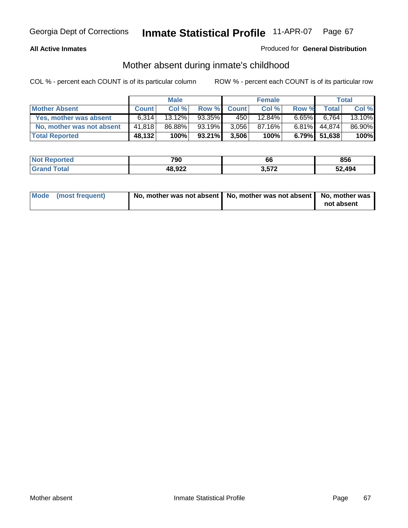#### **All Active Inmates**

### Produced for **General Distribution**

### Mother absent during inmate's childhood

|                           |              | <b>Male</b> |        |              | <b>Female</b> |          |              | Total  |
|---------------------------|--------------|-------------|--------|--------------|---------------|----------|--------------|--------|
| <b>Mother Absent</b>      | <b>Count</b> | Col %       | Row %  | <b>Count</b> | Col %         | Row %    | <b>Total</b> | Col %  |
| Yes, mother was absent    | 6,314        | $13.12\%$   | 93.35% | 450          | 12.84%        | $6.65\%$ | 6,764        | 13.10% |
| No, mother was not absent | 41,818       | 86.88%      | 93.19% | 3,056        | 87.16%        | 6.81%    | 44,874       | 86.90% |
| <b>Total Reported</b>     | 48,132       | 100%        | 93.21% | 3,506        | 100%          |          | 6.79% 51,638 | 100%   |

| <b>Not</b><br><b>' Reported</b> | 790    | ^^<br>00 | 856    |
|---------------------------------|--------|----------|--------|
| <b>ota</b>                      | 48,922 | 3572     | 52.494 |

| Mode (most frequent) | No, mother was not absent   No, mother was not absent   No, mother was | not absent |
|----------------------|------------------------------------------------------------------------|------------|
|----------------------|------------------------------------------------------------------------|------------|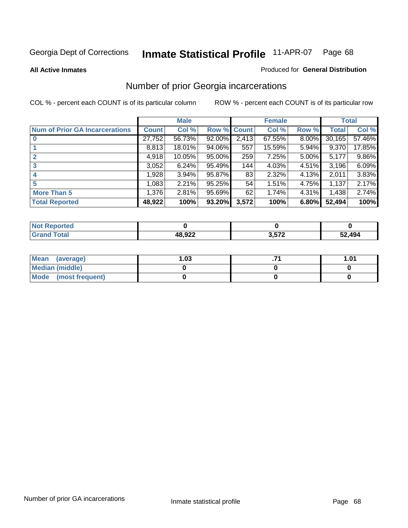#### **All Active Inmates**

#### Produced for **General Distribution**

### Number of prior Georgia incarcerations

|                                |              | <b>Male</b> |             |       | <b>Female</b> |          |        | <b>Total</b> |
|--------------------------------|--------------|-------------|-------------|-------|---------------|----------|--------|--------------|
| Num of Prior GA Incarcerations | <b>Count</b> | Col %       | Row % Count |       | Col %         | Row %    | Total  | Col %        |
| $\bf{0}$                       | 27,752       | 56.73%      | 92.00%      | 2,413 | 67.55%        | $8.00\%$ | 30,165 | 57.46%       |
|                                | 8,813        | 18.01%      | 94.06%      | 557   | 15.59%        | 5.94%    | 9,370  | 17.85%       |
|                                | 4,918        | 10.05%      | $95.00\%$   | 259   | 7.25%         | 5.00%    | 5,177  | 9.86%        |
| 3                              | 3,052        | 6.24%       | 95.49%      | 144   | 4.03%         | 4.51%    | 3,196  | 6.09%        |
|                                | 1,928        | 3.94%       | 95.87%      | 83    | 2.32%         | 4.13%    | 2.011  | 3.83%        |
| 5                              | 1,083        | 2.21%       | 95.25%      | 54    | 1.51%         | 4.75%    | 1,137  | 2.17%        |
| <b>More Than 5</b>             | 1,376        | 2.81%       | 95.69%      | 62    | 1.74%         | 4.31%    | 1,438  | 2.74%        |
| <b>Total Reported</b>          | 48,922       | 100%        | 93.20%      | 3,572 | 100%          | 6.80%    | 52,494 | 100%         |

| Reported<br><b>NOT</b> |        |       |        |
|------------------------|--------|-------|--------|
| <b>Total</b><br>'Grano | 48,922 | 3,572 | 52,494 |

| Mean (average)       | l.O3 | 1.01 |
|----------------------|------|------|
| Median (middle)      |      |      |
| Mode (most frequent) |      |      |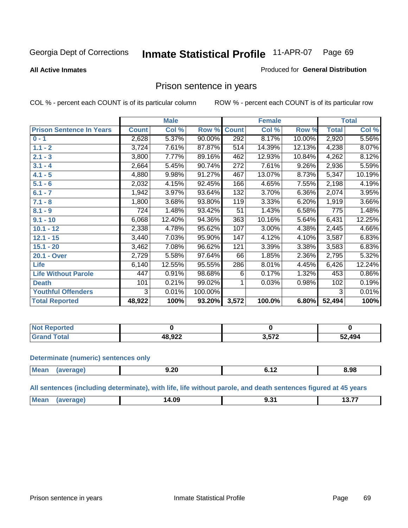Produced for **General Distribution**

#### **All Active Inmates**

# Prison sentence in years

COL % - percent each COUNT is of its particular column ROW % - percent each COUNT is of its particular row

|                                 | <b>Male</b>  |        |         |              | <b>Female</b> | <b>Total</b> |                    |        |
|---------------------------------|--------------|--------|---------|--------------|---------------|--------------|--------------------|--------|
| <b>Prison Sentence In Years</b> | <b>Count</b> | Col %  | Row %   | <b>Count</b> | Col %         | Row %        | <b>Total</b>       | Col %  |
| $0 - 1$                         | 2,628        | 5.37%  | 90.00%  | 292          | 8.17%         | 10.00%       | 2,920              | 5.56%  |
| $1.1 - 2$                       | 3,724        | 7.61%  | 87.87%  | 514          | 14.39%        | 12.13%       | 4,238              | 8.07%  |
| $2.1 - 3$                       | 3,800        | 7.77%  | 89.16%  | 462          | 12.93%        | 10.84%       | 4,262              | 8.12%  |
| $3.1 - 4$                       | 2,664        | 5.45%  | 90.74%  | 272          | 7.61%         | 9.26%        | $\overline{2,936}$ | 5.59%  |
| $4.1 - 5$                       | 4,880        | 9.98%  | 91.27%  | 467          | 13.07%        | 8.73%        | 5,347              | 10.19% |
| $5.1 - 6$                       | 2,032        | 4.15%  | 92.45%  | 166          | 4.65%         | 7.55%        | 2,198              | 4.19%  |
| $6.1 - 7$                       | 1,942        | 3.97%  | 93.64%  | 132          | 3.70%         | $6.36\%$     | 2,074              | 3.95%  |
| $7.1 - 8$                       | 1,800        | 3.68%  | 93.80%  | 119          | 3.33%         | 6.20%        | 1,919              | 3.66%  |
| $8.1 - 9$                       | 724          | 1.48%  | 93.42%  | 51           | 1.43%         | 6.58%        | 775                | 1.48%  |
| $9.1 - 10$                      | 6,068        | 12.40% | 94.36%  | 363          | 10.16%        | 5.64%        | 6,431              | 12.25% |
| $10.1 - 12$                     | 2,338        | 4.78%  | 95.62%  | 107          | 3.00%         | 4.38%        | 2,445              | 4.66%  |
| $12.1 - 15$                     | 3,440        | 7.03%  | 95.90%  | 147          | 4.12%         | 4.10%        | 3,587              | 6.83%  |
| $15.1 - 20$                     | 3,462        | 7.08%  | 96.62%  | 121          | 3.39%         | 3.38%        | 3,583              | 6.83%  |
| 20.1 - Over                     | 2,729        | 5.58%  | 97.64%  | 66           | 1.85%         | 2.36%        | 2,795              | 5.32%  |
| <b>Life</b>                     | 6,140        | 12.55% | 95.55%  | 286          | 8.01%         | 4.45%        | 6,426              | 12.24% |
| <b>Life Without Parole</b>      | 447          | 0.91%  | 98.68%  | 6            | 0.17%         | 1.32%        | 453                | 0.86%  |
| <b>Death</b>                    | 101          | 0.21%  | 99.02%  |              | 0.03%         | 0.98%        | 102                | 0.19%  |
| <b>Youthful Offenders</b>       | 3            | 0.01%  | 100.00% |              |               |              | 3                  | 0.01%  |
| <b>Total Reported</b>           | 48,922       | 100%   | 93.20%  | 3,572        | 100.0%        | 6.80%        | 52,494             | 100%   |

| Reported<br>NOT. |                 |       |        |
|------------------|-----------------|-------|--------|
| <b>Total</b>     | רכה 19<br>0,JZZ | ・ トフク | 52,494 |

#### **Determinate (numeric) sentences only**

| Mean | апе | 9.20<br>$  -$ | . . | 8.98 |
|------|-----|---------------|-----|------|
|      |     |               |     |      |

**All sentences (including determinate), with life, life without parole, and death sentences figured at 45 years**

| $^{\dagger}$ Me:<br>$\sim$<br>14.09<br>-------- | ___ | $\sim$ $\sim$<br>______ |
|-------------------------------------------------|-----|-------------------------|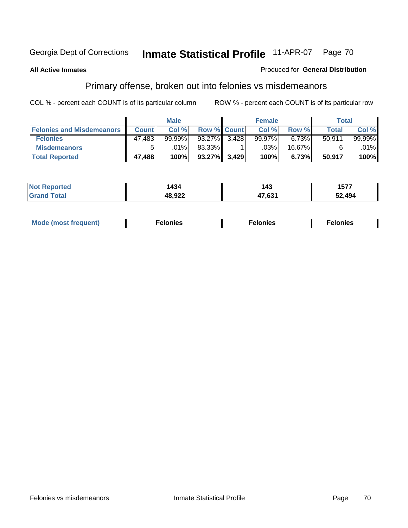#### **All Active Inmates**

#### Produced for **General Distribution**

## Primary offense, broken out into felonies vs misdemeanors

|                                  |              | <b>Male</b> |                    |       | <b>Female</b> |          | Total        |        |
|----------------------------------|--------------|-------------|--------------------|-------|---------------|----------|--------------|--------|
| <b>Felonies and Misdemeanors</b> | <b>Count</b> | Col%        | <b>Row % Count</b> |       | Col%          | Row %    | <b>Total</b> | Col %  |
| <b>Felonies</b>                  | 47,483       | 99.99%      | 93.27%             | 3.428 | 99.97%        | $6.73\%$ | 50.911       | 99.99% |
| <b>Misdemeanors</b>              | 5            | $.01\%$     | 83.33%             |       | .03%          | 16.67%   |              | .01%   |
| <b>Total Reported</b>            | 47,488       | 100%        | 93.27%             | 3,429 | 100%          | 6.73%    | 50,917       | 100%   |

| <b>Not</b><br>'eported | 434    | 1 1 3<br>. – TV | 1577   |
|------------------------|--------|-----------------|--------|
| Grar                   | 19.022 | 17 C 24         | 52,494 |

| Mode (most frequent) | elonies | elonies | onies<br>-е к |
|----------------------|---------|---------|---------------|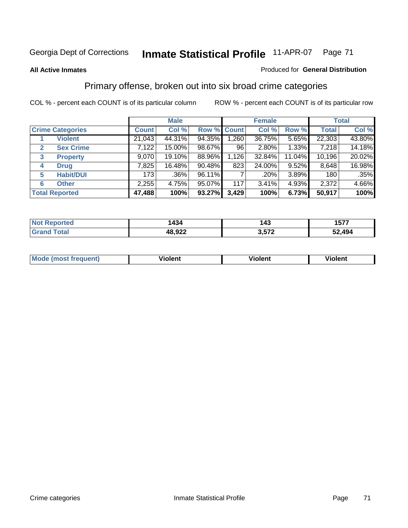#### **All Active Inmates**

#### Produced for **General Distribution**

### Primary offense, broken out into six broad crime categories

|                                  | <b>Male</b>  |        |             |       | <b>Female</b> | <b>Total</b> |              |         |
|----------------------------------|--------------|--------|-------------|-------|---------------|--------------|--------------|---------|
| <b>Crime Categories</b>          | <b>Count</b> | Col %  | Row % Count |       | Col %         | Row %        | <b>Total</b> | Col %   |
| <b>Violent</b>                   | 21,043       | 44.31% | 94.35%      | 1,260 | 36.75%        | 5.65%        | 22,303       | 43.80%  |
| <b>Sex Crime</b><br>$\mathbf{2}$ | 7,122        | 15.00% | 98.67%      | 96    | 2.80%         | 1.33%        | 7,218        | 14.18%  |
| 3<br><b>Property</b>             | 9,070        | 19.10% | 88.96%      | 1,126 | 32.84%        | 11.04%       | 10,196       | 20.02%  |
| <b>Drug</b><br>4                 | 7,825        | 16.48% | $90.48\%$   | 823   | 24.00%        | $9.52\%$     | 8,648        | 16.98%  |
| <b>Habit/DUI</b><br>5            | 173          | .36%   | 96.11%      |       | .20%          | 3.89%        | 180          | $.35\%$ |
| <b>Other</b><br>6                | 2,255        | 4.75%  | 95.07%      | 117   | 3.41%         | 4.93%        | 2,372        | 4.66%   |
| <b>Total Reported</b>            | 47,488       | 100%   | 93.27%      | 3,429 | 100%          | 6.73%        | 50,917       | 100%    |

| 434<br>- - - - | 143 | , , , ,<br>1577 |
|----------------|-----|-----------------|
| 48,922         | ドフク | .494            |

|  | <b>Mou</b><br>--- | .<br>วlent | ---<br>olent | ≀lent |
|--|-------------------|------------|--------------|-------|
|--|-------------------|------------|--------------|-------|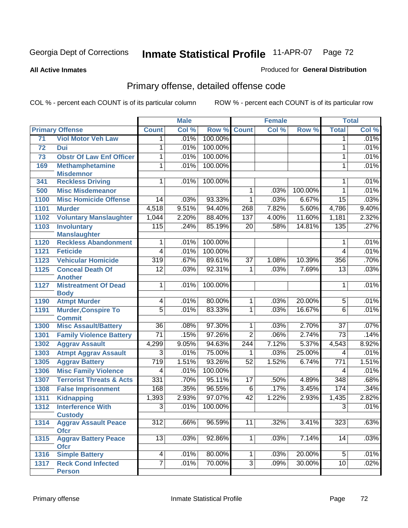**All Active Inmates**

#### Produced for **General Distribution**

## Primary offense, detailed offense code

|      |                                            |                  | <b>Male</b> |         |                  | <b>Female</b> |         | <b>Total</b>     |       |
|------|--------------------------------------------|------------------|-------------|---------|------------------|---------------|---------|------------------|-------|
|      | <b>Primary Offense</b>                     | <b>Count</b>     | Col %       | Row %   | <b>Count</b>     | Col %         | Row %   | <b>Total</b>     | Col % |
| 71   | <b>Viol Motor Veh Law</b>                  | 1.               | .01%        | 100.00% |                  |               |         | 1                | .01%  |
| 72   | Dui                                        | 1                | .01%        | 100.00% |                  |               |         | 1                | .01%  |
| 73   | <b>Obstr Of Law Enf Officer</b>            | 1                | .01%        | 100.00% |                  |               |         | 1                | .01%  |
| 169  | <b>Methamphetamine</b>                     | 1                | .01%        | 100.00% |                  |               |         | $\mathbf{1}$     | .01%  |
|      | <b>Misdemnor</b>                           |                  |             |         |                  |               |         |                  |       |
| 341  | <b>Reckless Driving</b>                    | 1                | .01%        | 100.00% |                  |               |         | 1                | .01%  |
| 500  | <b>Misc Misdemeanor</b>                    |                  |             |         | $\mathbf{1}$     | .03%          | 100.00% | 1                | .01%  |
| 1100 | <b>Misc Homicide Offense</b>               | 14               | .03%        | 93.33%  | 1                | .03%          | 6.67%   | $\overline{15}$  | .03%  |
| 1101 | <b>Murder</b>                              | 4,518            | 9.51%       | 94.40%  | 268              | 7.82%         | 5.60%   | 4,786            | 9.40% |
| 1102 | <b>Voluntary Manslaughter</b>              | 1,044            | 2.20%       | 88.40%  | 137              | 4.00%         | 11.60%  | 1,181            | 2.32% |
| 1103 | <b>Involuntary</b>                         | 115              | .24%        | 85.19%  | $\overline{20}$  | .58%          | 14.81%  | 135              | .27%  |
|      | <b>Manslaughter</b>                        |                  |             |         |                  |               |         |                  |       |
| 1120 | <b>Reckless Abandonment</b>                | 1                | .01%        | 100.00% |                  |               |         | 1                | .01%  |
| 1121 | <b>Feticide</b>                            | $\overline{4}$   | .01%        | 100.00% |                  |               |         | 4                | .01%  |
| 1123 | <b>Vehicular Homicide</b>                  | 319              | .67%        | 89.61%  | $\overline{37}$  | 1.08%         | 10.39%  | 356              | .70%  |
| 1125 | <b>Conceal Death Of</b>                    | $\overline{12}$  | .03%        | 92.31%  | $\mathbf{1}$     | .03%          | 7.69%   | $\overline{13}$  | .03%  |
|      | <b>Another</b>                             |                  |             |         |                  |               |         |                  |       |
| 1127 | <b>Mistreatment Of Dead</b><br><b>Body</b> | $\mathbf{1}$     | .01%        | 100.00% |                  |               |         | 1                | .01%  |
| 1190 | <b>Atmpt Murder</b>                        | 4                | .01%        | 80.00%  | 1 <sup>1</sup>   | .03%          | 20.00%  | $\overline{5}$   | .01%  |
| 1191 | <b>Murder, Conspire To</b>                 | $\overline{5}$   | .01%        | 83.33%  | $\overline{1}$   | .03%          | 16.67%  | $\overline{6}$   | .01%  |
|      | <b>Commit</b>                              |                  |             |         |                  |               |         |                  |       |
| 1300 | <b>Misc Assault/Battery</b>                | $\overline{36}$  | .08%        | 97.30%  | $\overline{1}$   | .03%          | 2.70%   | $\overline{37}$  | .07%  |
| 1301 | <b>Family Violence Battery</b>             | $\overline{71}$  | .15%        | 97.26%  | $\overline{2}$   | .06%          | 2.74%   | $\overline{73}$  | .14%  |
| 1302 | <b>Aggrav Assault</b>                      | 4,299            | 9.05%       | 94.63%  | $\overline{244}$ | 7.12%         | 5.37%   | 4,543            | 8.92% |
| 1303 | <b>Atmpt Aggrav Assault</b>                | $\overline{3}$   | .01%        | 75.00%  | 1                | .03%          | 25.00%  | 4                | .01%  |
| 1305 | <b>Aggrav Battery</b>                      | 719              | 1.51%       | 93.26%  | $\overline{52}$  | 1.52%         | 6.74%   | $\overline{771}$ | 1.51% |
| 1306 | <b>Misc Family Violence</b>                | 4                | .01%        | 100.00% |                  |               |         | 4                | .01%  |
| 1307 | <b>Terrorist Threats &amp; Acts</b>        | 331              | .70%        | 95.11%  | $\overline{17}$  | .50%          | 4.89%   | 348              | .68%  |
| 1308 | <b>False Imprisonment</b>                  | 168              | .35%        | 96.55%  | $\overline{6}$   | .17%          | 3.45%   | 174              | .34%  |
| 1311 | <b>Kidnapping</b>                          | 1,393            | 2.93%       | 97.07%  | $\overline{42}$  | 1.22%         | 2.93%   | 1,435            | 2.82% |
| 1312 | <b>Interference With</b>                   | $\overline{3}$   | .01%        | 100.00% |                  |               |         | $\overline{3}$   | .01%  |
|      | <b>Custody</b>                             |                  |             |         |                  |               |         |                  |       |
| 1314 | <b>Aggrav Assault Peace</b>                | $\overline{312}$ | .66%        | 96.59%  | 11               | .32%          | 3.41%   | $\overline{323}$ | .63%  |
|      | <b>Ofcr</b>                                |                  |             |         |                  |               |         |                  |       |
| 1315 | <b>Aggrav Battery Peace</b>                | 13               | .03%        | 92.86%  | 1 <sup>1</sup>   | .03%          | 7.14%   | 14               | .03%  |
|      | <b>Ofcr</b>                                |                  |             |         |                  |               |         |                  |       |
| 1316 | <b>Simple Battery</b>                      | 4                | .01%        | 80.00%  | $\mathbf 1$      | .03%          | 20.00%  | 5                | .01%  |
| 1317 | <b>Reck Cond Infected</b>                  | $\overline{7}$   | .01%        | 70.00%  | $\overline{3}$   | .09%          | 30.00%  | 10               | .02%  |
|      | <b>Person</b>                              |                  |             |         |                  |               |         |                  |       |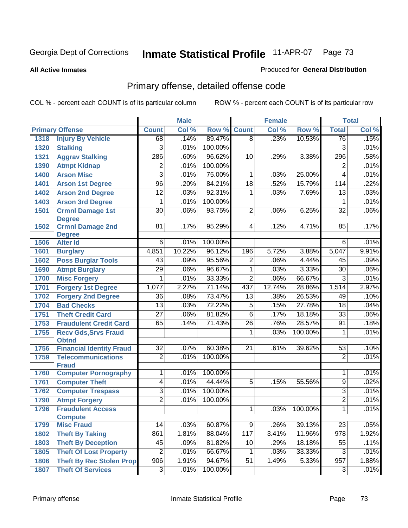**All Active Inmates**

### Produced for **General Distribution**

# Primary offense, detailed offense code

|      |                                             | <b>Male</b>     |        |         |                  | <b>Female</b> | <b>Total</b> |                         |       |
|------|---------------------------------------------|-----------------|--------|---------|------------------|---------------|--------------|-------------------------|-------|
|      | <b>Primary Offense</b>                      | <b>Count</b>    | Col %  | Row %   | <b>Count</b>     | Col %         | Row %        | <b>Total</b>            | Col % |
| 1318 | <b>Injury By Vehicle</b>                    | 68              | .14%   | 89.47%  | $\overline{8}$   | .23%          | 10.53%       | 76                      | .15%  |
| 1320 | <b>Stalking</b>                             | $\overline{3}$  | .01%   | 100.00% |                  |               |              | $\overline{3}$          | .01%  |
| 1321 | <b>Aggrav Stalking</b>                      | 286             | .60%   | 96.62%  | 10               | .29%          | 3.38%        | 296                     | .58%  |
| 1390 | <b>Atmpt Kidnap</b>                         | $\overline{2}$  | .01%   | 100.00% |                  |               |              | $\overline{\mathbf{c}}$ | .01%  |
| 1400 | <b>Arson Misc</b>                           | $\overline{3}$  | .01%   | 75.00%  | 1                | .03%          | 25.00%       | $\overline{4}$          | .01%  |
| 1401 | <b>Arson 1st Degree</b>                     | 96              | .20%   | 84.21%  | $\overline{18}$  | .52%          | 15.79%       | 114                     | .22%  |
| 1402 | <b>Arson 2nd Degree</b>                     | $\overline{12}$ | .03%   | 92.31%  | 1                | .03%          | 7.69%        | $\overline{13}$         | .03%  |
| 1403 | <b>Arson 3rd Degree</b>                     | 1               | .01%   | 100.00% |                  |               |              | 1                       | .01%  |
| 1501 | <b>Crmnl Damage 1st</b>                     | $\overline{30}$ | .06%   | 93.75%  | $\overline{2}$   | .06%          | 6.25%        | $\overline{32}$         | .06%  |
|      | <b>Degree</b>                               |                 |        |         |                  |               |              |                         |       |
| 1502 | <b>Crmnl Damage 2nd</b><br><b>Degree</b>    | 81              | .17%   | 95.29%  | 4                | .12%          | 4.71%        | 85                      | .17%  |
| 1506 | <b>Alter Id</b>                             | $6\overline{6}$ | .01%   | 100.00% |                  |               |              | $6\overline{6}$         | .01%  |
| 1601 | <b>Burglary</b>                             | 4,851           | 10.22% | 96.12%  | 196              | 5.72%         | 3.88%        | 5,047                   | 9.91% |
| 1602 | <b>Poss Burglar Tools</b>                   | 43              | .09%   | 95.56%  | $\overline{2}$   | .06%          | 4.44%        | 45                      | .09%  |
| 1690 | <b>Atmpt Burglary</b>                       | $\overline{29}$ | .06%   | 96.67%  | 1                | .03%          | 3.33%        | $\overline{30}$         | .06%  |
| 1700 | <b>Misc Forgery</b>                         | 1               | .01%   | 33.33%  | $\overline{2}$   | .06%          | 66.67%       | $\overline{3}$          | .01%  |
| 1701 | <b>Forgery 1st Degree</b>                   | 1,077           | 2.27%  | 71.14%  | 437              | 12.74%        | 28.86%       | 1,514                   | 2.97% |
| 1702 | <b>Forgery 2nd Degree</b>                   | $\overline{36}$ | .08%   | 73.47%  | $\overline{13}$  | .38%          | 26.53%       | 49                      | .10%  |
| 1704 | <b>Bad Checks</b>                           | $\overline{13}$ | .03%   | 72.22%  | $\overline{5}$   | .15%          | 27.78%       | $\overline{18}$         | .04%  |
| 1751 | <b>Theft Credit Card</b>                    | $\overline{27}$ | .06%   | 81.82%  | $\overline{6}$   | .17%          | 18.18%       | $\overline{33}$         | .06%  |
| 1753 | <b>Fraudulent Credit Card</b>               | 65              | .14%   | 71.43%  | $\overline{26}$  | .76%          | 28.57%       | $\overline{91}$         | .18%  |
| 1755 | <b>Recv Gds, Srvs Fraud</b>                 |                 |        |         | 1                | .03%          | 100.00%      | 1                       | .01%  |
|      | <b>Obtnd</b>                                |                 |        |         |                  |               |              |                         |       |
| 1756 | <b>Financial Identity Fraud</b>             | $\overline{32}$ | .07%   | 60.38%  | $\overline{21}$  | .61%          | 39.62%       | $\overline{53}$         | .10%  |
| 1759 | <b>Telecommunications</b>                   | $\overline{2}$  | .01%   | 100.00% |                  |               |              | $\overline{2}$          | .01%  |
| 1760 | <b>Fraud</b><br><b>Computer Pornography</b> | $\overline{1}$  | .01%   | 100.00% |                  |               |              | 1                       | .01%  |
| 1761 | <b>Computer Theft</b>                       | 4               | .01%   | 44.44%  | $\overline{5}$   | .15%          | 55.56%       | $\overline{9}$          | .02%  |
| 1762 | <b>Computer Trespass</b>                    | $\overline{3}$  | .01%   | 100.00% |                  |               |              | $\overline{3}$          | .01%  |
| 1790 | <b>Atmpt Forgery</b>                        | $\overline{2}$  | .01%   | 100.00% |                  |               |              | $\overline{2}$          | .01%  |
| 1796 | <b>Fraudulent Access</b>                    |                 |        |         | 1                | .03%          | 100.00%      | $\mathbf{1}$            | .01%  |
|      | <b>Compute</b>                              |                 |        |         |                  |               |              |                         |       |
| 1799 | <b>Misc Fraud</b>                           | 14              | .03%   | 60.87%  | 9                | .26%          | 39.13%       | $\overline{23}$         | .05%  |
| 1802 | <b>Theft By Taking</b>                      | 861             | 1.81%  | 88.04%  | $\overline{117}$ | 3.41%         | 11.96%       | $\overline{978}$        | 1.92% |
| 1803 | <b>Theft By Deception</b>                   | 45              | .09%   | 81.82%  | 10               | .29%          | 18.18%       | 55                      | .11%  |
| 1805 | <b>Theft Of Lost Property</b>               | $\overline{2}$  | .01%   | 66.67%  | 1                | .03%          | 33.33%       | $\overline{3}$          | .01%  |
| 1806 | <b>Theft By Rec Stolen Prop</b>             | 906             | 1.91%  | 94.67%  | $\overline{51}$  | 1.49%         | 5.33%        | 957                     | 1.88% |
| 1807 | <b>Theft Of Services</b>                    | 3               | .01%   | 100.00% |                  |               |              | 3                       | .01%  |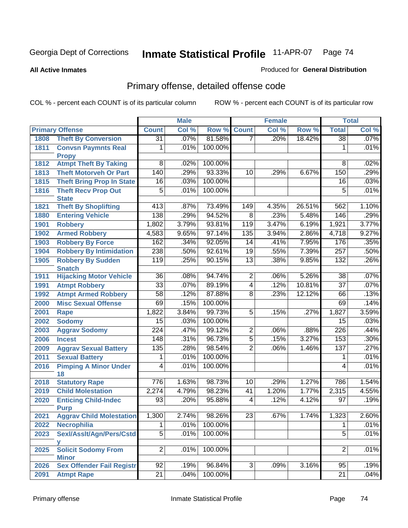**All Active Inmates**

### Produced for **General Distribution**

# Primary offense, detailed offense code

|      |                                  | <b>Male</b>         |       |         |                  | <b>Female</b> | <b>Total</b> |                     |       |
|------|----------------------------------|---------------------|-------|---------|------------------|---------------|--------------|---------------------|-------|
|      | <b>Primary Offense</b>           | <b>Count</b>        | Col % | Row %   | <b>Count</b>     | Col %         | Row %        | <b>Total</b>        | Col % |
| 1808 | <b>Theft By Conversion</b>       | $\overline{31}$     | .07%  | 81.58%  | $\overline{7}$   | .20%          | 18.42%       | $\overline{38}$     | .07%  |
| 1811 | <b>Convsn Paymnts Real</b>       | 1                   | .01%  | 100.00% |                  |               |              | 1                   | .01%  |
|      | <b>Propy</b>                     |                     |       |         |                  |               |              |                     |       |
| 1812 | <b>Atmpt Theft By Taking</b>     | 8                   | .02%  | 100.00% |                  |               |              | 8                   | .02%  |
| 1813 | <b>Theft Motorveh Or Part</b>    | 140                 | .29%  | 93.33%  | 10               | .29%          | 6.67%        | 150                 | .29%  |
| 1815 | <b>Theft Bring Prop In State</b> | 16                  | .03%  | 100.00% |                  |               |              | 16                  | .03%  |
| 1816 | <b>Theft Recv Prop Out</b>       | $\overline{5}$      | .01%  | 100.00% |                  |               |              | $\overline{5}$      | .01%  |
|      | <b>State</b>                     |                     |       | 73.49%  |                  | 4.35%         |              |                     |       |
| 1821 | <b>Theft By Shoplifting</b>      | $\overline{413}$    | .87%  |         | 149              |               | 26.51%       | 562                 | 1.10% |
| 1880 | <b>Entering Vehicle</b>          | 138                 | .29%  | 94.52%  | $\overline{8}$   | .23%          | 5.48%        | 146                 | .29%  |
| 1901 | <b>Robbery</b>                   | 1,802               | 3.79% | 93.81%  | 119              | 3.47%         | 6.19%        | 1,921               | 3.77% |
| 1902 | <b>Armed Robbery</b>             | 4,583               | 9.65% | 97.14%  | $\overline{135}$ | 3.94%         | 2.86%        | 4,718               | 9.27% |
| 1903 | <b>Robbery By Force</b>          | 162                 | .34%  | 92.05%  | 14               | .41%          | 7.95%        | 176                 | .35%  |
| 1904 | <b>Robbery By Intimidation</b>   | 238                 | .50%  | 92.61%  | 19               | .55%          | 7.39%        | 257                 | .50%  |
| 1905 | <b>Robbery By Sudden</b>         | 119                 | .25%  | 90.15%  | $\overline{13}$  | .38%          | 9.85%        | $\overline{132}$    | .26%  |
|      | <b>Snatch</b>                    |                     |       |         |                  |               |              |                     |       |
| 1911 | <b>Hijacking Motor Vehicle</b>   | $\overline{36}$     | .08%  | 94.74%  | $\overline{2}$   | .06%          | 5.26%        | $\overline{38}$     | .07%  |
| 1991 | <b>Atmpt Robbery</b>             | $\overline{33}$     | .07%  | 89.19%  | 4                | .12%          | 10.81%       | $\overline{37}$     | .07%  |
| 1992 | <b>Atmpt Armed Robbery</b>       | $\overline{58}$     | .12%  | 87.88%  | $\overline{8}$   | .23%          | 12.12%       | 66                  | .13%  |
| 2000 | <b>Misc Sexual Offense</b>       | 69                  | .15%  | 100.00% |                  |               |              | 69                  | .14%  |
| 2001 | <b>Rape</b>                      | 1,822               | 3.84% | 99.73%  | $\overline{5}$   | .15%          | .27%         | 1,827               | 3.59% |
| 2002 | <b>Sodomy</b>                    | 15                  | .03%  | 100.00% |                  |               |              | 15                  | .03%  |
| 2003 | <b>Aggrav Sodomy</b>             | 224                 | .47%  | 99.12%  | $\overline{2}$   | .06%          | .88%         | 226                 | .44%  |
| 2006 | <b>Incest</b>                    | 148                 | .31%  | 96.73%  | $\overline{5}$   | .15%          | 3.27%        | 153                 | .30%  |
| 2009 | <b>Aggrav Sexual Battery</b>     | 135                 | .28%  | 98.54%  | $\overline{2}$   | .06%          | 1.46%        | 137                 | .27%  |
| 2011 | <b>Sexual Battery</b>            | 1                   | .01%  | 100.00% |                  |               |              | 1                   | .01%  |
| 2016 | <b>Pimping A Minor Under</b>     | $\overline{4}$      | .01%  | 100.00% |                  |               |              | 4                   | .01%  |
|      | 18                               |                     |       |         |                  |               |              |                     |       |
| 2018 | <b>Statutory Rape</b>            | 776                 | 1.63% | 98.73%  | $\overline{10}$  | .29%          | 1.27%        | 786                 | 1.54% |
| 2019 | <b>Child Molestation</b>         | 2,274               | 4.79% | 98.23%  | $\overline{41}$  | 1.20%         | 1.77%        | 2,315               | 4.55% |
| 2020 | <b>Enticing Child-Indec</b>      | 93                  | .20%  | 95.88%  | $\overline{4}$   | .12%          | 4.12%        | 97                  | .19%  |
|      | <b>Purp</b>                      | 1,300               | 2.74% | 98.26%  | 23               | .67%          | 1.74%        |                     | 2.60% |
| 2021 | <b>Aggrav Child Molestation</b>  |                     |       |         |                  |               |              | 1,323               |       |
| 2022 | <b>Necrophilia</b>               | 1<br>$\overline{5}$ | .01%  | 100.00% |                  |               |              | 1<br>$\overline{5}$ | .01%  |
| 2023 | Sexl/Asslt/Agn/Pers/Cstd         |                     | .01%  | 100.00% |                  |               |              |                     | .01%  |
| 2025 | v<br><b>Solicit Sodomy From</b>  | $\overline{2}$      | .01%  | 100.00% |                  |               |              | $\overline{2}$      | .01%  |
|      | <b>Minor</b>                     |                     |       |         |                  |               |              |                     |       |
| 2026 | <b>Sex Offender Fail Registr</b> | 92                  | .19%  | 96.84%  | 3 <sup>1</sup>   | .09%          | 3.16%        | 95                  | .19%  |
| 2091 | <b>Atmpt Rape</b>                | $\overline{21}$     | .04%  | 100.00% |                  |               |              | $\overline{21}$     | .04%  |
|      |                                  |                     |       |         |                  |               |              |                     |       |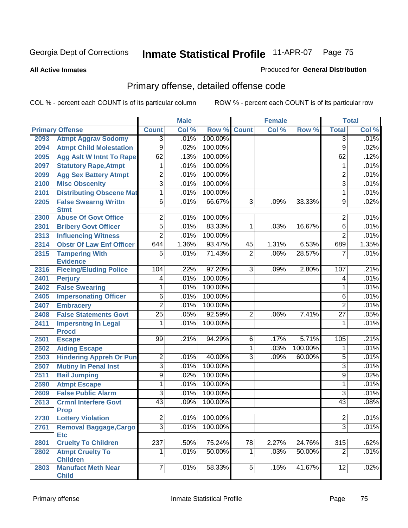**All Active Inmates**

### Produced for **General Distribution**

# Primary offense, detailed offense code

|      |                                             | <b>Male</b>                      |       | <b>Female</b> |                 |       | <b>Total</b> |                                  |       |
|------|---------------------------------------------|----------------------------------|-------|---------------|-----------------|-------|--------------|----------------------------------|-------|
|      | <b>Primary Offense</b>                      | <b>Count</b>                     | Col % | Row %         | <b>Count</b>    | Col % | Row %        | <b>Total</b>                     | Col % |
| 2093 | <b>Atmpt Aggrav Sodomy</b>                  | $\overline{3}$                   | .01%  | 100.00%       |                 |       |              | $\overline{3}$                   | .01%  |
| 2094 | <b>Atmpt Child Molestation</b>              | $\overline{9}$                   | .02%  | 100.00%       |                 |       |              | 9                                | .02%  |
| 2095 | <b>Agg Aslt W Intnt To Rape</b>             | 62                               | .13%  | 100.00%       |                 |       |              | 62                               | .12%  |
| 2097 | <b>Statutory Rape, Atmpt</b>                | 1                                | .01%  | 100.00%       |                 |       |              | 1                                | .01%  |
| 2099 | <b>Agg Sex Battery Atmpt</b>                | $\overline{2}$                   | .01%  | 100.00%       |                 |       |              | $\overline{2}$                   | .01%  |
| 2100 | <b>Misc Obscenity</b>                       | $\overline{3}$                   | .01%  | 100.00%       |                 |       |              | $\overline{3}$                   | .01%  |
| 2101 | <b>Distributing Obscene Mat</b>             | $\mathbf{1}$                     | .01%  | 100.00%       |                 |       |              | 1                                | .01%  |
| 2205 | <b>False Swearng Writtn</b><br><b>Stmt</b>  | $\overline{6}$                   | .01%  | 66.67%        | $\overline{3}$  | .09%  | 33.33%       | 9                                | .02%  |
| 2300 | <b>Abuse Of Govt Office</b>                 | $\overline{2}$                   | .01%  | 100.00%       |                 |       |              | 2                                | .01%  |
| 2301 | <b>Bribery Govt Officer</b>                 | $\overline{5}$                   | .01%  | 83.33%        | 1               | .03%  | 16.67%       | $\overline{6}$                   | .01%  |
| 2313 | <b>Influencing Witness</b>                  | $\overline{2}$                   | .01%  | 100.00%       |                 |       |              | $\overline{2}$                   | .01%  |
| 2314 | <b>Obstr Of Law Enf Officer</b>             | 644                              | 1.36% | 93.47%        | 45              | 1.31% | 6.53%        | 689                              | 1.35% |
| 2315 | <b>Tampering With</b>                       | $\overline{5}$                   | .01%  | 71.43%        | $\overline{2}$  | .06%  | 28.57%       | $\overline{7}$                   | .01%  |
|      | <b>Evidence</b>                             |                                  |       |               |                 |       |              |                                  |       |
| 2316 | <b>Fleeing/Eluding Police</b>               | 104                              | .22%  | 97.20%        | $\overline{3}$  | .09%  | 2.80%        | 107                              | .21%  |
| 2401 | <b>Perjury</b>                              | $\overline{4}$                   | .01%  | 100.00%       |                 |       |              | $\overline{4}$                   | .01%  |
| 2402 | <b>False Swearing</b>                       | 1                                | .01%  | 100.00%       |                 |       |              | 1                                | .01%  |
| 2405 | <b>Impersonating Officer</b>                | $\overline{6}$                   | .01%  | 100.00%       |                 |       |              | $\overline{6}$                   | .01%  |
| 2407 | <b>Embracery</b>                            | $\overline{2}$                   | .01%  | 100.00%       |                 |       |              | $\overline{2}$                   | .01%  |
| 2408 | <b>False Statements Govt</b>                | $\overline{25}$                  | .05%  | 92.59%        | $\overline{2}$  | .06%  | 7.41%        | $\overline{27}$                  | .05%  |
| 2411 | <b>Impersntng In Legal</b><br><b>Procd</b>  | 1                                | .01%  | 100.00%       |                 |       |              | 1                                | .01%  |
| 2501 | <b>Escape</b>                               | 99                               | .21%  | 94.29%        | 6               | .17%  | 5.71%        | 105                              | .21%  |
| 2502 | <b>Aiding Escape</b>                        |                                  |       |               | $\overline{1}$  | .03%  | 100.00%      | 1                                | .01%  |
| 2503 | <b>Hindering Appreh Or Pun</b>              | $\overline{2}$                   | .01%  | 40.00%        | $\overline{3}$  | .09%  | 60.00%       | $\overline{5}$                   | .01%  |
| 2507 | <b>Mutiny In Penal Inst</b>                 | $\overline{3}$                   | .01%  | 100.00%       |                 |       |              | $\overline{3}$                   | .01%  |
| 2511 | <b>Bail Jumping</b>                         | $\overline{9}$                   | .02%  | 100.00%       |                 |       |              | 9                                | .02%  |
| 2590 | <b>Atmpt Escape</b>                         | $\overline{1}$                   | .01%  | 100.00%       |                 |       |              | 1                                | .01%  |
| 2609 | <b>False Public Alarm</b>                   | $\overline{3}$                   | .01%  | 100.00%       |                 |       |              | $\overline{3}$                   | .01%  |
| 2613 | <b>Crmnl Interfere Govt</b>                 | 43                               | .09%  | 100.00%       |                 |       |              | 43                               | .08%  |
|      | <b>Prop</b>                                 |                                  |       |               |                 |       |              |                                  |       |
| 2730 | <b>Lottery Violation</b>                    | $\overline{2}$<br>$\overline{3}$ | .01%  | 100.00%       |                 |       |              | $\overline{c}$<br>$\overline{3}$ | .01%  |
| 2761 | <b>Removal Baggage, Cargo</b><br><b>Etc</b> |                                  | .01%  | 100.00%       |                 |       |              |                                  | .01%  |
| 2801 | <b>Cruelty To Children</b>                  | 237                              | .50%  | 75.24%        | $\overline{78}$ | 2.27% | 24.76%       | 315                              | .62%  |
| 2802 | <b>Atmpt Cruelty To</b><br><b>Children</b>  | 1                                | .01%  | 50.00%        | $\mathbf{1}$    | .03%  | 50.00%       | $\overline{2}$                   | .01%  |
| 2803 | <b>Manufact Meth Near</b><br><b>Child</b>   | $\overline{7}$                   | .01%  | 58.33%        | $\overline{5}$  | .15%  | 41.67%       | $\overline{12}$                  | .02%  |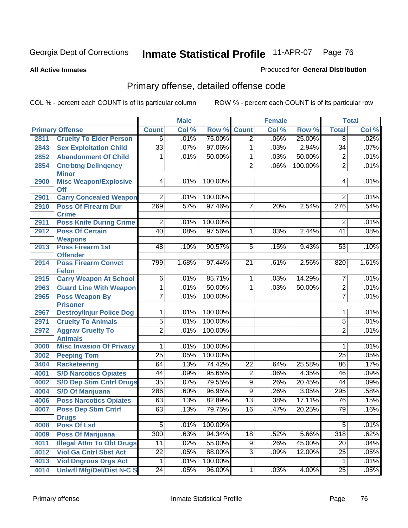**All Active Inmates**

### Produced for **General Distribution**

# Primary offense, detailed offense code

|      |                                            | <b>Male</b>     |       |         |                 | <b>Female</b> | <b>Total</b> |                  |       |
|------|--------------------------------------------|-----------------|-------|---------|-----------------|---------------|--------------|------------------|-------|
|      | <b>Primary Offense</b>                     | <b>Count</b>    | Col % | Row %   | <b>Count</b>    | Col %         | Row %        | <b>Total</b>     | Col % |
| 2811 | <b>Cruelty To Elder Person</b>             | $\overline{6}$  | .01%  | 75.00%  | $\overline{2}$  | .06%          | 25.00%       | $\overline{8}$   | .02%  |
| 2843 | <b>Sex Exploitation Child</b>              | $\overline{33}$ | .07%  | 97.06%  | 1               | .03%          | 2.94%        | $\overline{34}$  | .07%  |
| 2852 | <b>Abandonment Of Child</b>                | 1               | .01%  | 50.00%  | 1               | .03%          | 50.00%       | $\overline{2}$   | .01%  |
| 2854 | <b>Cntrbtng Delingency</b><br><b>Minor</b> |                 |       |         | $\overline{2}$  | .06%          | 100.00%      | $\overline{2}$   | .01%  |
| 2900 | <b>Misc Weapon/Explosive</b><br>Off        | 4               | .01%  | 100.00% |                 |               |              | 4                | .01%  |
| 2901 | <b>Carry Concealed Weapon</b>              | $\overline{2}$  | .01%  | 100.00% |                 |               |              | $\overline{2}$   | .01%  |
| 2910 | <b>Poss Of Firearm Dur</b><br><b>Crime</b> | 269             | .57%  | 97.46%  | 7               | .20%          | 2.54%        | $\overline{276}$ | .54%  |
| 2911 | <b>Poss Knife During Crime</b>             | $\overline{2}$  | .01%  | 100.00% |                 |               |              | $\overline{2}$   | .01%  |
| 2912 | <b>Poss Of Certain</b><br><b>Weapons</b>   | $\overline{40}$ | .08%  | 97.56%  | 1               | .03%          | 2.44%        | $\overline{41}$  | .08%  |
| 2913 | <b>Poss Firearm 1st</b><br><b>Offender</b> | 48              | .10%  | 90.57%  | $\overline{5}$  | .15%          | 9.43%        | 53               | .10%  |
| 2914 | <b>Poss Firearm Convct</b><br><b>Felon</b> | 799             | 1.68% | 97.44%  | $\overline{21}$ | .61%          | 2.56%        | 820              | 1.61% |
| 2915 | <b>Carry Weapon At School</b>              | $\overline{6}$  | .01%  | 85.71%  | $\overline{1}$  | .03%          | 14.29%       | $\overline{7}$   | .01%  |
| 2963 | <b>Guard Line With Weapon</b>              | 1               | .01%  | 50.00%  | 1               | .03%          | 50.00%       | $\overline{2}$   | .01%  |
| 2965 | <b>Poss Weapon By</b><br><b>Prisoner</b>   | 7               | .01%  | 100.00% |                 |               |              | $\overline{7}$   | .01%  |
| 2967 | <b>Destroy/Injur Police Dog</b>            | 1               | .01%  | 100.00% |                 |               |              | 1                | .01%  |
| 2971 | <b>Cruelty To Animals</b>                  | $\overline{5}$  | .01%  | 100.00% |                 |               |              | $\overline{5}$   | .01%  |
| 2972 | <b>Aggrav Cruelty To</b><br><b>Animals</b> | $\overline{2}$  | .01%  | 100.00% |                 |               |              | $\overline{2}$   | .01%  |
| 3000 | <b>Misc Invasion Of Privacy</b>            | 1               | .01%  | 100.00% |                 |               |              | 1                | .01%  |
| 3002 | <b>Peeping Tom</b>                         | $\overline{25}$ | .05%  | 100.00% |                 |               |              | $\overline{25}$  | .05%  |
| 3404 | <b>Racketeering</b>                        | 64              | .13%  | 74.42%  | $\overline{22}$ | .64%          | 25.58%       | 86               | .17%  |
| 4001 | <b>S/D Narcotics Opiates</b>               | 44              | .09%  | 95.65%  | $\overline{2}$  | .06%          | 4.35%        | 46               | .09%  |
| 4002 | <b>S/D Dep Stim Cntrf Drugs</b>            | $\overline{35}$ | .07%  | 79.55%  | $\overline{9}$  | .26%          | 20.45%       | $\overline{44}$  | .09%  |
| 4004 | <b>S/D Of Marijuana</b>                    | 286             | .60%  | 96.95%  | $\overline{9}$  | .26%          | 3.05%        | 295              | .58%  |
| 4006 | <b>Poss Narcotics Opiates</b>              | 63              | .13%  | 82.89%  | $\overline{13}$ | .38%          | 17.11%       | 76               | .15%  |
| 4007 | <b>Poss Dep Stim Cntrf</b><br><b>Drugs</b> | 63              | .13%  | 79.75%  | $\overline{16}$ | .47%          | 20.25%       | $\overline{79}$  | .16%  |
| 4008 | <b>Poss Of Lsd</b>                         | $\overline{5}$  | .01%  | 100.00% |                 |               |              | $\overline{5}$   | .01%  |
| 4009 | <b>Poss Of Marijuana</b>                   | 300             | .63%  | 94.34%  | $\overline{18}$ | .52%          | 5.66%        | 318              | .62%  |
| 4011 | <b>Illegal Attm To Obt Drugs</b>           | $\overline{11}$ | .02%  | 55.00%  | $\overline{9}$  | .26%          | 45.00%       | 20               | .04%  |
| 4012 | <b>Viol Ga Cntrl Sbst Act</b>              | $\overline{22}$ | .05%  | 88.00%  | $\overline{3}$  | .09%          | 12.00%       | 25               | .05%  |
| 4013 | <b>Viol Dngrous Drgs Act</b>               | 1               | .01%  | 100.00% |                 |               |              | 1                | .01%  |
| 4014 | <b>Uniwfl Mfg/Del/Dist N-C S</b>           | $\overline{24}$ | .05%  | 96.00%  | $\mathbf{1}$    | .03%          | 4.00%        | $\overline{25}$  | .05%  |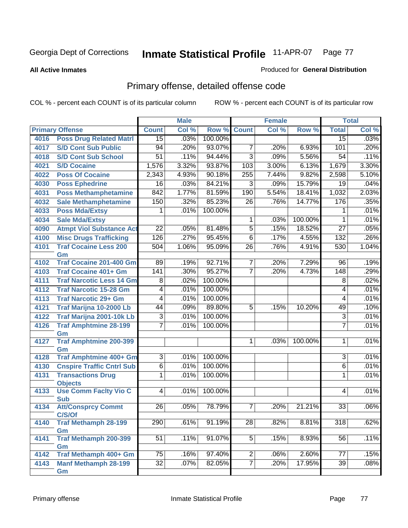**All Active Inmates**

### Produced for **General Distribution**

# Primary offense, detailed offense code

|      |                                    | <b>Male</b>      |       |         | <b>Female</b>   |       | <b>Total</b> |                 |       |
|------|------------------------------------|------------------|-------|---------|-----------------|-------|--------------|-----------------|-------|
|      | <b>Primary Offense</b>             | <b>Count</b>     | Col % | Row %   | <b>Count</b>    | Col % | Row %        | <b>Total</b>    | Col % |
| 4016 | <b>Poss Drug Related Matri</b>     | 15               | .03%  | 100.00% |                 |       |              | 15              | .03%  |
| 4017 | <b>S/D Cont Sub Public</b>         | 94               | .20%  | 93.07%  | $\overline{7}$  | .20%  | 6.93%        | 101             | .20%  |
| 4018 | <b>S/D Cont Sub School</b>         | 51               | .11%  | 94.44%  | $\overline{3}$  | .09%  | 5.56%        | $\overline{54}$ | .11%  |
| 4021 | <b>S/D Cocaine</b>                 | 1,576            | 3.32% | 93.87%  | 103             | 3.00% | 6.13%        | 1,679           | 3.30% |
| 4022 | <b>Poss Of Cocaine</b>             | 2,343            | 4.93% | 90.18%  | 255             | 7.44% | 9.82%        | 2,598           | 5.10% |
| 4030 | <b>Poss Ephedrine</b>              | 16               | .03%  | 84.21%  | $\overline{3}$  | .09%  | 15.79%       | 19              | .04%  |
| 4031 | <b>Poss Methamphetamine</b>        | 842              | 1.77% | 81.59%  | 190             | 5.54% | 18.41%       | 1,032           | 2.03% |
| 4032 | <b>Sale Methamphetamine</b>        | 150              | .32%  | 85.23%  | $\overline{26}$ | .76%  | 14.77%       | 176             | .35%  |
| 4033 | <b>Poss Mda/Extsy</b>              | 1                | .01%  | 100.00% |                 |       |              | 1               | .01%  |
| 4034 | <b>Sale Mda/Extsy</b>              |                  |       |         | $\mathbf{1}$    | .03%  | 100.00%      | 1               | .01%  |
| 4090 | <b>Atmpt Viol Substance Act</b>    | $\overline{22}$  | .05%  | 81.48%  | $\overline{5}$  | .15%  | 18.52%       | $\overline{27}$ | .05%  |
| 4100 | <b>Misc Drugs Trafficking</b>      | 126              | .27%  | 95.45%  | $\overline{6}$  | .17%  | 4.55%        | 132             | .26%  |
| 4101 | <b>Traf Cocaine Less 200</b>       | $\overline{504}$ | 1.06% | 95.09%  | $\overline{26}$ | .76%  | 4.91%        | 530             | 1.04% |
|      | Gm                                 |                  |       |         |                 |       |              |                 |       |
| 4102 | <b>Traf Cocaine 201-400 Gm</b>     | 89               | .19%  | 92.71%  | $\overline{7}$  | .20%  | 7.29%        | 96              | .19%  |
| 4103 | <b>Traf Cocaine 401+ Gm</b>        | 141              | .30%  | 95.27%  | $\overline{7}$  | .20%  | 4.73%        | 148             | .29%  |
| 4111 | <b>Traf Narcotic Less 14 Gm</b>    | 8                | .02%  | 100.00% |                 |       |              | 8               | .02%  |
| 4112 | <b>Traf Narcotic 15-28 Gm</b>      | 4                | .01%  | 100.00% |                 |       |              | 4               | .01%  |
| 4113 | <b>Traf Narcotic 29+ Gm</b>        | $\overline{4}$   | .01%  | 100.00% |                 |       |              | 4               | .01%  |
| 4121 | Traf Marijna 10-2000 Lb            | $\overline{44}$  | .09%  | 89.80%  | $\overline{5}$  | .15%  | 10.20%       | 49              | .10%  |
| 4122 | Traf Marijna 2001-10k Lb           | 3                | .01%  | 100.00% |                 |       |              | $\overline{3}$  | .01%  |
| 4126 | <b>Traf Amphtmine 28-199</b>       | $\overline{7}$   | .01%  | 100.00% |                 |       |              | $\overline{7}$  | .01%  |
|      | Gm                                 |                  |       |         |                 |       |              |                 |       |
| 4127 | <b>Traf Amphtmine 200-399</b>      |                  |       |         | $\mathbf 1$     | .03%  | 100.00%      | 1               | .01%  |
| 4128 | Gm<br>Traf Amphtmine 400+ Gm       | $\overline{3}$   | .01%  | 100.00% |                 |       |              | $\overline{3}$  | .01%  |
| 4130 | <b>Cnspire Traffic Cntrl Sub</b>   | $\overline{6}$   | .01%  | 100.00% |                 |       |              | $\overline{6}$  | .01%  |
| 4131 | <b>Transactions Drug</b>           | 1                | .01%  | 100.00% |                 |       |              | 1               | .01%  |
|      | <b>Objects</b>                     |                  |       |         |                 |       |              |                 |       |
| 4133 | <b>Use Comm Facity Vio C</b>       | 4                | .01%  | 100.00% |                 |       |              | 4               | .01%  |
|      | <b>Sub</b>                         |                  |       |         |                 |       |              |                 |       |
| 4134 | <b>Att/Consprcy Commt</b>          | $\overline{26}$  | .05%  | 78.79%  | $\overline{7}$  | .20%  | 21.21%       | 33              | .06%  |
|      | C/S/Of                             |                  |       |         |                 |       |              |                 |       |
| 4140 | <b>Traf Methamph 28-199</b>        | 290              | .61%  | 91.19%  | $\overline{28}$ | .82%  | 8.81%        | 318             | .62%  |
|      | Gm                                 |                  |       |         |                 |       |              |                 |       |
| 4141 | <b>Traf Methamph 200-399</b><br>Gm | $\overline{51}$  | .11%  | 91.07%  | $\overline{5}$  | .15%  | 8.93%        | 56              | .11%  |
| 4142 | Traf Methamph 400+ Gm              | 75               | .16%  | 97.40%  | 2               | .06%  | 2.60%        | 77              | .15%  |
| 4143 | <b>Manf Methamph 28-199</b>        | $32\overline{)}$ | .07%  | 82.05%  | $\overline{7}$  | .20%  | 17.95%       | 39              | .08%  |
|      | Gm                                 |                  |       |         |                 |       |              |                 |       |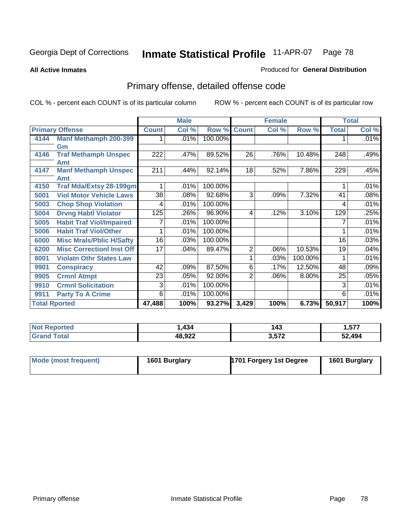**All Active Inmates**

### Produced for **General Distribution**

# Primary offense, detailed offense code

|                      |                                  | <b>Male</b>  |       |         |                | <b>Female</b> |         | <b>Total</b> |       |
|----------------------|----------------------------------|--------------|-------|---------|----------------|---------------|---------|--------------|-------|
|                      | <b>Primary Offense</b>           | <b>Count</b> | Col % | Row %   | <b>Count</b>   | Col %         | Row %   | <b>Total</b> | Col % |
| 4144                 | <b>Manf Methamph 200-399</b>     |              | .01%  | 100.00% |                |               |         |              | .01%  |
|                      | Gm                               |              |       |         |                |               |         |              |       |
| 4146                 | <b>Traf Methamph Unspec</b>      | 222          | .47%  | 89.52%  | 26             | .76%          | 10.48%  | 248          | .49%  |
|                      | Amt                              |              |       |         |                |               |         |              |       |
| 4147                 | <b>Manf Methamph Unspec</b>      | 211          | .44%  | 92.14%  | 18             | .52%          | 7.86%   | 229          | .45%  |
|                      | Amt                              |              |       |         |                |               |         |              |       |
| 4150                 | <b>Traf Mda/Extsy 28-199gm</b>   |              | .01%  | 100.00% |                |               |         |              | .01%  |
| 5001                 | <b>Viol Motor Vehicle Laws</b>   | 38           | .08%  | 92.68%  | 3              | .09%          | 7.32%   | 41           | .08%  |
| 5003                 | <b>Chop Shop Violation</b>       | 4            | .01%  | 100.00% |                |               |         | 4            | .01%  |
| 5004                 | <b>Drvng Habtl Violator</b>      | 125          | .26%  | 96.90%  | 4              | .12%          | 3.10%   | 129          | .25%  |
| 5005                 | <b>Habit Traf Viol/Impaired</b>  |              | .01%  | 100.00% |                |               |         | 7            | .01%  |
| 5006                 | <b>Habit Traf Viol/Other</b>     |              | .01%  | 100.00% |                |               |         |              | .01%  |
| 6000                 | <b>Misc Mrals/Pblic H/Safty</b>  | 16           | .03%  | 100.00% |                |               |         | 16           | .03%  |
| 6200                 | <b>Misc CorrectionI Inst Off</b> | 17           | .04%  | 89.47%  | $\overline{2}$ | .06%          | 10.53%  | 19           | .04%  |
| 8001                 | <b>Violatn Othr States Law</b>   |              |       |         |                | .03%          | 100.00% |              | .01%  |
| 9901                 | <b>Conspiracy</b>                | 42           | .09%  | 87.50%  | 6              | .17%          | 12.50%  | 48           | .09%  |
| 9905                 | <b>Crmnl Atmpt</b>               | 23           | .05%  | 92.00%  | $\overline{2}$ | .06%          | 8.00%   | 25           | .05%  |
| 9910                 | <b>Crmnl Solicitation</b>        | 3            | .01%  | 100.00% |                |               |         | 3            | .01%  |
| 9911                 | <b>Party To A Crime</b>          | 6            | .01%  | 100.00% |                |               |         | 6            | .01%  |
| <b>Total Rported</b> |                                  | 47,488       | 100%  | 93.27%  | 3,429          | 100%          | 6.73%   | 50,917       | 100%  |

| <b>NOT</b><br>oortea | 434          | ۰4۰<br>ن ۲۰ | 1,577  |
|----------------------|--------------|-------------|--------|
| <b>ota</b>           | 48,922<br>__ | 3,572       | 52.494 |

| Mode (most frequent) | 1601 Burglary | 1701 Forgery 1st Degree | 1601 Burglary |
|----------------------|---------------|-------------------------|---------------|
|----------------------|---------------|-------------------------|---------------|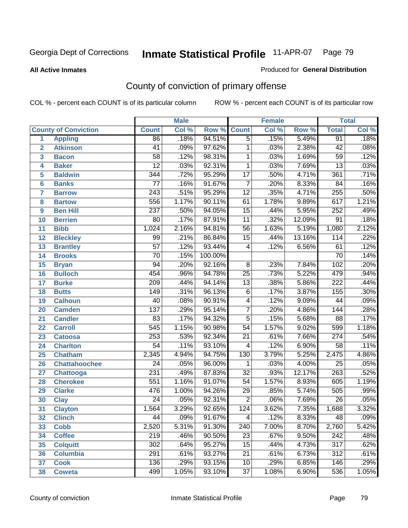**All Active Inmates**

### Produced for **General Distribution**

# County of conviction of primary offense

|                 |                             | <b>Male</b>      |       |         | <b>Female</b>    |       |        | <b>Total</b>     |       |  |
|-----------------|-----------------------------|------------------|-------|---------|------------------|-------|--------|------------------|-------|--|
|                 | <b>County of Conviction</b> | <b>Count</b>     | Col % | Row %   | <b>Count</b>     | Col % | Row %  | <b>Total</b>     | Col % |  |
| 1               | <b>Appling</b>              | 86               | .18%  | 94.51%  | $\overline{5}$   | .15%  | 5.49%  | 91               | .18%  |  |
| $\overline{2}$  | <b>Atkinson</b>             | 41               | .09%  | 97.62%  | 1                | .03%  | 2.38%  | 42               | .08%  |  |
| 3               | <b>Bacon</b>                | $\overline{58}$  | .12%  | 98.31%  | 1                | .03%  | 1.69%  | $\overline{59}$  | .12%  |  |
| 4               | <b>Baker</b>                | $\overline{12}$  | .03%  | 92.31%  | 1                | .03%  | 7.69%  | $\overline{13}$  | .03%  |  |
| 5               | <b>Baldwin</b>              | 344              | .72%  | 95.29%  | $\overline{17}$  | .50%  | 4.71%  | 361              | .71%  |  |
| 6               | <b>Banks</b>                | $\overline{77}$  | .16%  | 91.67%  | $\overline{7}$   | .20%  | 8.33%  | 84               | .16%  |  |
| $\overline{7}$  | <b>Barrow</b>               | $\overline{243}$ | .51%  | 95.29%  | $\overline{12}$  | .35%  | 4.71%  | 255              | .50%  |  |
| 8               | <b>Bartow</b>               | 556              | 1.17% | 90.11%  | 61               | 1.78% | 9.89%  | 617              | 1.21% |  |
| 9               | <b>Ben Hill</b>             | 237              | .50%  | 94.05%  | $\overline{15}$  | .44%  | 5.95%  | 252              | .49%  |  |
| 10              | <b>Berrien</b>              | $\overline{80}$  | .17%  | 87.91%  | $\overline{11}$  | .32%  | 12.09% | $\overline{91}$  | .18%  |  |
| 11              | <b>Bibb</b>                 | 1,024            | 2.16% | 94.81%  | $\overline{56}$  | 1.63% | 5.19%  | 1,080            | 2.12% |  |
| 12              | <b>Bleckley</b>             | 99               | .21%  | 86.84%  | $\overline{15}$  | .44%  | 13.16% | 114              | .22%  |  |
| $\overline{13}$ | <b>Brantley</b>             | $\overline{57}$  | .12%  | 93.44%  | 4                | .12%  | 6.56%  | 61               | .12%  |  |
| 14              | <b>Brooks</b>               | $\overline{70}$  | .15%  | 100.00% |                  |       |        | 70               | .14%  |  |
| 15              | <b>Bryan</b>                | $\overline{94}$  | .20%  | 92.16%  | $\overline{8}$   | .23%  | 7.84%  | 102              | .20%  |  |
| 16              | <b>Bulloch</b>              | 454              | .96%  | 94.78%  | $\overline{25}$  | .73%  | 5.22%  | 479              | .94%  |  |
| $\overline{17}$ | <b>Burke</b>                | $\overline{209}$ | .44%  | 94.14%  | $\overline{13}$  | .38%  | 5.86%  | $\overline{222}$ | .44%  |  |
| 18              | <b>Butts</b>                | 149              | .31%  | 96.13%  | 6                | .17%  | 3.87%  | 155              | .30%  |  |
| 19              | <b>Calhoun</b>              | $\overline{40}$  | .08%  | 90.91%  | 4                | .12%  | 9.09%  | 44               | .09%  |  |
| 20              | <b>Camden</b>               | 137              | .29%  | 95.14%  | 7                | .20%  | 4.86%  | 144              | .28%  |  |
| 21              | <b>Candler</b>              | $\overline{83}$  | .17%  | 94.32%  | $\overline{5}$   | .15%  | 5.68%  | $\overline{88}$  | .17%  |  |
| 22              | <b>Carroll</b>              | $\overline{545}$ | 1.15% | 90.98%  | $\overline{54}$  | 1.57% | 9.02%  | 599              | 1.18% |  |
| 23              | <b>Catoosa</b>              | 253              | .53%  | 92.34%  | $\overline{21}$  | .61%  | 7.66%  | 274              | .54%  |  |
| 24              | <b>Charlton</b>             | $\overline{54}$  | .11%  | 93.10%  | 4                | .12%  | 6.90%  | 58               | .11%  |  |
| 25              | <b>Chatham</b>              | 2,345            | 4.94% | 94.75%  | 130              | 3.79% | 5.25%  | 2,475            | 4.86% |  |
| 26              | <b>Chattahoochee</b>        | 24               | .05%  | 96.00%  | 1                | .03%  | 4.00%  | $\overline{25}$  | .05%  |  |
| 27              | Chattooga                   | 231              | .49%  | 87.83%  | $\overline{32}$  | .93%  | 12.17% | 263              | .52%  |  |
| 28              | <b>Cherokee</b>             | $\overline{551}$ | 1.16% | 91.07%  | $\overline{54}$  | 1.57% | 8.93%  | 605              | 1.19% |  |
| 29              | <b>Clarke</b>               | 476              | 1.00% | 94.26%  | $\overline{29}$  | .85%  | 5.74%  | 505              | .99%  |  |
| 30              | <b>Clay</b>                 | $\overline{24}$  | .05%  | 92.31%  | $\overline{2}$   | .06%  | 7.69%  | 26               | .05%  |  |
| $\overline{31}$ | <b>Clayton</b>              | 1,564            | 3.29% | 92.65%  | 124              | 3.62% | 7.35%  | 1,688            | 3.32% |  |
| 32              | <b>Clinch</b>               | 44               | .09%  | 91.67%  | 4                | .12%  | 8.33%  | 48               | .09%  |  |
| 33              | <b>Cobb</b>                 | 2,520            | 5.31% | 91.30%  | $\overline{240}$ | 7.00% | 8.70%  | 2,760            | 5.42% |  |
| 34              | <b>Coffee</b>               | 219              | .46%  | 90.50%  | 23               | .67%  | 9.50%  | 242              | .48%  |  |
| 35              | <b>Colquitt</b>             | 302              | .64%  | 95.27%  | 15               | .44%  | 4.73%  | $\overline{317}$ | .62%  |  |
| 36              | <b>Columbia</b>             | 291              | .61%  | 93.27%  | 21               | .61%  | 6.73%  | 312              | .61%  |  |
| 37              | <b>Cook</b>                 | 136              | .29%  | 93.15%  | 10               | .29%  | 6.85%  | 146              | .29%  |  |
| 38              | <b>Coweta</b>               | 499              | 1.05% | 93.10%  | 37               | 1.08% | 6.90%  | 536              | 1.05% |  |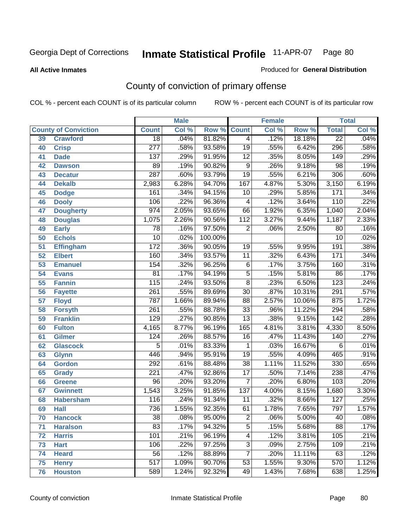#### **All Active Inmates**

#### Produced for **General Distribution**

# County of conviction of primary offense

|                 |                             |                  | <b>Male</b> |         | <b>Female</b>    |       |        |                  | <b>Total</b> |
|-----------------|-----------------------------|------------------|-------------|---------|------------------|-------|--------|------------------|--------------|
|                 | <b>County of Conviction</b> | <b>Count</b>     | Col %       | Row %   | <b>Count</b>     | Col % | Row %  | <b>Total</b>     | Col %        |
| 39              | <b>Crawford</b>             | $\overline{18}$  | .04%        | 81.82%  | $\overline{4}$   | .12%  | 18.18% | $\overline{22}$  | .04%         |
| 40              | <b>Crisp</b>                | $\overline{277}$ | .58%        | 93.58%  | $\overline{19}$  | .55%  | 6.42%  | 296              | .58%         |
| 41              | <b>Dade</b>                 | 137              | .29%        | 91.95%  | $\overline{12}$  | .35%  | 8.05%  | 149              | .29%         |
| 42              | <b>Dawson</b>               | 89               | .19%        | 90.82%  | $\overline{9}$   | .26%  | 9.18%  | $\overline{98}$  | .19%         |
| 43              | <b>Decatur</b>              | 287              | .60%        | 93.79%  | $\overline{19}$  | .55%  | 6.21%  | $\overline{306}$ | .60%         |
| 44              | <b>Dekalb</b>               | 2,983            | 6.28%       | 94.70%  | 167              | 4.87% | 5.30%  | 3,150            | 6.19%        |
| 45              | <b>Dodge</b>                | 161              | .34%        | 94.15%  | 10               | .29%  | 5.85%  | 171              | .34%         |
| 46              | <b>Dooly</b>                | 106              | .22%        | 96.36%  | 4                | .12%  | 3.64%  | 110              | .22%         |
| 47              | <b>Dougherty</b>            | $\overline{974}$ | 2.05%       | 93.65%  | 66               | 1.92% | 6.35%  | 1,040            | 2.04%        |
| 48              | <b>Douglas</b>              | 1,075            | 2.26%       | 90.56%  | $\overline{112}$ | 3.27% | 9.44%  | 1,187            | 2.33%        |
| 49              | <b>Early</b>                | $\overline{78}$  | .16%        | 97.50%  | $\overline{2}$   | .06%  | 2.50%  | 80               | .16%         |
| 50              | <b>Echols</b>               | $\overline{10}$  | .02%        | 100.00% |                  |       |        | $\overline{10}$  | .02%         |
| $\overline{51}$ | <b>Effingham</b>            | $\overline{172}$ | .36%        | 90.05%  | 19               | .55%  | 9.95%  | 191              | .38%         |
| 52              | <b>Elbert</b>               | 160              | .34%        | 93.57%  | $\overline{11}$  | .32%  | 6.43%  | 171              | .34%         |
| 53              | <b>Emanuel</b>              | 154              | .32%        | 96.25%  | $\overline{6}$   | .17%  | 3.75%  | 160              | .31%         |
| $\overline{54}$ | <b>Evans</b>                | $\overline{81}$  | .17%        | 94.19%  | $\overline{5}$   | .15%  | 5.81%  | 86               | .17%         |
| 55              | <b>Fannin</b>               | 115              | .24%        | 93.50%  | $\overline{8}$   | .23%  | 6.50%  | $\overline{123}$ | .24%         |
| 56              | <b>Fayette</b>              | $\overline{261}$ | .55%        | 89.69%  | $\overline{30}$  | .87%  | 10.31% | $\overline{291}$ | .57%         |
| 57              | <b>Floyd</b>                | 787              | 1.66%       | 89.94%  | $\overline{88}$  | 2.57% | 10.06% | 875              | 1.72%        |
| 58              | <b>Forsyth</b>              | $\overline{261}$ | .55%        | 88.78%  | $\overline{33}$  | .96%  | 11.22% | 294              | .58%         |
| 59              | <b>Franklin</b>             | 129              | .27%        | 90.85%  | $\overline{13}$  | .38%  | 9.15%  | $\overline{142}$ | .28%         |
| 60              | <b>Fulton</b>               | 4,165            | 8.77%       | 96.19%  | 165              | 4.81% | 3.81%  | 4,330            | 8.50%        |
| 61              | Gilmer                      | 124              | .26%        | 88.57%  | 16               | .47%  | 11.43% | $\overline{140}$ | .27%         |
| 62              | <b>Glascock</b>             | $\overline{5}$   | .01%        | 83.33%  | $\mathbf{1}$     | .03%  | 16.67% | 6                | .01%         |
| 63              | <b>Glynn</b>                | 446              | .94%        | 95.91%  | $\overline{19}$  | .55%  | 4.09%  | 465              | .91%         |
| 64              | <b>Gordon</b>               | 292              | .61%        | 88.48%  | $\overline{38}$  | 1.11% | 11.52% | 330              | .65%         |
| 65              | <b>Grady</b>                | $\overline{221}$ | .47%        | 92.86%  | $\overline{17}$  | .50%  | 7.14%  | 238              | .47%         |
| 66              | <b>Greene</b>               | $\overline{96}$  | .20%        | 93.20%  | $\overline{7}$   | .20%  | 6.80%  | 103              | .20%         |
| 67              | <b>Gwinnett</b>             | 1,543            | 3.25%       | 91.85%  | $\overline{137}$ | 4.00% | 8.15%  | 1,680            | 3.30%        |
| 68              | <b>Habersham</b>            | 116              | .24%        | 91.34%  | $\overline{11}$  | .32%  | 8.66%  | $\overline{127}$ | .25%         |
| 69              | <b>Hall</b>                 | 736              | 1.55%       | 92.35%  | 61               | 1.78% | 7.65%  | 797              | 1.57%        |
| 70              | <b>Hancock</b>              | 38               | .08%        | 95.00%  | 2                | .06%  | 5.00%  | 40               | .08%         |
| 71              | <b>Haralson</b>             | 83               | .17%        | 94.32%  | $\overline{5}$   | .15%  | 5.68%  | $\overline{88}$  | .17%         |
| 72              | <b>Harris</b>               | 101              | .21%        | 96.19%  | $\overline{4}$   | .12%  | 3.81%  | 105              | .21%         |
| 73              | <b>Hart</b>                 | 106              | .22%        | 97.25%  | $\overline{3}$   | .09%  | 2.75%  | 109              | .21%         |
| 74              | <b>Heard</b>                | $\overline{56}$  | .12%        | 88.89%  | $\overline{7}$   | .20%  | 11.11% | 63               | .12%         |
| 75              | <b>Henry</b>                | $\overline{517}$ | 1.09%       | 90.70%  | 53               | 1.55% | 9.30%  | $\overline{570}$ | 1.12%        |
| 76              | <b>Houston</b>              | 589              | 1.24%       | 92.32%  | 49               | 1.43% | 7.68%  | 638              | 1.25%        |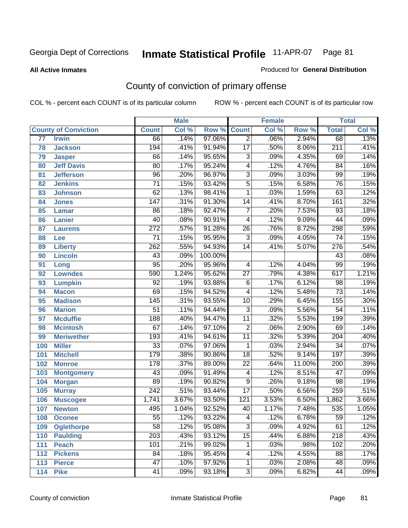**All Active Inmates**

#### Produced for **General Distribution**

# County of conviction of primary offense

|     |                             |                  | <b>Male</b> |         | <b>Female</b>            |       |        | <b>Total</b>     |       |
|-----|-----------------------------|------------------|-------------|---------|--------------------------|-------|--------|------------------|-------|
|     | <b>County of Conviction</b> | <b>Count</b>     | Col %       | Row %   | <b>Count</b>             | Col % | Row %  | <b>Total</b>     | Col % |
| 77  | <b>Irwin</b>                | 66               | .14%        | 97.06%  | $\overline{2}$           | .06%  | 2.94%  | 68               | .13%  |
| 78  | <b>Jackson</b>              | 194              | .41%        | 91.94%  | $\overline{17}$          | .50%  | 8.06%  | $\overline{211}$ | .41%  |
| 79  | <b>Jasper</b>               | 66               | .14%        | 95.65%  | $\overline{3}$           | .09%  | 4.35%  | 69               | .14%  |
| 80  | <b>Jeff Davis</b>           | $\overline{80}$  | .17%        | 95.24%  | $\overline{\mathcal{A}}$ | .12%  | 4.76%  | $\overline{84}$  | .16%  |
| 81  | <b>Jefferson</b>            | $\overline{96}$  | .20%        | 96.97%  | $\overline{3}$           | .09%  | 3.03%  | 99               | .19%  |
| 82  | <b>Jenkins</b>              | $\overline{71}$  | .15%        | 93.42%  | $\overline{5}$           | .15%  | 6.58%  | $\overline{76}$  | .15%  |
| 83  | <b>Johnson</b>              | 62               | .13%        | 98.41%  | $\mathbf{1}$             | .03%  | 1.59%  | 63               | .12%  |
| 84  | <b>Jones</b>                | $\overline{147}$ | .31%        | 91.30%  | 14                       | .41%  | 8.70%  | 161              | .32%  |
| 85  | <b>Lamar</b>                | 86               | .18%        | 92.47%  | $\overline{7}$           | .20%  | 7.53%  | $\overline{93}$  | .18%  |
| 86  | <b>Lanier</b>               | 40               | .08%        | 90.91%  | $\overline{\mathcal{A}}$ | .12%  | 9.09%  | 44               | .09%  |
| 87  | <b>Laurens</b>              | $\overline{272}$ | .57%        | 91.28%  | $\overline{26}$          | .76%  | 8.72%  | 298              | .59%  |
| 88  | Lee                         | 71               | .15%        | 95.95%  | $\overline{3}$           | .09%  | 4.05%  | 74               | .15%  |
| 89  | <b>Liberty</b>              | 262              | .55%        | 94.93%  | $\overline{14}$          | .41%  | 5.07%  | $\overline{276}$ | .54%  |
| 90  | <b>Lincoln</b>              | 43               | .09%        | 100.00% |                          |       |        | 43               | .08%  |
| 91  | Long                        | $\overline{95}$  | .20%        | 95.96%  | $\overline{\mathcal{A}}$ | .12%  | 4.04%  | 99               | .19%  |
| 92  | <b>Lowndes</b>              | 590              | 1.24%       | 95.62%  | $\overline{27}$          | .79%  | 4.38%  | 617              | 1.21% |
| 93  | <b>Lumpkin</b>              | $\overline{92}$  | .19%        | 93.88%  | $\overline{6}$           | .17%  | 6.12%  | $\overline{98}$  | .19%  |
| 94  | <b>Macon</b>                | 69               | .15%        | 94.52%  | $\overline{\mathcal{A}}$ | .12%  | 5.48%  | $\overline{73}$  | .14%  |
| 95  | <b>Madison</b>              | $\overline{145}$ | .31%        | 93.55%  | 10                       | .29%  | 6.45%  | 155              | .30%  |
| 96  | <b>Marion</b>               | $\overline{51}$  | .11%        | 94.44%  | $\overline{3}$           | .09%  | 5.56%  | $\overline{54}$  | .11%  |
| 97  | <b>Mcduffie</b>             | 188              | .40%        | 94.47%  | $\overline{11}$          | .32%  | 5.53%  | 199              | .39%  |
| 98  | <b>Mcintosh</b>             | $\overline{67}$  | .14%        | 97.10%  | $\overline{2}$           | .06%  | 2.90%  | 69               | .14%  |
| 99  | <b>Meriwether</b>           | 193              | .41%        | 94.61%  | $\overline{11}$          | .32%  | 5.39%  | $\overline{204}$ | .40%  |
| 100 | <b>Miller</b>               | $\overline{33}$  | .07%        | 97.06%  | $\mathbf{1}$             | .03%  | 2.94%  | $\overline{34}$  | .07%  |
| 101 | <b>Mitchell</b>             | 179              | .38%        | 90.86%  | $\overline{18}$          | .52%  | 9.14%  | 197              | .39%  |
| 102 | <b>Monroe</b>               | $\overline{178}$ | .37%        | 89.00%  | $\overline{22}$          | .64%  | 11.00% | $\overline{200}$ | .39%  |
| 103 | <b>Montgomery</b>           | 43               | .09%        | 91.49%  | $\overline{\mathbf{4}}$  | .12%  | 8.51%  | $\overline{47}$  | .09%  |
| 104 | <b>Morgan</b>               | 89               | .19%        | 90.82%  | $\overline{9}$           | .26%  | 9.18%  | $\overline{98}$  | .19%  |
| 105 | <b>Murray</b>               | $\overline{242}$ | .51%        | 93.44%  | $\overline{17}$          | .50%  | 6.56%  | 259              | .51%  |
| 106 | <b>Muscogee</b>             | 1,741            | 3.67%       | 93.50%  | $\overline{121}$         | 3.53% | 6.50%  | 1,862            | 3.66% |
| 107 | <b>Newton</b>               | 495              | 1.04%       | 92.52%  | 40                       | 1.17% | 7.48%  | 535              | 1.05% |
| 108 | <b>Oconee</b>               | 55               | .12%        | 93.22%  | 4                        | .12%  | 6.78%  | 59               | .12%  |
| 109 | <b>Oglethorpe</b>           | $\overline{58}$  | .12%        | 95.08%  | $\overline{3}$           | .09%  | 4.92%  | 61               | .12%  |
| 110 | <b>Paulding</b>             | $\overline{203}$ | .43%        | 93.12%  | $\overline{15}$          | .44%  | 6.88%  | $\overline{218}$ | .43%  |
| 111 | <b>Peach</b>                | 101              | .21%        | 99.02%  | 1                        | .03%  | .98%   | 102              | .20%  |
| 112 | <b>Pickens</b>              | 84               | .18%        | 95.45%  | 4                        | .12%  | 4.55%  | 88               | .17%  |
| 113 | <b>Pierce</b>               | $\overline{47}$  | .10%        | 97.92%  | 1                        | .03%  | 2.08%  | 48               | .09%  |
| 114 | <b>Pike</b>                 | 41               | .09%        | 93.18%  | $\overline{3}$           | .09%  | 6.82%  | 44               | .09%  |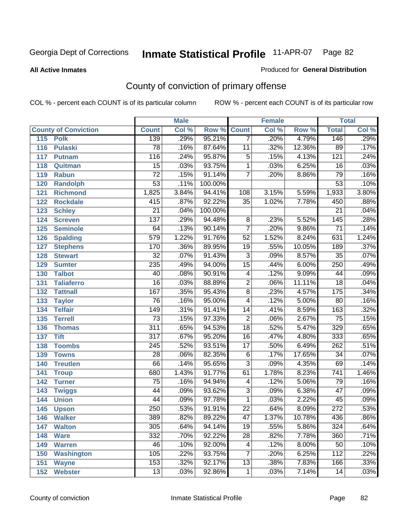**All Active Inmates**

### Produced for **General Distribution**

# County of conviction of primary offense

|                             |                  | <b>Male</b> |                    | <b>Female</b>   |       |        | <b>Total</b>     |         |  |
|-----------------------------|------------------|-------------|--------------------|-----------------|-------|--------|------------------|---------|--|
| <b>County of Conviction</b> | <b>Count</b>     | Col %       | <b>Row % Count</b> |                 | Col % | Row %  | <b>Total</b>     | Col %   |  |
| 115<br><b>Polk</b>          | 139              | .29%        | 95.21%             | $\overline{7}$  | .20%  | 4.79%  | 146              | .29%    |  |
| 116<br><b>Pulaski</b>       | 78               | .16%        | 87.64%             | $\overline{11}$ | .32%  | 12.36% | 89               | .17%    |  |
| 117<br><b>Putnam</b>        | 116              | .24%        | 95.87%             | $\overline{5}$  | .15%  | 4.13%  | 121              | .24%    |  |
| 118<br>Quitman              | $\overline{15}$  | .03%        | 93.75%             | $\mathbf{1}$    | .03%  | 6.25%  | 16               | .03%    |  |
| 119<br><b>Rabun</b>         | $\overline{72}$  | .15%        | 91.14%             | $\overline{7}$  | .20%  | 8.86%  | 79               | .16%    |  |
| 120<br><b>Randolph</b>      | $\overline{53}$  | .11%        | 100.00%            |                 |       |        | $\overline{53}$  | .10%    |  |
| <b>Richmond</b><br>121      | 1,825            | 3.84%       | 94.41%             | 108             | 3.15% | 5.59%  | 1,933            | 3.80%   |  |
| 122<br><b>Rockdale</b>      | 415              | .87%        | 92.22%             | 35              | 1.02% | 7.78%  | 450              | .88%    |  |
| 123<br><b>Schley</b>        | $\overline{21}$  | .04%        | 100.00%            |                 |       |        | $\overline{21}$  | .04%    |  |
| 124<br><b>Screven</b>       | 137              | .29%        | 94.48%             | 8               | .23%  | 5.52%  | $\overline{145}$ | .28%    |  |
| 125<br><b>Seminole</b>      | 64               | .13%        | 90.14%             | $\overline{7}$  | .20%  | 9.86%  | $\overline{71}$  | .14%    |  |
| 126<br><b>Spalding</b>      | 579              | 1.22%       | 91.76%             | $\overline{52}$ | 1.52% | 8.24%  | 631              | 1.24%   |  |
| 127<br><b>Stephens</b>      | 170              | .36%        | 89.95%             | 19              | .55%  | 10.05% | 189              | .37%    |  |
| 128<br><b>Stewart</b>       | $\overline{32}$  | .07%        | 91.43%             | $\overline{3}$  | .09%  | 8.57%  | $\overline{35}$  | .07%    |  |
| 129<br><b>Sumter</b>        | 235              | .49%        | 94.00%             | $\overline{15}$ | .44%  | 6.00%  | 250              | .49%    |  |
| <b>Talbot</b><br>130        | 40               | .08%        | 90.91%             | 4               | .12%  | 9.09%  | 44               | .09%    |  |
| 131<br><b>Taliaferro</b>    | $\overline{16}$  | .03%        | 88.89%             | $\overline{2}$  | .06%  | 11.11% | $\overline{18}$  | .04%    |  |
| <b>Tattnall</b><br>132      | $\overline{167}$ | .35%        | 95.43%             | $\overline{8}$  | .23%  | 4.57%  | 175              | .34%    |  |
| 133<br><b>Taylor</b>        | 76               | .16%        | 95.00%             | $\overline{4}$  | .12%  | 5.00%  | 80               | .16%    |  |
| <b>Telfair</b><br>134       | $\overline{149}$ | .31%        | 91.41%             | 14              | .41%  | 8.59%  | 163              | .32%    |  |
| 135<br><b>Terrell</b>       | $\overline{73}$  | .15%        | 97.33%             | $\overline{2}$  | .06%  | 2.67%  | $\overline{75}$  | .15%    |  |
| 136<br><b>Thomas</b>        | 311              | .65%        | 94.53%             | $\overline{18}$ | .52%  | 5.47%  | 329              | .65%    |  |
| 137<br><b>Tift</b>          | $\overline{317}$ | .67%        | 95.20%             | 16              | .47%  | 4.80%  | 333              | .65%    |  |
| <b>Toombs</b><br>138        | 245              | .52%        | 93.51%             | 17              | .50%  | 6.49%  | 262              | .51%    |  |
| 139<br><b>Towns</b>         | $\overline{28}$  | .06%        | 82.35%             | $\overline{6}$  | .17%  | 17.65% | $\overline{34}$  | .07%    |  |
| <b>Treutlen</b><br>140      | 66               | .14%        | 95.65%             | $\overline{3}$  | .09%  | 4.35%  | 69               | .14%    |  |
| 141<br><b>Troup</b>         | 680              | 1.43%       | 91.77%             | 61              | 1.78% | 8.23%  | $\overline{741}$ | 1.46%   |  |
| 142<br><b>Turner</b>        | $\overline{75}$  | .16%        | 94.94%             | 4               | .12%  | 5.06%  | 79               | .16%    |  |
| 143<br><b>Twiggs</b>        | $\overline{44}$  | .09%        | 93.62%             | $\overline{3}$  | .09%  | 6.38%  | $\overline{47}$  | .09%    |  |
| 144<br><b>Union</b>         | 44               | .09%        | 97.78%             | $\overline{1}$  | .03%  | 2.22%  | 45               | .09%    |  |
| 145<br><b>Upson</b>         | 250              | .53%        | 91.91%             | $\overline{22}$ | .64%  | 8.09%  | $\overline{272}$ | .53%    |  |
| 146<br><b>Walker</b>        | 389              | .82%        | 89.22%             | 47              | 1.37% | 10.78% | 436              | $.86\%$ |  |
| 147<br><b>Walton</b>        | 305              | .64%        | 94.14%             | $\overline{19}$ | .55%  | 5.86%  | 324              | .64%    |  |
| 148<br><b>Ware</b>          | 332              | .70%        | 92.22%             | $\overline{28}$ | .82%  | 7.78%  | 360              | .71%    |  |
| <b>Warren</b><br>149        | 46               | .10%        | 92.00%             | 4               | .12%  | 8.00%  | 50               | .10%    |  |
| <b>Washington</b><br>150    | 105              | .22%        | 93.75%             | 7               | .20%  | 6.25%  | 112              | .22%    |  |
| 151<br><b>Wayne</b>         | 153              | .32%        | 92.17%             | 13              | .38%  | 7.83%  | 166              | .33%    |  |
| <b>Webster</b><br>152       | $\overline{13}$  | .03%        | 92.86%             | $\mathbf{1}$    | .03%  | 7.14%  | 14               | .03%    |  |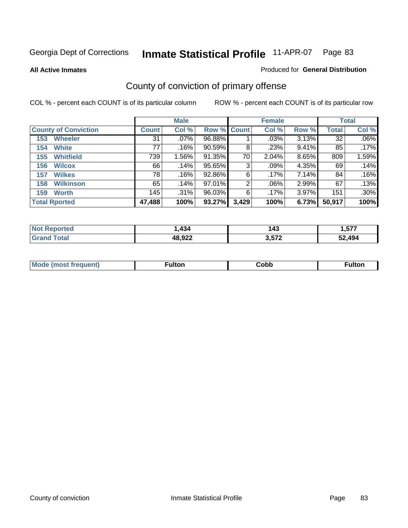**All Active Inmates**

### Produced for **General Distribution**

# County of conviction of primary offense

|                             |              | <b>Male</b> |             |                | <b>Female</b> |          |              | <b>Total</b> |
|-----------------------------|--------------|-------------|-------------|----------------|---------------|----------|--------------|--------------|
| <b>County of Conviction</b> | <b>Count</b> | Col %       | Row % Count |                | Col %         | Row %    | <b>Total</b> | Col %        |
| <b>Wheeler</b><br>153       | 31           | $.07\%$     | 96.88%      |                | .03%          | $3.13\%$ | 32           | $.06\%$      |
| <b>White</b><br>154         | 77           | .16%        | $90.59\%$   | 8              | .23%          | 9.41%    | 85           | .17%         |
| <b>Whitfield</b><br>155     | 739          | 1.56%       | 91.35%      | 70             | 2.04%         | 8.65%    | 809          | 1.59%        |
| 156<br><b>Wilcox</b>        | 66           | .14%        | 95.65%      | 3              | $.09\%$       | 4.35%    | 69           | .14%         |
| <b>Wilkes</b><br>157        | 78           | .16%        | 92.86%      | 6              | .17%          | 7.14%    | 84           | .16%         |
| <b>Wilkinson</b><br>158     | 65           | .14%        | $97.01\%$   | $\overline{2}$ | $.06\%$       | 2.99%    | 67           | $.13\%$      |
| <b>Worth</b><br>159         | 145          | $.31\%$     | 96.03%      | 6              | .17%          | 3.97%    | 151          | .30%         |
| <b>Total Rported</b>        | 47,488       | 100%        | 93.27%      | 3,429          | 100%          | 6.73%    | 50,917       | 100%         |

| тео<br>NI. | ,434   | -43   | 577<br>ו וט. |
|------------|--------|-------|--------------|
|            | 48,922 | ク ドフク | 52.494       |

| <b>Mo</b><br>uent) | ™ulton<br>_____ | obb∶ |  |
|--------------------|-----------------|------|--|
|                    |                 |      |  |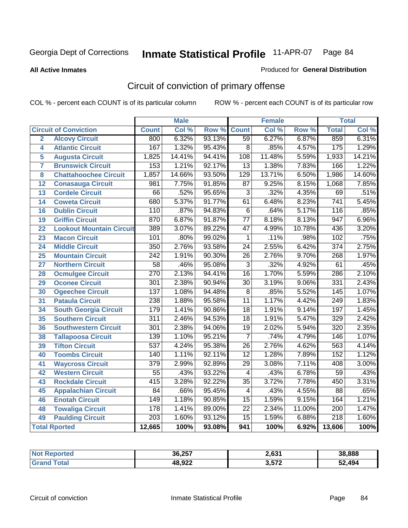**All Active Inmates**

#### Produced for **General Distribution**

# Circuit of conviction of primary offense

|                         |                                 |                  | <b>Male</b> |        |                  | <b>Female</b> |        |                  | <b>Total</b> |
|-------------------------|---------------------------------|------------------|-------------|--------|------------------|---------------|--------|------------------|--------------|
|                         | <b>Circuit of Conviction</b>    | <b>Count</b>     | Col %       | Row %  | <b>Count</b>     | Col %         | Row %  | <b>Total</b>     | CoI%         |
| $\overline{2}$          | <b>Alcovy Circuit</b>           | 800              | 6.32%       | 93.13% | 59               | 6.27%         | 6.87%  | 859              | 6.31%        |
| 4                       | <b>Atlantic Circuit</b>         | 167              | 1.32%       | 95.43% | $\overline{8}$   | .85%          | 4.57%  | $\overline{175}$ | 1.29%        |
| 5                       | <b>Augusta Circuit</b>          | 1,825            | 14.41%      | 94.41% | 108              | 11.48%        | 5.59%  | 1,933            | 14.21%       |
| $\overline{\mathbf{7}}$ | <b>Brunswick Circuit</b>        | 153              | 1.21%       | 92.17% | $\overline{13}$  | 1.38%         | 7.83%  | 166              | 1.22%        |
| 8                       | <b>Chattahoochee Circuit</b>    | 1,857            | 14.66%      | 93.50% | $\overline{129}$ | 13.71%        | 6.50%  | 1,986            | 14.60%       |
| $\overline{12}$         | <b>Conasauga Circuit</b>        | 981              | 7.75%       | 91.85% | $\overline{87}$  | 9.25%         | 8.15%  | 1,068            | 7.85%        |
| $\overline{13}$         | <b>Cordele Circuit</b>          | 66               | .52%        | 95.65% | $\overline{3}$   | .32%          | 4.35%  | 69               | .51%         |
| $\overline{14}$         | <b>Coweta Circuit</b>           | 680              | 5.37%       | 91.77% | $\overline{61}$  | 6.48%         | 8.23%  | $\overline{741}$ | 5.45%        |
| 16                      | <b>Dublin Circuit</b>           | 110              | .87%        | 94.83% | $\overline{6}$   | .64%          | 5.17%  | 116              | .85%         |
| 19                      | <b>Griffin Circuit</b>          | 870              | 6.87%       | 91.87% | $\overline{77}$  | 8.18%         | 8.13%  | 947              | 6.96%        |
| $\overline{22}$         | <b>Lookout Mountain Circuit</b> | 389              | 3.07%       | 89.22% | $\overline{47}$  | 4.99%         | 10.78% | 436              | 3.20%        |
| $\overline{23}$         | <b>Macon Circuit</b>            | 101              | .80%        | 99.02% | 1                | .11%          | .98%   | $\overline{102}$ | .75%         |
| 24                      | <b>Middle Circuit</b>           | 350              | 2.76%       | 93.58% | $\overline{24}$  | 2.55%         | 6.42%  | $\overline{374}$ | 2.75%        |
| $\overline{25}$         | <b>Mountain Circuit</b>         | $\overline{242}$ | 1.91%       | 90.30% | $\overline{26}$  | 2.76%         | 9.70%  | 268              | 1.97%        |
| 27                      | <b>Northern Circuit</b>         | $\overline{58}$  | .46%        | 95.08% | $\overline{3}$   | .32%          | 4.92%  | 61               | .45%         |
| 28                      | <b>Ocmulgee Circuit</b>         | $\overline{270}$ | 2.13%       | 94.41% | $\overline{16}$  | 1.70%         | 5.59%  | 286              | 2.10%        |
| 29                      | <b>Oconee Circuit</b>           | 301              | 2.38%       | 90.94% | $\overline{30}$  | 3.19%         | 9.06%  | $\frac{1}{331}$  | 2.43%        |
| 30                      | <b>Ogeechee Circuit</b>         | 137              | 1.08%       | 94.48% | $\overline{8}$   | .85%          | 5.52%  | 145              | 1.07%        |
| 31                      | <b>Pataula Circuit</b>          | 238              | 1.88%       | 95.58% | $\overline{11}$  | 1.17%         | 4.42%  | 249              | 1.83%        |
| 34                      | <b>South Georgia Circuit</b>    | 179              | 1.41%       | 90.86% | $\overline{18}$  | 1.91%         | 9.14%  | 197              | 1.45%        |
| 35                      | <b>Southern Circuit</b>         | $\overline{311}$ | 2.46%       | 94.53% | $\overline{18}$  | 1.91%         | 5.47%  | 329              | 2.42%        |
| 36                      | <b>Southwestern Circuit</b>     | $\overline{301}$ | 2.38%       | 94.06% | $\overline{19}$  | 2.02%         | 5.94%  | $\overline{320}$ | 2.35%        |
| 38                      | <b>Tallapoosa Circuit</b>       | 139              | 1.10%       | 95.21% | $\overline{7}$   | .74%          | 4.79%  | 146              | 1.07%        |
| 39                      | <b>Tifton Circuit</b>           | $\overline{537}$ | 4.24%       | 95.38% | $\overline{26}$  | 2.76%         | 4.62%  | $\overline{563}$ | 4.14%        |
| 40                      | <b>Toombs Circuit</b>           | 140              | 1.11%       | 92.11% | $\overline{12}$  | 1.28%         | 7.89%  | 152              | 1.12%        |
| 41                      | <b>Waycross Circuit</b>         | $\overline{379}$ | 2.99%       | 92.89% | $\overline{29}$  | 3.08%         | 7.11%  | 408              | 3.00%        |
| 42                      | <b>Western Circuit</b>          | $\overline{55}$  | .43%        | 93.22% | $\overline{4}$   | .43%          | 6.78%  | $\overline{59}$  | .43%         |
| 43                      | <b>Rockdale Circuit</b>         | $\overline{415}$ | 3.28%       | 92.22% | $\overline{35}$  | 3.72%         | 7.78%  | 450              | 3.31%        |
| 45                      | <b>Appalachian Circuit</b>      | $\overline{84}$  | .66%        | 95.45% | $\overline{4}$   | .43%          | 4.55%  | $\overline{88}$  | .65%         |
| 46                      | <b>Enotah Circuit</b>           | 149              | 1.18%       | 90.85% | $\overline{15}$  | 1.59%         | 9.15%  | 164              | 1.21%        |
| 48                      | <b>Towaliga Circuit</b>         | 178              | 1.41%       | 89.00% | $\overline{22}$  | 2.34%         | 11.00% | $\overline{200}$ | 1.47%        |
| 49                      | <b>Paulding Circuit</b>         | 203              | 1.60%       | 93.12% | 15               | 1.59%         | 6.88%  | $\overline{218}$ | 1.60%        |
|                         | <b>Total Rported</b>            | 12,665           | 100%        | 93.08% | 941              | 100%          | 6.92%  | 13,606           | 100%         |

| тео | 36,257 | 2,631         | 38,888     |
|-----|--------|---------------|------------|
|     | 48,922 | ? ドフク<br>.014 | .494<br>-0 |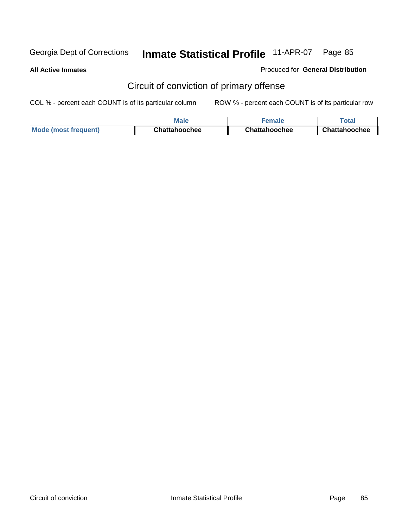**All Active Inmates**

Produced for **General Distribution**

# Circuit of conviction of primary offense

|                             | <b>Male</b>          | <b>male</b>   | ™otaı         |
|-----------------------------|----------------------|---------------|---------------|
| <b>Mode (most frequent)</b> | <b>Chattahoochee</b> | Chattahoochee | Chattahoochee |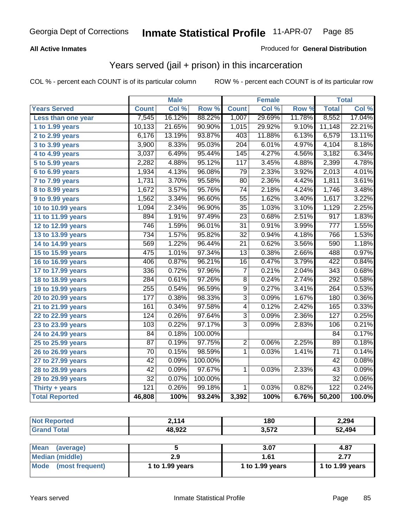### **All Active Inmates**

### Produced for **General Distribution**

## Years served (jail + prison) in this incarceration

|                       |                  | <b>Male</b> |         |                  | Female |        |                  | <b>Total</b> |
|-----------------------|------------------|-------------|---------|------------------|--------|--------|------------------|--------------|
| <b>Years Served</b>   | <b>Count</b>     | Col %       | Row %   | <b>Count</b>     | Col %  | Row %  | <b>Total</b>     | Col %        |
| Less than one year    | 7,545            | 16.12%      | 88.22%  | 1,007            | 29.69% | 11.78% | 8,552            | 17.04%       |
| 1 to 1.99 years       | 10,133           | 21.65%      | 90.90%  | 1,015            | 29.92% | 9.10%  | 11,148           | 22.21%       |
| 2 to 2.99 years       | 6,176            | 13.19%      | 93.87%  | 403              | 11.88% | 6.13%  | 6,579            | 13.11%       |
| 3 to 3.99 years       | 3,900            | 8.33%       | 95.03%  | $\overline{204}$ | 6.01%  | 4.97%  | 4,104            | 8.18%        |
| 4 to 4.99 years       | 3,037            | 6.49%       | 95.44%  | 145              | 4.27%  | 4.56%  | 3,182            | 6.34%        |
| 5 to 5.99 years       | 2,282            | 4.88%       | 95.12%  | 117              | 3.45%  | 4.88%  | 2,399            | 4.78%        |
| 6 to 6.99 years       | 1,934            | 4.13%       | 96.08%  | $\overline{79}$  | 2.33%  | 3.92%  | 2,013            | 4.01%        |
| 7 to 7.99 years       | 1,731            | 3.70%       | 95.58%  | 80               | 2.36%  | 4.42%  | 1,811            | 3.61%        |
| 8 to 8.99 years       | 1,672            | 3.57%       | 95.76%  | $\overline{74}$  | 2.18%  | 4.24%  | 1,746            | 3.48%        |
| 9 to 9.99 years       | 1,562            | 3.34%       | 96.60%  | $\overline{55}$  | 1.62%  | 3.40%  | 1,617            | 3.22%        |
| 10 to 10.99 years     | 1,094            | 2.34%       | 96.90%  | $\overline{35}$  | 1.03%  | 3.10%  | 1,129            | 2.25%        |
| 11 to 11.99 years     | 894              | 1.91%       | 97.49%  | $\overline{23}$  | 0.68%  | 2.51%  | $\overline{917}$ | 1.83%        |
| 12 to 12.99 years     | 746              | 1.59%       | 96.01%  | $\overline{31}$  | 0.91%  | 3.99%  | 777              | 1.55%        |
| 13 to 13.99 years     | 734              | 1.57%       | 95.82%  | $\overline{32}$  | 0.94%  | 4.18%  | 766              | 1.53%        |
| 14 to 14.99 years     | 569              | 1.22%       | 96.44%  | $\overline{21}$  | 0.62%  | 3.56%  | 590              | 1.18%        |
| 15 to 15.99 years     | 475              | 1.01%       | 97.34%  | $\overline{13}$  | 0.38%  | 2.66%  | 488              | 0.97%        |
| 16 to 16.99 years     | 406              | 0.87%       | 96.21%  | $\overline{16}$  | 0.47%  | 3.79%  | 422              | 0.84%        |
| 17 to 17.99 years     | 336              | 0.72%       | 97.96%  | $\overline{7}$   | 0.21%  | 2.04%  | $\overline{343}$ | 0.68%        |
| 18 to 18.99 years     | 284              | 0.61%       | 97.26%  | $\overline{8}$   | 0.24%  | 2.74%  | $\overline{292}$ | 0.58%        |
| 19 to 19.99 years     | 255              | 0.54%       | 96.59%  | $\overline{9}$   | 0.27%  | 3.41%  | 264              | 0.53%        |
| 20 to 20.99 years     | 177              | 0.38%       | 98.33%  | $\overline{3}$   | 0.09%  | 1.67%  | 180              | 0.36%        |
| 21 to 21.99 years     | 161              | 0.34%       | 97.58%  | 4                | 0.12%  | 2.42%  | 165              | 0.33%        |
| 22 to 22.99 years     | $\overline{124}$ | 0.26%       | 97.64%  | $\overline{3}$   | 0.09%  | 2.36%  | $\overline{127}$ | 0.25%        |
| 23 to 23.99 years     | 103              | 0.22%       | 97.17%  | $\overline{3}$   | 0.09%  | 2.83%  | 106              | 0.21%        |
| 24 to 24.99 years     | 84               | 0.18%       | 100.00% |                  |        |        | 84               | 0.17%        |
| 25 to 25.99 years     | $\overline{87}$  | 0.19%       | 97.75%  | $\overline{2}$   | 0.06%  | 2.25%  | 89               | 0.18%        |
| 26 to 26.99 years     | $\overline{70}$  | 0.15%       | 98.59%  | $\overline{1}$   | 0.03%  | 1.41%  | $\overline{71}$  | 0.14%        |
| 27 to 27.99 years     | $\overline{42}$  | 0.09%       | 100.00% |                  |        |        | 42               | 0.08%        |
| 28 to 28.99 years     | $\overline{42}$  | 0.09%       | 97.67%  | $\mathbf{1}$     | 0.03%  | 2.33%  | 43               | 0.09%        |
| 29 to 29.99 years     | $\overline{32}$  | 0.07%       | 100.00% |                  |        |        | $\overline{32}$  | 0.06%        |
| Thirty + years        | $\overline{121}$ | 0.26%       | 99.18%  | $\mathbf{1}$     | 0.03%  | 0.82%  | 122              | 0.24%        |
| <b>Total Reported</b> | 46,808           | 100%        | 93.24%  | 3,392            | 100%   | 6.76%  | 50,200           | 100.0%       |

| <b>Not Reported</b>      | 2.114           | 180             | 2,294           |
|--------------------------|-----------------|-----------------|-----------------|
| <b>Grand Total</b>       | 48,922          | 3,572           | 52,494          |
|                          |                 |                 |                 |
| <b>Mean</b><br>(average) |                 | 3.07            | 4.87            |
| <b>Median (middle)</b>   | 2.9             | 1.61            | 2.77            |
| Mode (most frequent)     | 1 to 1.99 years | 1 to 1.99 years | 1 to 1.99 years |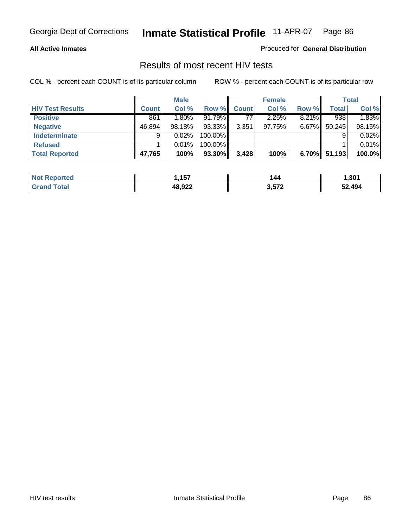### **All Active Inmates**

Produced for **General Distribution**

### Results of most recent HIV tests

|                         |              | <b>Male</b> |         |              | <b>Female</b> |          |        | <b>Total</b> |
|-------------------------|--------------|-------------|---------|--------------|---------------|----------|--------|--------------|
| <b>HIV Test Results</b> | <b>Count</b> | Col %       | Row %   | <b>Count</b> | Col %         | Row %    | Total  | Col %        |
| <b>Positive</b>         | 861          | $1.80\%$    | 91.79%  | 77           | 2.25%         | 8.21%    | 938    | 1.83%        |
| <b>Negative</b>         | 46,894       | 98.18%      | 93.33%  | 3,351        | 97.75%        | $6.67\%$ | 50,245 | 98.15%       |
| <b>Indeterminate</b>    | 9            | 0.02%       | 100.00% |              |               |          |        | 0.02%        |
| <b>Refused</b>          |              | 0.01%       | 100.00% |              |               |          |        | 0.01%        |
| <b>Total Reported</b>   | 47,765       | 100%        | 93.30%  | 3,428        | 100%          | 6.70%    | 51,193 | 100.0%       |

| Not<br><b>rted</b>           | <b>157</b> | 144  | 1.301  |
|------------------------------|------------|------|--------|
| <b>otal</b><br><b>'Granu</b> | רכה פו     | 3572 | 52.494 |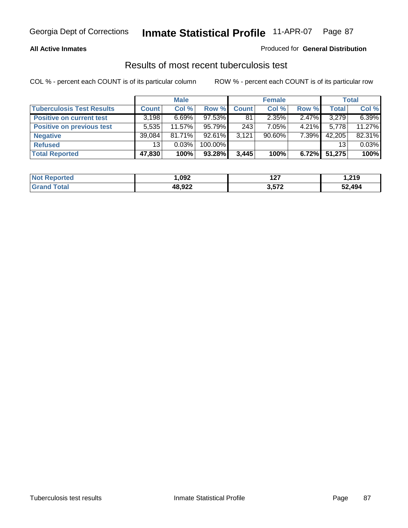### **All Active Inmates**

### Produced for **General Distribution**

### Results of most recent tuberculosis test

|                                  |              | <b>Male</b> |            |              | <b>Female</b> |          |              | <b>Total</b> |
|----------------------------------|--------------|-------------|------------|--------------|---------------|----------|--------------|--------------|
| <b>Tuberculosis Test Results</b> | <b>Count</b> | Col %       | Row %      | <b>Count</b> | Col %         | Row %    | <b>Total</b> | Col %        |
| <b>Positive on current test</b>  | 3,198        | $6.69\%$    | $97.53\%$  | 81           | 2.35%         | $2.47\%$ | 3,279        | 6.39%        |
| <b>Positive on previous test</b> | 5,535        | 11.57%      | 95.79%     | 243          | 7.05%         | $4.21\%$ | 5,778        | 11.27%       |
| <b>Negative</b>                  | 39,084       | $81.71\%$   | $92.61\%$  | 3,121        | $90.60\%$     | $7.39\%$ | 42,205       | 82.31%       |
| <b>Refused</b>                   | 13           | 0.03%       | $100.00\%$ |              |               |          | 13           | 0.03%        |
| <b>Total Reported</b>            | 47,830       | 100%        | 93.28%     | 3,445        | 100%          | 6.72%    | 51,275       | 100%         |

| <b>Not</b><br><b>rted</b>   | ,092   | ィヘラ<br>1 Z I | 219,ا  |
|-----------------------------|--------|--------------|--------|
| <b>Grand</b><br><b>otal</b> | 48,922 | 3,572        | 52,494 |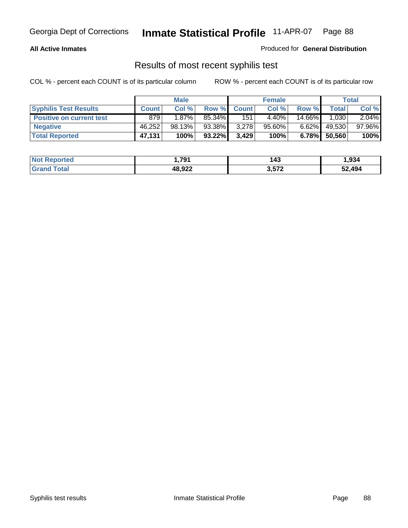### **All Active Inmates**

Produced for **General Distribution**

### Results of most recent syphilis test

|                                 |              | <b>Male</b> |           |              | <b>Female</b> |          |        | Total  |
|---------------------------------|--------------|-------------|-----------|--------------|---------------|----------|--------|--------|
| <b>Syphilis Test Results</b>    | <b>Count</b> | Col %       | Row %     | <b>Count</b> | Col %         | Row %    | Total  | Col %  |
| <b>Positive on current test</b> | 879          | $1.87\%$    | 85.34%    | 151          | $4.40\%$      | 14.66%   | 1,030  | 2.04%  |
| <b>Negative</b>                 | 46,252       | $98.13\%$   | 93.38%    | 3,278        | 95.60%        | $6.62\%$ | 49,530 | 97.96% |
| <b>Total Reported</b>           | 47,131       | 100%        | $93.22\%$ | 3,429        | 100%          | 6.78%    | 50,560 | 100%   |

| <b>Not Reported</b> | 791. ا | 143   | .934.  |
|---------------------|--------|-------|--------|
| <b>Grand Total</b>  | 48,922 | 3,572 | 52,494 |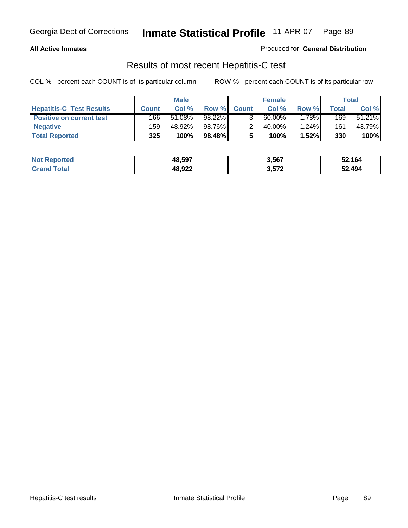### **All Active Inmates**

### Produced for **General Distribution**

### Results of most recent Hepatitis-C test

|                                 |              | <b>Male</b> |           |              | <b>Female</b> |       |       | Total  |
|---------------------------------|--------------|-------------|-----------|--------------|---------------|-------|-------|--------|
| <b>Hepatitis-C Test Results</b> | <b>Count</b> | Col %       | Row %     | <b>Count</b> | Col %         | Row % | Total | Col %  |
| <b>Positive on current test</b> | 166          | 51.08%      | 98.22%    |              | 60.00%        | 1.78% | 169   | 51.21% |
| <b>Negative</b>                 | 159          | 48.92%      | 98.76%    |              | 40.00%        | 1.24% | 161   | 48.79% |
| <b>Total Reported</b>           | 325          | 100%        | $98.48\%$ |              | 100%          | 1.52% | 330   | 100%   |

| <b>Not Reported</b> | 48,597 | 3,567 | 52,164 |
|---------------------|--------|-------|--------|
| <b>Grand Total</b>  | 48,922 | 3,572 | 52,494 |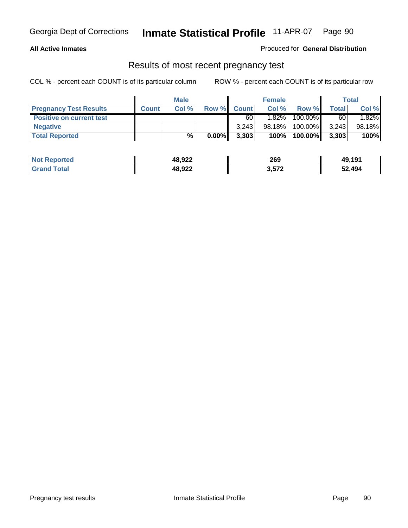### **All Active Inmates**

### Produced for **General Distribution**

### Results of most recent pregnancy test

|                                 |              | <b>Male</b> |          |              | <b>Female</b> |         |              | <b>Total</b> |
|---------------------------------|--------------|-------------|----------|--------------|---------------|---------|--------------|--------------|
| <b>Pregnancy Test Results</b>   | <b>Count</b> | Col%        | Row %    | <b>Count</b> | Col %         | Row %   | <b>Total</b> | Col %        |
| <b>Positive on current test</b> |              |             |          | 60           | $1.82\%$      | 100.00% | 60           | 1.82%        |
| <b>Negative</b>                 |              |             |          | 3.243        | $98.18\%$     | 100.00% | 3,243        | 98.18%       |
| <b>Total Reported</b>           |              | %           | $0.00\%$ | 3,303        | 100%          | 100.00% | 3,303        | 100%         |

| <b>Not Reported</b> | 48,922 | 269   | 49,191 |
|---------------------|--------|-------|--------|
| <b>Grand Total</b>  | 48,922 | 3,572 | 52,494 |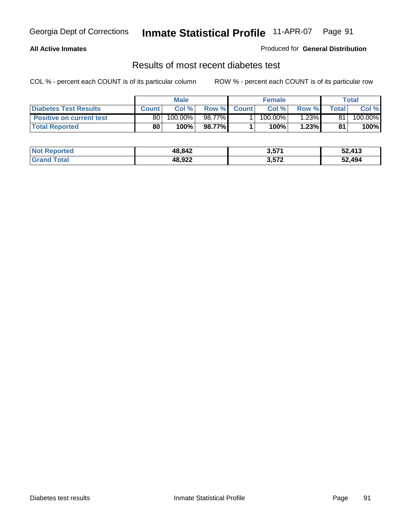### **All Active Inmates**

### Produced for **General Distribution**

### Results of most recent diabetes test

|                                 | <b>Male</b>  |         |         | <b>Female</b> |                       |          | Total |         |
|---------------------------------|--------------|---------|---------|---------------|-----------------------|----------|-------|---------|
| <b>Diabetes Test Results</b>    | <b>Count</b> | Col %   | Row %   | <b>Count</b>  | Col %                 | Row %I   | Total | Col %   |
| <b>Positive on current test</b> | 80 l         | 100.00% | 98.77%I |               | $100.\overline{00\%}$ | $1.23\%$ | 81    | 100.00% |
| <b>Total Reported</b>           | 80           | 100%    | 98.77%  |               | 100%                  | 1.23%    | 81    | 100%    |

| <b>Not Reported</b> | 48,842 | 3,571 | 52,413 |
|---------------------|--------|-------|--------|
| l Total<br>l Grand  | 48,922 | 3,572 | 52,494 |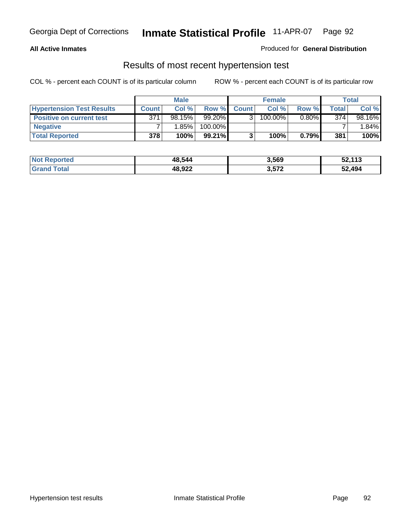### **All Active Inmates**

### Produced for **General Distribution**

### Results of most recent hypertension test

|                                  |              | <b>Male</b> |         |              | <b>Female</b> |          |       | <b>Total</b> |
|----------------------------------|--------------|-------------|---------|--------------|---------------|----------|-------|--------------|
| <b>Hypertension Test Results</b> | <b>Count</b> | Col %       | Row %   | <b>Count</b> | Col%          | Row %    | Total | Col %        |
| <b>Positive on current test</b>  | 371          | 98.15%      | 99.20%  |              | 100.00%       | $0.80\%$ | 374   | 98.16%       |
| <b>Negative</b>                  |              | 1.85%       | 100.00% |              |               |          |       | 1.84%        |
| <b>Total Reported</b>            | 378          | 100%        | 99.21%  |              | 100%          | 0.79%    | 381   | 100%         |

| <b>Not Reported</b> | 48,544 | 3,569 | 52,113 |
|---------------------|--------|-------|--------|
| <b>Grand Total</b>  | 48,922 | 3,572 | 52,494 |